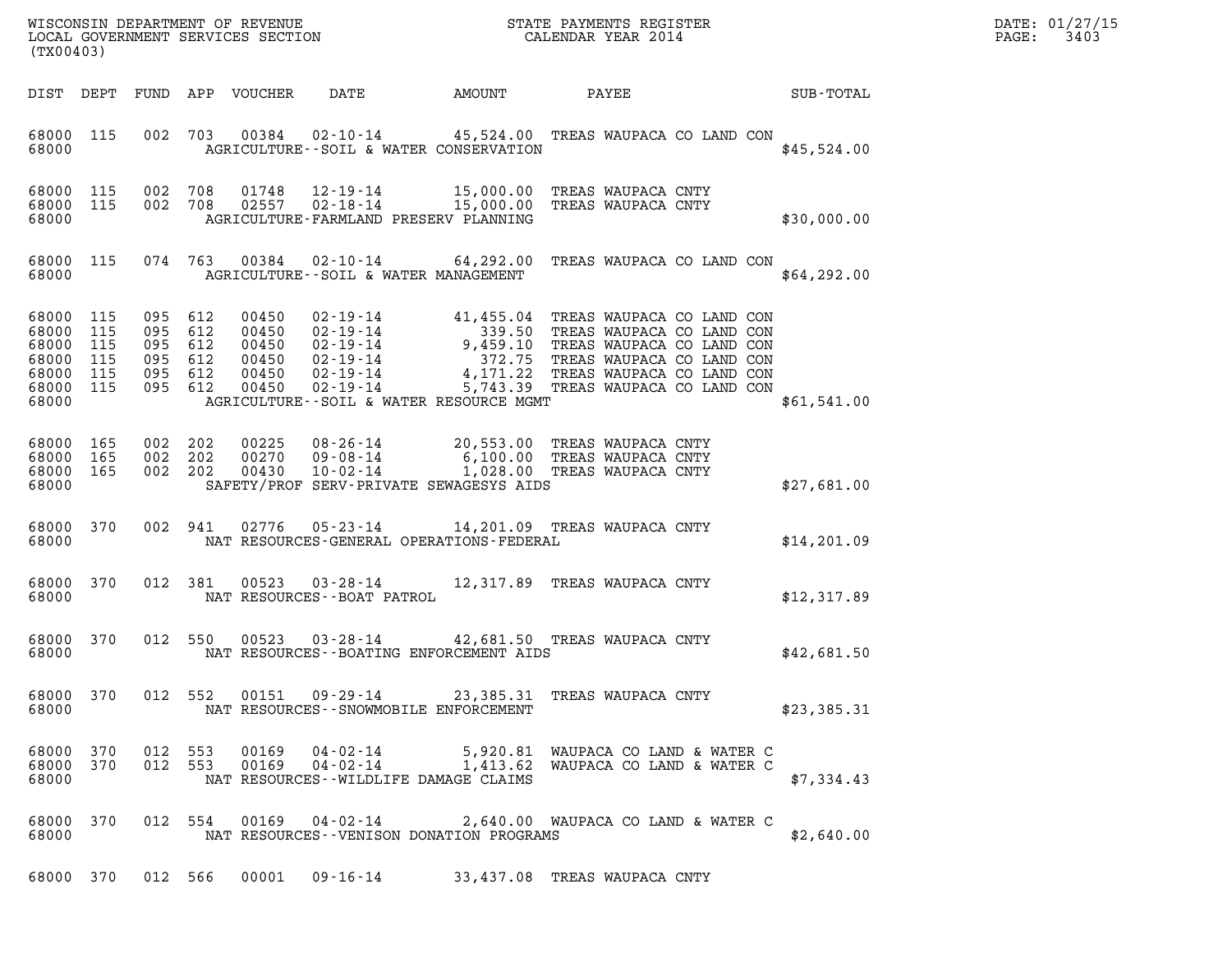| DATE: | 01/27/15 |
|-------|----------|
| PAGE: | 3403     |

| ${\tt WISCONSIM\ DEPARTMENT\ OF\ REVENUE}\qquad \qquad {\tt STATE\ PAYMENTS\ REGISTER}\nonumber\\ {\tt LOCAL\ GOVERNMENT\ SERVICES\ SECTION}\qquad \qquad {\tt CALENDAR\ YEAR\ 2014}$<br>(TX00403) |                          |                                                        |            |                                                    |                               |                                             |                                                                                                     |             | DATE: 01/27/15<br>3403<br>PAGE: |
|----------------------------------------------------------------------------------------------------------------------------------------------------------------------------------------------------|--------------------------|--------------------------------------------------------|------------|----------------------------------------------------|-------------------------------|---------------------------------------------|-----------------------------------------------------------------------------------------------------|-------------|---------------------------------|
| DIST DEPT                                                                                                                                                                                          |                          |                                                        |            | FUND APP VOUCHER                                   | DATE                          | AMOUNT                                      | PAYEE                                                                                               | SUB-TOTAL   |                                 |
| 68000 115<br>68000                                                                                                                                                                                 |                          |                                                        | 002 703    | 00384                                              | 02-10-14                      | AGRICULTURE--SOIL & WATER CONSERVATION      | 45,524.00 TREAS WAUPACA CO LAND CON                                                                 | \$45,524.00 |                                 |
| 68000 115<br>68000 115<br>68000                                                                                                                                                                    |                          | 002 708<br>002 708                                     |            | 01748                                              |                               | AGRICULTURE-FARMLAND PRESERV PLANNING       | 12-19-14 15,000.00 TREAS WAUPACA CNTY<br>02557  02-18-14  15,000.00  TREAS WAUPACA CNTY             | \$30,000.00 |                                 |
| 68000 115<br>68000                                                                                                                                                                                 |                          |                                                        | 074 763    |                                                    |                               | AGRICULTURE--SOIL & WATER MANAGEMENT        | 00384  02-10-14  64,292.00 TREAS WAUPACA CO LAND CON                                                | \$64,292.00 |                                 |
| 68000<br>68000<br>68000<br>68000<br>68000 115<br>68000 115<br>68000                                                                                                                                | 115<br>115<br>115<br>115 | 095<br>095 612<br>095 612<br>095 612<br>095<br>095 612 | 612<br>612 | 00450<br>00450<br>00450<br>00450<br>00450<br>00450 | $02 - 19 - 14$                | AGRICULTURE--SOIL & WATER RESOURCE MGMT     | 5,743.39 TREAS WAUPACA CO LAND CON                                                                  | \$61,541.00 |                                 |
| 68000 165<br>68000<br>68000 165<br>68000                                                                                                                                                           | 165                      | 002 202<br>002<br>002 202                              | 202        | 00225<br>00270<br>00430                            | 08-26-14<br>10-02-14          | SAFETY/PROF SERV-PRIVATE SEWAGESYS AIDS     | 20,553.00 TREAS WAUPACA CNTY<br>09-08-14 6,100.00 TREAS WAUPACA CNTY<br>1,028.00 TREAS WAUPACA CNTY | \$27,681.00 |                                 |
| 68000 370<br>68000                                                                                                                                                                                 |                          |                                                        | 002 941    | 02776                                              | 05-23-14                      | NAT RESOURCES-GENERAL OPERATIONS-FEDERAL    | 14,201.09 TREAS WAUPACA CNTY                                                                        | \$14,201.09 |                                 |
| 68000 370<br>68000                                                                                                                                                                                 |                          |                                                        | 012 381    | 00523                                              | NAT RESOURCES - - BOAT PATROL |                                             | 03-28-14 12,317.89 TREAS WAUPACA CNTY                                                               | \$12,317.89 |                                 |
| 68000 370<br>68000                                                                                                                                                                                 |                          |                                                        | 012 550    | 00523                                              | $03 - 28 - 14$                | NAT RESOURCES--BOATING ENFORCEMENT AIDS     | 42,681.50 TREAS WAUPACA CNTY                                                                        | \$42,681.50 |                                 |
| 68000 370<br>68000                                                                                                                                                                                 |                          |                                                        |            | 012 552 00151                                      |                               | NAT RESOURCES - - SNOWMOBILE ENFORCEMENT    | 09-29-14 23,385.31 TREAS WAUPACA CNTY                                                               | \$23,385.31 |                                 |
| 68000 370<br>68000 370<br>68000                                                                                                                                                                    |                          | 012 553                                                | 012 553    | 00169<br>00169                                     | 04-02-14<br>$04 - 02 - 14$    | NAT RESOURCES--WILDLIFE DAMAGE CLAIMS       | 5,920.81 WAUPACA CO LAND & WATER C<br>1,413.62 WAUPACA CO LAND & WATER C                            | \$7,334.43  |                                 |
| 68000 370<br>68000                                                                                                                                                                                 |                          |                                                        |            |                                                    | 012 554 00169 04-02-14        | NAT RESOURCES - - VENISON DONATION PROGRAMS | 2,640.00 WAUPACA CO LAND & WATER C                                                                  | \$2,640.00  |                                 |
|                                                                                                                                                                                                    |                          |                                                        |            |                                                    |                               |                                             | 68000 370 012 566 00001 09-16-14 33,437.08 TREAS WAUPACA CNTY                                       |             |                                 |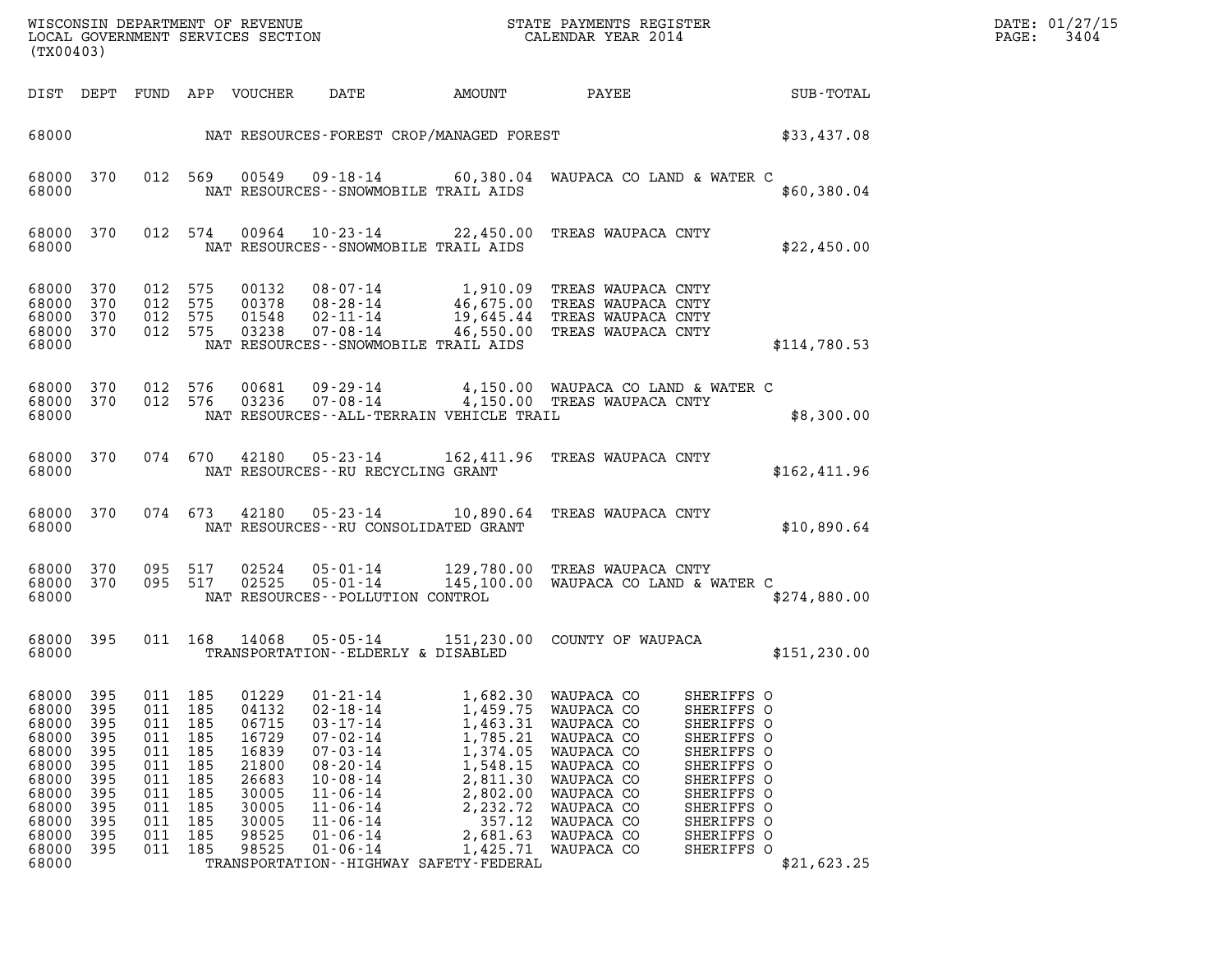| DATE: | 01/27/15 |
|-------|----------|
| PAGE: | 3404     |

| (TX00403)                                                                                                         |                                                                                  |                                                                                      |                                                                           |                                                                                                          |                                                                                                                                                                                                                      |                                                                                                                                                                                           |                                                                                                                                                                      |                                                                                                                                                                      |               | DATE: 01/27/15<br>3404<br>PAGE: |
|-------------------------------------------------------------------------------------------------------------------|----------------------------------------------------------------------------------|--------------------------------------------------------------------------------------|---------------------------------------------------------------------------|----------------------------------------------------------------------------------------------------------|----------------------------------------------------------------------------------------------------------------------------------------------------------------------------------------------------------------------|-------------------------------------------------------------------------------------------------------------------------------------------------------------------------------------------|----------------------------------------------------------------------------------------------------------------------------------------------------------------------|----------------------------------------------------------------------------------------------------------------------------------------------------------------------|---------------|---------------------------------|
|                                                                                                                   |                                                                                  |                                                                                      |                                                                           | DIST DEPT FUND APP VOUCHER                                                                               | DATE                                                                                                                                                                                                                 | AMOUNT                                                                                                                                                                                    | PAYEE                                                                                                                                                                |                                                                                                                                                                      | SUB-TOTAL     |                                 |
| 68000                                                                                                             |                                                                                  |                                                                                      |                                                                           |                                                                                                          |                                                                                                                                                                                                                      | NAT RESOURCES-FOREST CROP/MANAGED FOREST                                                                                                                                                  |                                                                                                                                                                      |                                                                                                                                                                      | \$33,437.08   |                                 |
| 68000 370<br>68000                                                                                                |                                                                                  |                                                                                      | 012 569                                                                   | 00549                                                                                                    | NAT RESOURCES - - SNOWMOBILE TRAIL AIDS                                                                                                                                                                              |                                                                                                                                                                                           | 09-18-14 60,380.04 WAUPACA CO LAND & WATER C                                                                                                                         |                                                                                                                                                                      | \$60,380.04   |                                 |
| 68000 370<br>68000                                                                                                |                                                                                  |                                                                                      | 012 574                                                                   | 00964                                                                                                    | NAT RESOURCES - - SNOWMOBILE TRAIL AIDS                                                                                                                                                                              |                                                                                                                                                                                           | 10-23-14 22,450.00 TREAS WAUPACA CNTY                                                                                                                                |                                                                                                                                                                      | \$22,450.00   |                                 |
| 68000 370<br>68000 370<br>68000<br>68000 370<br>68000                                                             | 370                                                                              | 012 575<br>012 575<br>012<br>012 575                                                 | 575                                                                       | 00132<br>00378<br>01548<br>03238                                                                         | 08-28-14<br>$02 - 11 - 14$<br>07-08-14<br>NAT RESOURCES - - SNOWMOBILE TRAIL AIDS                                                                                                                                    |                                                                                                                                                                                           | 08-07-14 1,910.09 TREAS WAUPACA CNTY<br>46,675.00 TREAS WAUPACA CNTY<br>19,645.44 TREAS WAUPACA CNTY<br>46,550.00 TREAS WAUPACA CNTY                                 |                                                                                                                                                                      | \$114,780.53  |                                 |
| 68000 370<br>68000 370<br>68000                                                                                   |                                                                                  | 012 576                                                                              | 012 576                                                                   | 00681<br>03236                                                                                           | 09–29–14<br>07-08-14                                                                                                                                                                                                 | NAT RESOURCES - - ALL-TERRAIN VEHICLE TRAIL                                                                                                                                               | 4,150.00 WAUPACA CO LAND & WATER C<br>4,150.00 TREAS WAUPACA CNTY                                                                                                    |                                                                                                                                                                      | \$8,300.00    |                                 |
| 68000 370<br>68000                                                                                                |                                                                                  |                                                                                      | 074 670                                                                   | 42180                                                                                                    | 05-23-14<br>NAT RESOURCES--RU RECYCLING GRANT                                                                                                                                                                        |                                                                                                                                                                                           | 162,411.96 TREAS WAUPACA CNTY                                                                                                                                        |                                                                                                                                                                      | \$162,411.96  |                                 |
| 68000 370<br>68000                                                                                                |                                                                                  |                                                                                      | 074 673                                                                   | 42180                                                                                                    | NAT RESOURCES - - RU CONSOLIDATED GRANT                                                                                                                                                                              |                                                                                                                                                                                           | 05-23-14 10,890.64 TREAS WAUPACA CNTY                                                                                                                                |                                                                                                                                                                      | \$10,890.64   |                                 |
| 68000 370<br>68000 370<br>68000                                                                                   |                                                                                  |                                                                                      | 095 517<br>095 517                                                        | 02524<br>02525                                                                                           | 05-01-14<br>NAT RESOURCES - - POLLUTION CONTROL                                                                                                                                                                      |                                                                                                                                                                                           | 05-01-14 129,780.00 TREAS WAUPACA CNTY<br>145,100.00 WAUPACA CO LAND & WATER C                                                                                       |                                                                                                                                                                      | \$274,880.00  |                                 |
| 68000 395<br>68000                                                                                                |                                                                                  |                                                                                      |                                                                           | 011 168 14068                                                                                            | TRANSPORTATION--ELDERLY & DISABLED                                                                                                                                                                                   |                                                                                                                                                                                           | 05-05-14 151,230.00 COUNTY OF WAUPACA                                                                                                                                |                                                                                                                                                                      | \$151, 230.00 |                                 |
| 68000<br>68000<br>68000<br>68000<br>68000<br>68000<br>68000<br>68000<br>68000<br>68000<br>68000<br>68000<br>68000 | 395<br>395<br>395<br>395<br>395<br>395<br>395<br>395<br>395<br>395<br>395<br>395 | 011<br>011<br>011<br>011<br>011<br>011<br>011<br>011<br>011<br>011<br>011<br>011 185 | 185<br>185<br>185<br>185<br>185<br>185<br>185<br>185<br>185<br>185<br>185 | 01229<br>04132<br>06715<br>16729<br>16839<br>21800<br>26683<br>30005<br>30005<br>30005<br>98525<br>98525 | $01 - 21 - 14$<br>$02 - 18 - 14$<br>$03 - 17 - 14$<br>$07 - 02 - 14$<br>$07 - 03 - 14$<br>$08 - 20 - 14$<br>$10 - 08 - 14$<br>$11 - 06 - 14$<br>$11 - 06 - 14$<br>$11 - 06 - 14$<br>$01 - 06 - 14$<br>$01 - 06 - 14$ | 1,682.30<br>1,459.75<br>1,463.31<br>1,785.21<br>1,374.05<br>1,548.15<br>2,811.30<br>2,802.00<br>2,232.72<br>357.12<br>2,681.63<br>1,425.71<br>TRANSPORTATION - - HIGHWAY SAFETY - FEDERAL | WAUPACA CO<br>WAUPACA CO<br>WAUPACA CO<br>WAUPACA CO<br>WAUPACA CO<br>WAUPACA CO<br>WAUPACA CO<br>WAUPACA CO<br>WAUPACA CO<br>WAUPACA CO<br>WAUPACA CO<br>WAUPACA CO | SHERIFFS O<br>SHERIFFS O<br>SHERIFFS O<br>SHERIFFS O<br>SHERIFFS O<br>SHERIFFS O<br>SHERIFFS O<br>SHERIFFS O<br>SHERIFFS O<br>SHERIFFS O<br>SHERIFFS O<br>SHERIFFS O | \$21,623.25   |                                 |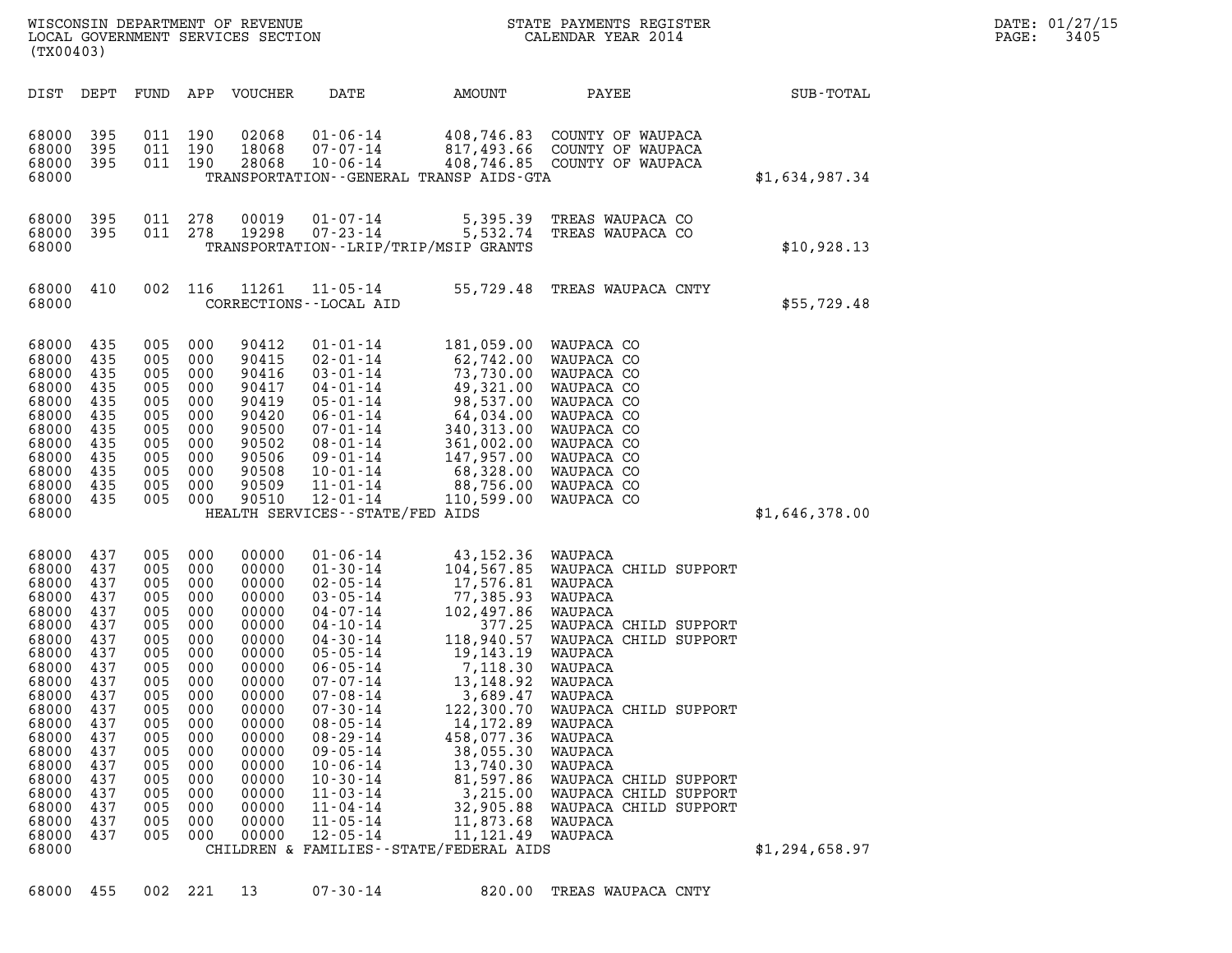| (TX00403)                                                                                                                                                                                          |                                                                                                                                                 |                                                                                                                                                     |                                                                                                                                          | WISCONSIN DEPARTMENT OF REVENUE<br>LOCAL GOVERNMENT SERVICES SECTION                                                                                                                      |                                                                                                                                                                                                                                                                                                                                                                                                              |                                                                                                                                                                                                                                                                                      | STATE PAYMENTS REGISTER<br>CALENDAR YEAR 2014                                                                                                                                                                                                                                                                              |                | DATE: 01/27/15<br>PAGE:<br>3405 |
|----------------------------------------------------------------------------------------------------------------------------------------------------------------------------------------------------|-------------------------------------------------------------------------------------------------------------------------------------------------|-----------------------------------------------------------------------------------------------------------------------------------------------------|------------------------------------------------------------------------------------------------------------------------------------------|-------------------------------------------------------------------------------------------------------------------------------------------------------------------------------------------|--------------------------------------------------------------------------------------------------------------------------------------------------------------------------------------------------------------------------------------------------------------------------------------------------------------------------------------------------------------------------------------------------------------|--------------------------------------------------------------------------------------------------------------------------------------------------------------------------------------------------------------------------------------------------------------------------------------|----------------------------------------------------------------------------------------------------------------------------------------------------------------------------------------------------------------------------------------------------------------------------------------------------------------------------|----------------|---------------------------------|
| DIST DEPT                                                                                                                                                                                          |                                                                                                                                                 |                                                                                                                                                     |                                                                                                                                          | FUND APP VOUCHER                                                                                                                                                                          | DATE                                                                                                                                                                                                                                                                                                                                                                                                         | AMOUNT                                                                                                                                                                                                                                                                               | PAYEE                                                                                                                                                                                                                                                                                                                      | SUB-TOTAL      |                                 |
| 68000<br>68000<br>68000<br>68000                                                                                                                                                                   | 395<br>395<br>395                                                                                                                               | 011 190<br>011 190<br>011 190                                                                                                                       |                                                                                                                                          | 02068<br>18068<br>28068                                                                                                                                                                   | $01 - 06 - 14$<br>07-07-14<br>$10 - 06 - 14$<br>TRANSPORTATION - - GENERAL TRANSP AIDS - GTA                                                                                                                                                                                                                                                                                                                 |                                                                                                                                                                                                                                                                                      | 408,746.83 COUNTY OF WAUPACA<br>817,493.66 COUNTY OF WAUPACA<br>408,746.85 COUNTY OF WAUPACA                                                                                                                                                                                                                               | \$1,634,987.34 |                                 |
| 68000<br>68000<br>68000                                                                                                                                                                            | - 395<br>395                                                                                                                                    | 011<br>011 278                                                                                                                                      | 278                                                                                                                                      | 00019<br>19298                                                                                                                                                                            | 01-07-14<br>07-23-14<br>TRANSPORTATION - - LRIP/TRIP/MSIP GRANTS                                                                                                                                                                                                                                                                                                                                             | 5,532.74                                                                                                                                                                                                                                                                             | 5,395.39 TREAS WAUPACA CO<br>TREAS WAUPACA CO                                                                                                                                                                                                                                                                              | \$10,928.13    |                                 |
| 68000 410<br>68000                                                                                                                                                                                 |                                                                                                                                                 | 002 116                                                                                                                                             |                                                                                                                                          | 11261                                                                                                                                                                                     | 11-05-14<br>CORRECTIONS - - LOCAL AID                                                                                                                                                                                                                                                                                                                                                                        |                                                                                                                                                                                                                                                                                      | 55,729.48 TREAS WAUPACA CNTY                                                                                                                                                                                                                                                                                               | \$55,729.48    |                                 |
| 68000<br>68000<br>68000<br>68000<br>68000<br>68000<br>68000<br>68000<br>68000<br>68000<br>68000<br>68000<br>68000                                                                                  | 435<br>435<br>435<br>435<br>435<br>435<br>435<br>435<br>435<br>435<br>435<br>435                                                                | 005<br>005 000<br>005 000<br>005<br>005 000<br>005<br>005<br>005 000<br>005 000<br>005 000<br>005<br>005 000                                        | 000<br>000<br>000<br>000<br>000                                                                                                          | 90412<br>90415<br>90416<br>90417<br>90419<br>90420<br>90500<br>90502<br>90506<br>90508<br>90509<br>90510                                                                                  | $01 - 01 - 14$<br>$02 - 01 - 14$<br>$03 - 01 - 14$<br>04-01-14<br>$05 - 01 - 14$<br>06-01-14<br>$07 - 01 - 14$<br>08-01-14<br>09-01-14<br>$10 - 01 - 14$<br>11-01-14<br>12-01-14<br>HEALTH SERVICES - - STATE/FED AIDS                                                                                                                                                                                       | 181,059.00 WAUPACA CO<br>62,742.00<br>73,730.00<br>49,321.00<br>98,537.00<br>64,034.00<br>340,313.00<br>361,002.00<br>147,957.00<br>68,328.00<br>88,756.00<br>110,599.00                                                                                                             | WAUPACA CO<br>WAUPACA CO<br>WAUPACA CO<br>WAUPACA CO<br>WAUPACA CO<br>WAUPACA CO<br>WAUPACA CO<br>WAUPACA CO<br>WAUPACA CO<br>WAUPACA CO<br>WAUPACA CO                                                                                                                                                                     | \$1,646,378.00 |                                 |
| 68000<br>68000<br>68000<br>68000<br>68000<br>68000<br>68000<br>68000<br>68000<br>68000<br>68000<br>68000<br>68000<br>68000<br>68000<br>68000<br>68000<br>68000<br>68000<br>68000<br>68000<br>68000 | 437<br>437<br>437<br>437<br>437<br>437<br>437<br>437<br>437<br>437<br>437<br>437<br>437<br>437<br>437<br>437<br>437<br>437<br>437<br>437<br>437 | 005<br>005<br>005<br>005<br>005<br>005<br>005<br>005<br>005 000<br>005<br>005<br>005<br>005<br>005<br>005<br>005<br>005<br>005<br>005<br>005<br>005 | 000<br>000<br>000<br>000<br>000<br>000<br>000<br>000<br>000<br>000<br>000<br>000<br>000<br>000<br>000<br>000<br>000<br>000<br>000<br>000 | 00000<br>00000<br>00000<br>00000<br>00000<br>00000<br>00000<br>00000<br>00000<br>00000<br>00000<br>00000<br>00000<br>00000<br>00000<br>00000<br>00000<br>00000<br>00000<br>00000<br>00000 | $01 - 06 - 14$<br>$01 - 30 - 14$<br>$02 - 05 - 14$<br>$03 - 05 - 14$<br>04-07-14<br>04-10-14<br>04-30-14<br>$05 - 05 - 14$<br>$06 - 05 - 14$<br>$07 - 07 - 14$<br>$07 - 08 - 14$<br>$07 - 30 - 14$<br>$08 - 05 - 14$<br>$08 - 29 - 14$<br>$09 - 05 - 14$<br>$10 - 06 - 14$<br>$10 - 30 - 14$<br>$11 - 03 - 14$<br>11-04-14<br>$11 - 05 - 14$<br>$12 - 05 - 14$<br>CHILDREN & FAMILIES - - STATE/FEDERAL AIDS | 43,152.36 WAUPACA<br>104,567.85<br>17,576.81<br>77,385.93<br>102,497.86<br>377.25<br>118,940.57<br>19,143.19<br>7,118.30<br>13,148.92<br>3,689.47<br>122,300.70<br>14,172.89<br>458,077.36<br>38,055.30<br>13,740.30<br>81,597.86<br>3,215.00<br>32,905.88<br>11,873.68<br>11,121.49 | WAUPACA CHILD SUPPORT<br>WAUPACA<br>WAUPACA<br>WAUPACA<br>WAUPACA CHILD SUPPORT<br>WAUPACA CHILD SUPPORT<br>WAUPACA<br>WAUPACA<br>WAUPACA<br>WAUPACA<br>WAUPACA CHILD SUPPORT<br>WAUPACA<br>WAUPACA<br>WAUPACA<br>WAUPACA<br>WAUPACA CHILD SUPPORT<br>WAUPACA CHILD SUPPORT<br>WAUPACA CHILD SUPPORT<br>WAUPACA<br>WAUPACA | \$1,294,658.97 |                                 |

68000 455 002 221 13 07-30-14 820.00 TREAS WAUPACA CNTY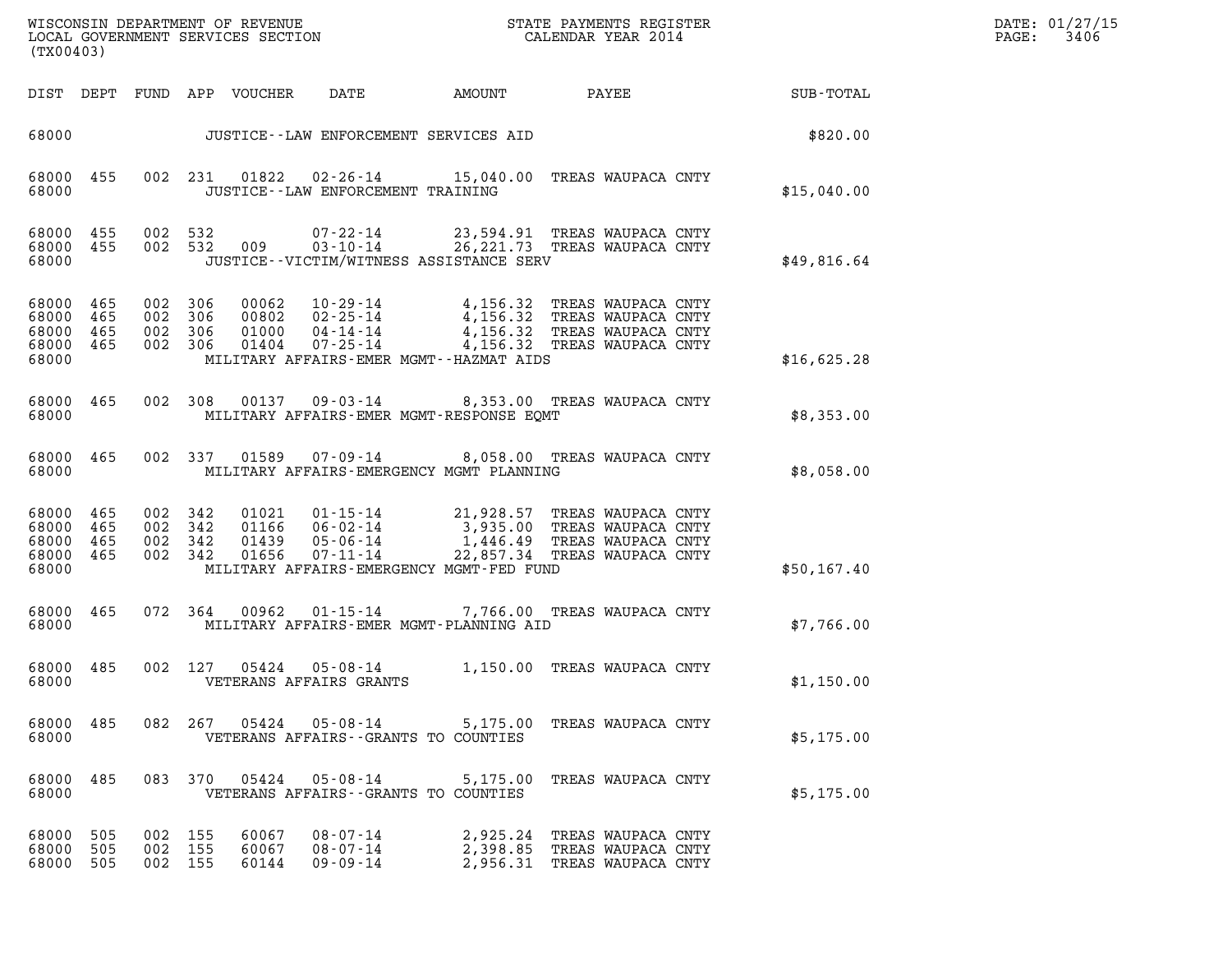| DATE: | 01/27/15 |
|-------|----------|
| PAGE: | 3406     |

| (TX00403)                                                 |            |                                          |                    |                                  |                                                    |                                          |                                                                                                                                                                                    |             | DATE: 01/27/15<br>3406<br>PAGE: |
|-----------------------------------------------------------|------------|------------------------------------------|--------------------|----------------------------------|----------------------------------------------------|------------------------------------------|------------------------------------------------------------------------------------------------------------------------------------------------------------------------------------|-------------|---------------------------------|
|                                                           |            |                                          |                    | DIST DEPT FUND APP VOUCHER       | DATE                                               | AMOUNT                                   | <b>PAYEE</b> FOUND THE PAYEE                                                                                                                                                       | SUB-TOTAL   |                                 |
| 68000                                                     |            |                                          |                    |                                  |                                                    | JUSTICE -- LAW ENFORCEMENT SERVICES AID  |                                                                                                                                                                                    | \$820.00    |                                 |
| 68000<br>68000                                            | 455        |                                          |                    | 002 231 01822                    | JUSTICE -- LAW ENFORCEMENT TRAINING                |                                          | 02-26-14 15,040.00 TREAS WAUPACA CNTY                                                                                                                                              | \$15,040.00 |                                 |
| 68000 455<br>68000                                        | 68000 455  |                                          | 002 532            | 002 532 009                      |                                                    | JUSTICE--VICTIM/WITNESS ASSISTANCE SERV  | 07-22-14 23,594.91 TREAS WAUPACA CNTY<br>03-10-14 26, 221.73 TREAS WAUPACA CNTY                                                                                                    | \$49,816.64 |                                 |
| 68000 465<br>68000<br>68000 465<br>68000 465<br>68000     | 465        | 002 306<br>002 306                       | 002 306<br>002 306 | 00062<br>00802<br>01000<br>01404 | $04 - 14 - 14$<br>$07 - 25 - 14$                   | MILITARY AFFAIRS-EMER MGMT--HAZMAT AIDS  | 10-29-14 4,156.32 TREAS WAUPACA CNTY<br>02-25-14 4,156.32 TREAS WAUPACA CNTY<br>04-14-14 4,156.32 TREAS WAUPACA CNTY<br>4,156.32 TREAS WAUPACA CNTY<br>4,156.32 TREAS WAUPACA CNTY | \$16,625.28 |                                 |
| 68000<br>68000                                            | 465        |                                          | 002 308            | 00137                            |                                                    | MILITARY AFFAIRS-EMER MGMT-RESPONSE EQMT | 09-03-14 8,353.00 TREAS WAUPACA CNTY                                                                                                                                               | \$8,353.00  |                                 |
| 68000 465<br>68000                                        |            |                                          | 002 337            | 01589                            |                                                    | MILITARY AFFAIRS-EMERGENCY MGMT PLANNING | 07-09-14 8,058.00 TREAS WAUPACA CNTY                                                                                                                                               | \$8,058.00  |                                 |
| 68000 465<br>68000 465<br>68000 465<br>68000 465<br>68000 |            | 002 342<br>002 342<br>002 342<br>002 342 |                    | 01021<br>01166<br>01439<br>01656 | $07 - 11 - 14$                                     | MILITARY AFFAIRS-EMERGENCY MGMT-FED FUND | 01-15-14 21,928.57 TREAS WAUPACA CNTY<br>06-02-14 3,935.00 TREAS WAUPACA CNTY<br>05-06-14 1,446.49 TREAS WAUPACA CNTY<br>22,857.34 TREAS WAUPACA CNTY                              | \$50,167.40 |                                 |
| 68000 465<br>68000                                        |            |                                          | 072 364            | 00962                            |                                                    | MILITARY AFFAIRS-EMER MGMT-PLANNING AID  | 01-15-14 7,766.00 TREAS WAUPACA CNTY                                                                                                                                               | \$7,766.00  |                                 |
| 68000 485<br>68000                                        |            |                                          | 002 127            | 05424                            | 05-08-14<br>VETERANS AFFAIRS GRANTS                |                                          | 1,150.00 TREAS WAUPACA CNTY                                                                                                                                                        | \$1,150.00  |                                 |
| 68000<br>68000                                            | 485        |                                          |                    |                                  | VETERANS AFFAIRS - - GRANTS TO COUNTIES            |                                          | 082  267  05424  05-08-14  5,175.00 TREAS WAUPACA CNTY                                                                                                                             | \$5,175.00  |                                 |
| 68000 485<br>68000                                        |            |                                          |                    |                                  | VETERANS AFFAIRS - - GRANTS TO COUNTIES            |                                          | 083 370 05424 05-08-14 5,175.00 TREAS WAUPACA CNTY                                                                                                                                 | \$5,175.00  |                                 |
| 68000<br>68000<br>68000 505                               | 505<br>505 | 002<br>002<br>002 155                    | 155<br>155         | 60067<br>60067<br>60144          | $08 - 07 - 14$<br>$08 - 07 - 14$<br>$09 - 09 - 14$ |                                          | 2,925.24 TREAS WAUPACA CNTY<br>2,398.85 TREAS WAUPACA CNTY<br>2,956.31 TREAS WAUPACA CNTY                                                                                          |             |                                 |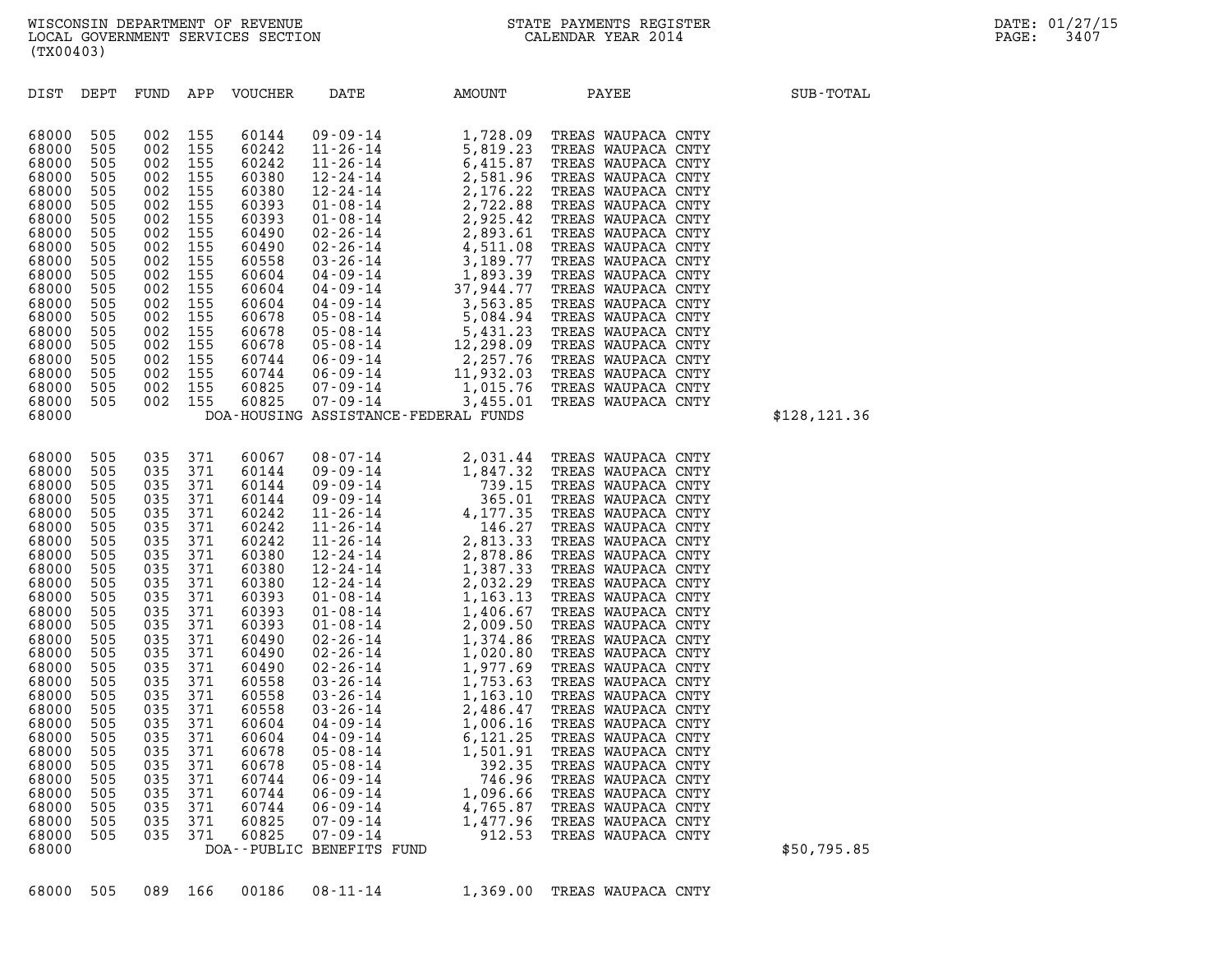| DIST DEPT                                                                                                                                                                                                                                                                                                                                                                                                                                                             |                                                                                                                                                                                 |                                                                                                                                                                                                       | FUND APP VOUCHER                                                                                                                                                                                                                                         | DATE                      | AMOUNT                               | PAYEE | SUB-TOTAL     |
|-----------------------------------------------------------------------------------------------------------------------------------------------------------------------------------------------------------------------------------------------------------------------------------------------------------------------------------------------------------------------------------------------------------------------------------------------------------------------|---------------------------------------------------------------------------------------------------------------------------------------------------------------------------------|-------------------------------------------------------------------------------------------------------------------------------------------------------------------------------------------------------|----------------------------------------------------------------------------------------------------------------------------------------------------------------------------------------------------------------------------------------------------------|---------------------------|--------------------------------------|-------|---------------|
| 68000<br>505<br>505<br>68000<br>505<br>68000<br>505<br>68000<br>505<br>68000<br>505<br>68000<br>68000<br>505<br>68000<br>505<br>505<br>68000<br>68000<br>505<br>68000<br>505<br>505<br>68000<br>68000<br>505<br>505<br>68000<br>505<br>68000<br>505<br>68000<br>505<br>68000<br>505<br>68000<br>68000<br>505<br>505<br>68000<br>68000                                                                                                                                 | 002<br>002<br>002<br>002<br>002<br>002<br>002<br>002<br>002<br>002<br>002<br>002<br>002                                                                                         | 002 155<br>002 155<br>155<br>002 155<br>155<br>155<br>155<br>155<br>155<br>155<br>155<br>155<br>155<br>155<br>155<br>155<br>002 155<br>002 155<br>002 155<br>002 155                                  | 60144<br>60242<br>60242<br>60380<br>60380<br>60393<br>60393<br>60490<br>60490<br>60558<br>60604<br>60604<br>60604<br>60678<br>60678<br>60678<br>60744<br>60744<br>60825<br>60825                                                                         |                           | DOA-HOUSING ASSISTANCE-FEDERAL FUNDS |       | \$128, 121.36 |
| 505<br>68000<br>505<br>68000<br>505<br>68000<br>505<br>68000<br>505<br>68000<br>505<br>68000<br>505<br>68000<br>505<br>68000<br>68000<br>505<br>505<br>68000<br>505<br>68000<br>505<br>68000<br>68000<br>505<br>68000<br>505<br>505<br>68000<br>68000<br>505<br>505<br>68000<br>68000<br>505<br>505<br>68000<br>505<br>68000<br>505<br>68000<br>505<br>68000<br>68000<br>505<br>505<br>68000<br>505<br>68000<br>68000<br>505<br>505<br>68000<br>505<br>68000<br>68000 | 035 371<br>035<br>035<br>035<br>035<br>035<br>035<br>035<br>035<br>035<br>035<br>035<br>035<br>035<br>035<br>035<br>035<br>035<br>035<br>035<br>035<br>035<br>035<br>035<br>035 | 035 371<br>371<br>371<br>371<br>371<br>371<br>371<br>371<br>371<br>371<br>371<br>371<br>371<br>371<br>371<br>371<br>371<br>371<br>371<br>371<br>371<br>371<br>371<br>371<br>371<br>035 371<br>035 371 | 60067<br>60144<br>60144<br>60144<br>60242<br>60242<br>60242<br>60380<br>60380<br>60380<br>60393<br>60393<br>60393<br>60490<br>60490<br>60490<br>60558<br>60558<br>60558<br>60604<br>60604<br>60678<br>60678<br>60744<br>60744<br>60744<br>60825<br>60825 | DOA--PUBLIC BENEFITS FUND |                                      |       | \$50,795.85   |

68000 505 089 166 00186 08-11-14 1,369.00 TREAS WAUPACA CNTY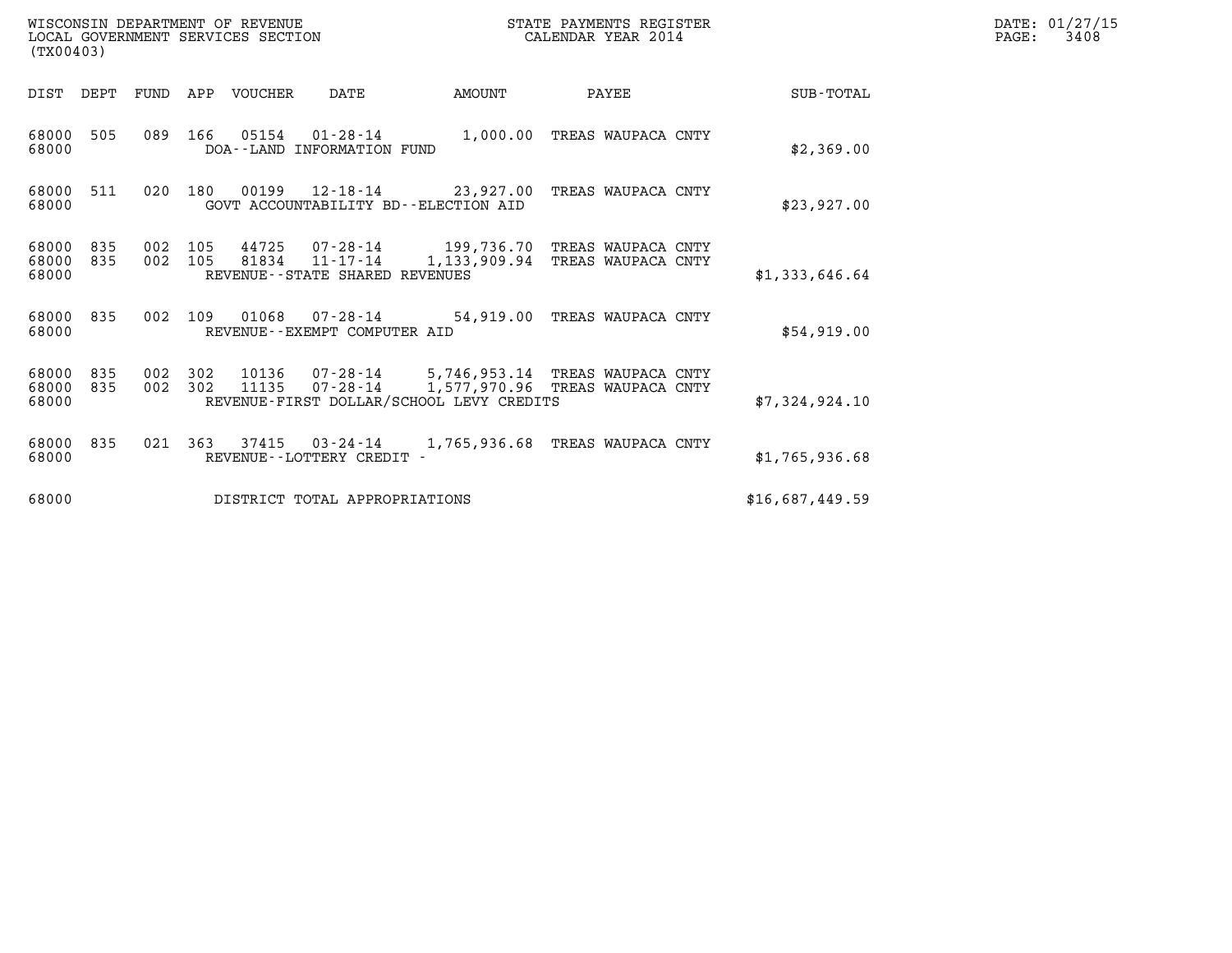| WISCONSIN DEPARTMENT OF REVENUE   | STATE PAYMENTS REGISTER | DATE: 01/27/15 |
|-----------------------------------|-------------------------|----------------|
| LOCAL GOVERNMENT SERVICES SECTION | CALENDAR YEAR 2014      | 3408<br>PAGE:  |

| WISCONSIN DEPARTMENT OF REVENUE<br>LOCAL GOVERNMENT SERVICES SECTION<br>(TX00403) |            |                |     |                |                                          |                                                                                                                                  | STATE PAYMENTS REGISTER<br>CALENDAR YEAR 2014 |                 | DATE: 01/27/15<br>PAGE:<br>3408 |
|-----------------------------------------------------------------------------------|------------|----------------|-----|----------------|------------------------------------------|----------------------------------------------------------------------------------------------------------------------------------|-----------------------------------------------|-----------------|---------------------------------|
| DIST                                                                              | DEPT       | FUND           |     | APP VOUCHER    | DATE                                     | AMOUNT                                                                                                                           | PAYEE                                         | SUB-TOTAL       |                                 |
| 68000<br>68000                                                                    | 505        | 089            | 166 | 05154          | 01-28-14<br>DOA--LAND INFORMATION FUND   | 1,000.00                                                                                                                         | TREAS WAUPACA CNTY                            | \$2,369.00      |                                 |
| 68000<br>68000                                                                    | 511        | 020            | 180 |                | GOVT ACCOUNTABILITY BD--ELECTION AID     |                                                                                                                                  | TREAS WAUPACA CNTY                            | \$23,927.00     |                                 |
| 68000<br>68000<br>68000                                                           | 835<br>835 | 002<br>002 105 | 105 | 81834          | REVENUE - - STATE SHARED REVENUES        | 44725  07-28-14  199,736.70<br>11-17-14 1,133,909.94                                                                             | TREAS WAUPACA CNTY<br>TREAS WAUPACA CNTY      | \$1,333,646.64  |                                 |
| 68000<br>68000                                                                    | 835        | 002            | 109 | 01068          | REVENUE - - EXEMPT COMPUTER AID          | 07-28-14 54,919.00                                                                                                               | TREAS WAUPACA CNTY                            | \$54,919.00     |                                 |
| 68000<br>68000<br>68000                                                           | 835<br>835 | 002<br>002 302 | 302 | 10136<br>11135 |                                          | 07-28-14 5,746,953.14 TREAS WAUPACA CNTY<br>07-28-14 1,577,970.96 TREAS WAUPACA CNTY<br>REVENUE-FIRST DOLLAR/SCHOOL LEVY CREDITS |                                               | \$7,324,924.10  |                                 |
| 68000<br>68000                                                                    | 835        | 021            | 363 | 37415          | 03-24-14<br>REVENUE - - LOTTERY CREDIT - | 1,765,936.68                                                                                                                     | TREAS WAUPACA CNTY                            | \$1,765,936.68  |                                 |
| 68000                                                                             |            |                |     |                | DISTRICT TOTAL APPROPRIATIONS            |                                                                                                                                  |                                               | \$16,687,449.59 |                                 |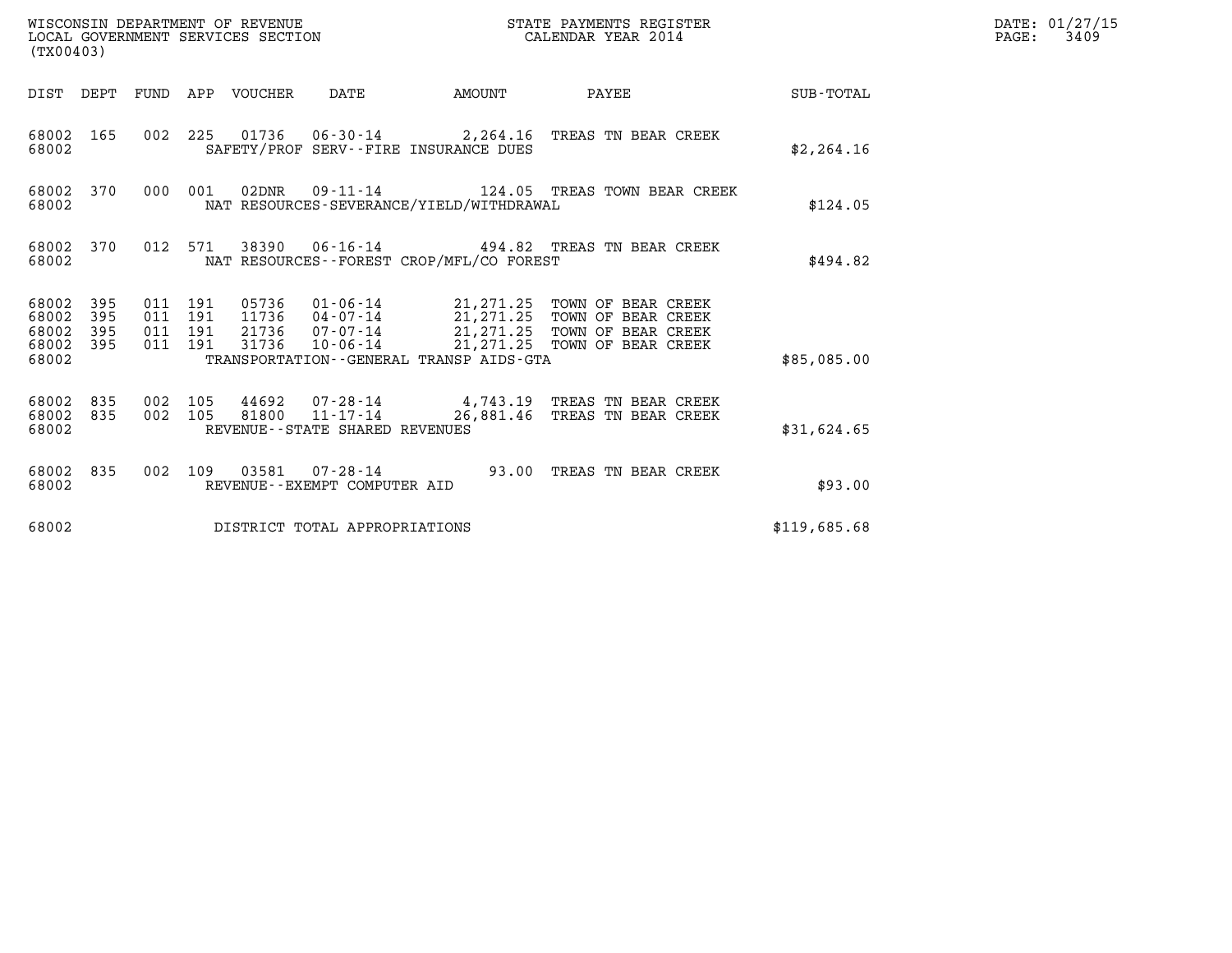|                                                       | WISCONSIN DEPARTMENT OF REVENUE<br>LOCAL GOVERNMENT SERVICES SECTION<br>STATE PAYMENTS REGISTER<br>CALENDAR YEAR 2014<br>(TX00403) |                                          |  |  |                                                          |                                             |                                                                                                                                                                                                      |              | DATE: 01/27/15<br>$\mathtt{PAGE:}$<br>3409 |
|-------------------------------------------------------|------------------------------------------------------------------------------------------------------------------------------------|------------------------------------------|--|--|----------------------------------------------------------|---------------------------------------------|------------------------------------------------------------------------------------------------------------------------------------------------------------------------------------------------------|--------------|--------------------------------------------|
|                                                       |                                                                                                                                    |                                          |  |  |                                                          |                                             | DIST DEPT FUND APP VOUCHER DATE AMOUNT PAYEE TOTAL                                                                                                                                                   |              |                                            |
| 68002                                                 | 68002 165                                                                                                                          |                                          |  |  |                                                          | SAFETY/PROF SERV--FIRE INSURANCE DUES       | 002 225 01736 06-30-14 2,264.16 TREAS TN BEAR CREEK                                                                                                                                                  | \$2,264.16   |                                            |
| 68002                                                 | 68002 370                                                                                                                          |                                          |  |  |                                                          | NAT RESOURCES-SEVERANCE/YIELD/WITHDRAWAL    | 000 001 02DNR 09-11-14 124.05 TREAS TOWN BEAR CREEK                                                                                                                                                  | \$124.05     |                                            |
| 68002                                                 | 68002 370                                                                                                                          |                                          |  |  |                                                          | NAT RESOURCES - - FOREST CROP/MFL/CO FOREST | 012 571 38390 06-16-14 494.82 TREAS TN BEAR CREEK                                                                                                                                                    | \$494.82     |                                            |
| 68002 395<br>68002<br>68002 395<br>68002 395<br>68002 | 395                                                                                                                                | 011 191<br>011 191<br>011 191<br>011 191 |  |  |                                                          | TRANSPORTATION--GENERAL TRANSP AIDS-GTA     | 05736  01-06-14  21,271.25  TOWN OF BEAR CREEK<br>11736  04-07-14  21,271.25  TOWN OF BEAR CREEK<br>21736  07-07-14  21,271.25  TOWN OF BEAR CREEK<br>31736  10-06-14  21,271.25  TOWN OF BEAR CREEK | \$85,085.00  |                                            |
| 68002                                                 | 68002 835<br>68002 835                                                                                                             | 002 105                                  |  |  | 002 105 81800 11-17-14<br>REVENUE--STATE SHARED REVENUES |                                             | 44692 07-28-14 4,743.19 TREAS TN BEAR CREEK<br>26,881.46 TREAS TN BEAR CREEK                                                                                                                         | \$31,624.65  |                                            |
| 68002                                                 | 68002 835                                                                                                                          |                                          |  |  | REVENUE--EXEMPT COMPUTER AID                             |                                             | 002 109 03581 07-28-14 93.00 TREAS TN BEAR CREEK                                                                                                                                                     | \$93.00      |                                            |
| 68002                                                 |                                                                                                                                    |                                          |  |  | DISTRICT TOTAL APPROPRIATIONS                            |                                             |                                                                                                                                                                                                      | \$119,685.68 |                                            |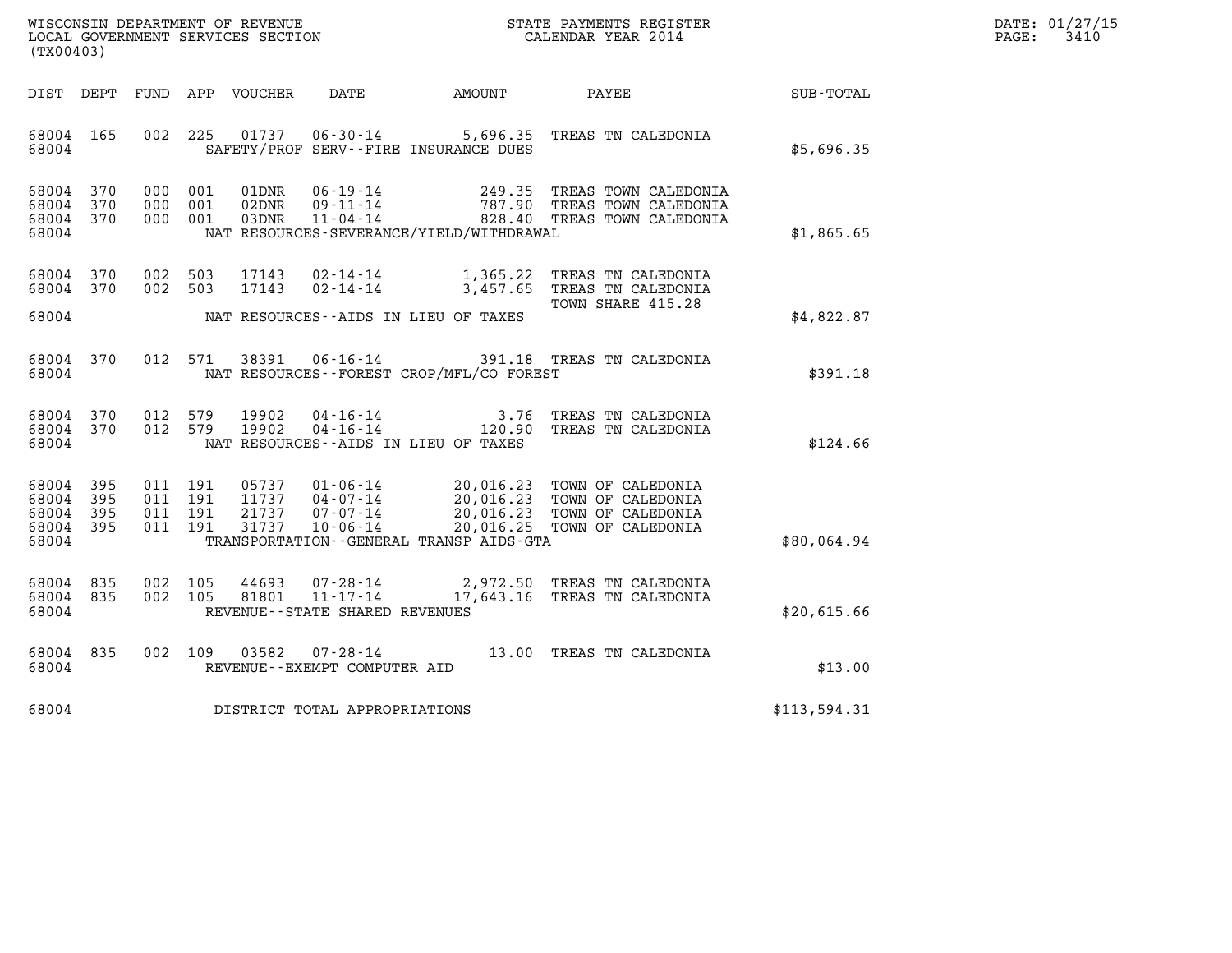| WISCONSIN DEPARTMENT OF REVENUE<br>LOCAL GOVERNMENT SERVICES SECTION | STATE PAYMENTS REGISTER<br>CALENDAR YEAR 2014 | DATE: 01/27/15<br>3410<br>PAGE: |
|----------------------------------------------------------------------|-----------------------------------------------|---------------------------------|

| (TX00403)                                 | WISCONSIN DEPARTMENT OF REVENUE<br>STATE PAYMENTS REGISTER<br>LOCAL GOVERNMENT SERVICES SECTION<br>CALENDAR YEAR 2014 |                                                                                                                                                                                 |                                                  |                                                                                  |              |  |  |  |  |
|-------------------------------------------|-----------------------------------------------------------------------------------------------------------------------|---------------------------------------------------------------------------------------------------------------------------------------------------------------------------------|--------------------------------------------------|----------------------------------------------------------------------------------|--------------|--|--|--|--|
| DIST<br>DEPT                              | FUND                                                                                                                  | <b>VOUCHER</b><br>APP<br>DATE                                                                                                                                                   | AMOUNT                                           | PAYEE                                                                            | SUB-TOTAL    |  |  |  |  |
| 68004<br>68004                            | 165<br>002                                                                                                            | 225<br>01737<br>$06 - 30 - 14$<br>SAFETY/PROF SERV--FIRE INSURANCE DUES                                                                                                         | 5,696.35                                         | TREAS TN CALEDONIA                                                               | \$5,696.35   |  |  |  |  |
| 68004<br>68004<br>68004<br>68004          | 370<br>000<br>370<br>000<br>370<br>000                                                                                | 001<br>01DNR<br>$06 - 19 - 14$<br>$09 - 11 - 14$<br>001<br>02DNR<br>$11 - 04 - 14$<br>001<br>03DNR<br>NAT RESOURCES-SEVERANCE/YIELD/WITHDRAWAL                                  | 249.35<br>787.90<br>828.40                       | TREAS TOWN CALEDONIA<br>TREAS TOWN CALEDONIA<br>TREAS TOWN CALEDONIA             | \$1,865.65   |  |  |  |  |
| 68004<br>68004                            | 370<br>002<br>370<br>002                                                                                              | 503<br>17143<br>$02 - 14 - 14$<br>503<br>17143<br>$02 - 14 - 14$                                                                                                                | 1,365.22<br>3,457.65                             | TREAS TN CALEDONIA<br>TREAS TN CALEDONIA<br>TOWN SHARE 415.28                    |              |  |  |  |  |
| 68004                                     |                                                                                                                       | NAT RESOURCES -- AIDS IN LIEU OF TAXES                                                                                                                                          |                                                  |                                                                                  | \$4,822.87   |  |  |  |  |
| 68004<br>68004                            | 370<br>012                                                                                                            | $06 - 16 - 14$<br>571<br>38391<br>NAT RESOURCES - - FOREST CROP/MFL/CO FOREST                                                                                                   |                                                  | 391.18 TREAS TN CALEDONIA                                                        | \$391.18     |  |  |  |  |
| 68004<br>68004<br>68004                   | 012<br>370<br>370<br>012                                                                                              | 19902<br>$04 - 16 - 14$<br>579<br>579<br>19902<br>$04 - 16 - 14$<br>NAT RESOURCES -- AIDS IN LIEU OF TAXES                                                                      | 3.76<br>120.90                                   | TREAS TN CALEDONIA<br>TREAS TN CALEDONIA                                         | \$124.66     |  |  |  |  |
| 68004<br>68004<br>68004<br>68004<br>68004 | 395<br>011<br>395<br>011<br>395<br>011<br>395<br>011                                                                  | 191<br>05737<br>$01 - 06 - 14$<br>191<br>11737<br>$04 - 07 - 14$<br>21737<br>$07 - 07 - 14$<br>191<br>191<br>31737<br>$10 - 06 - 14$<br>TRANSPORTATION--GENERAL TRANSP AIDS-GTA | 20,016.23<br>20,016.23<br>20,016.23<br>20,016.25 | TOWN OF CALEDONIA<br>TOWN OF CALEDONIA<br>TOWN OF CALEDONIA<br>TOWN OF CALEDONIA | \$80,064.94  |  |  |  |  |
| 68004<br>68004<br>68004                   | 835<br>002<br>835<br>002                                                                                              | 105<br>44693<br>$07 - 28 - 14$<br>$11 - 17 - 14$<br>105<br>81801<br>REVENUE--STATE SHARED REVENUES                                                                              | 2,972.50<br>17,643.16                            | TREAS TN CALEDONIA<br>TREAS TN CALEDONIA                                         | \$20,615.66  |  |  |  |  |
| 68004<br>68004                            | 835<br>002                                                                                                            | 109<br>03582<br>$07 - 28 - 14$<br>REVENUE--EXEMPT COMPUTER AID                                                                                                                  | 13.00                                            | TREAS TN CALEDONIA                                                               | \$13.00      |  |  |  |  |
| 68004                                     |                                                                                                                       | DISTRICT TOTAL APPROPRIATIONS                                                                                                                                                   |                                                  |                                                                                  | \$113,594.31 |  |  |  |  |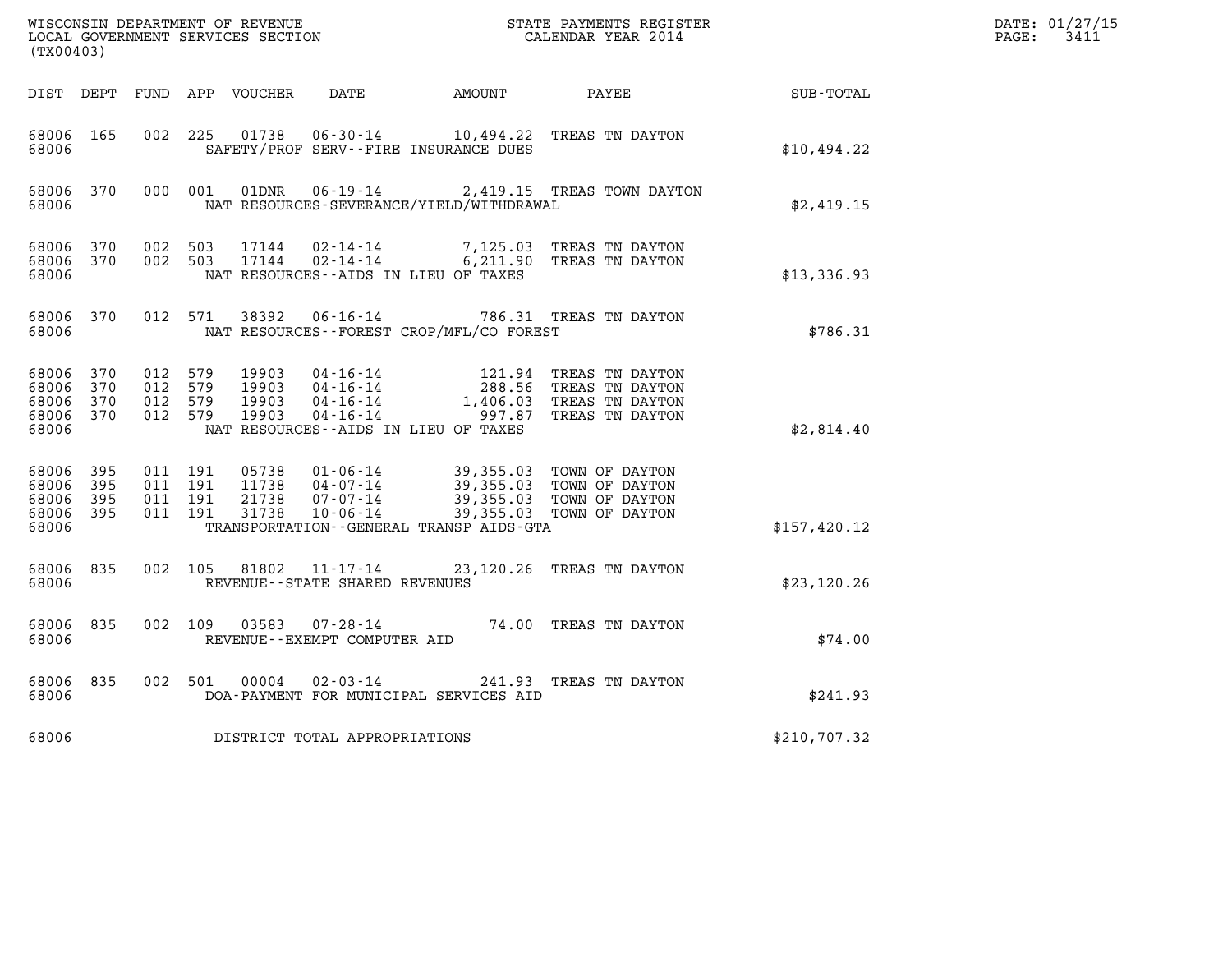| WISCONSIN DEPARTMENT OF REVENUE<br>LOCAL GOVERNMENT SERVICES SECTION<br>(TX00403) |                          |                                          |     |                                  |                                                    |                                                                                                              | STATE PAYMENTS REGISTER<br>CALENDAR YEAR 2014                                                      |                      | DATE: 01/27/15<br>$\mathtt{PAGE}$ :<br>3411 |
|-----------------------------------------------------------------------------------|--------------------------|------------------------------------------|-----|----------------------------------|----------------------------------------------------|--------------------------------------------------------------------------------------------------------------|----------------------------------------------------------------------------------------------------|----------------------|---------------------------------------------|
| DIST DEPT                                                                         |                          |                                          |     | FUND APP VOUCHER                 |                                                    | DATE AMOUNT PAYEE                                                                                            |                                                                                                    | $\texttt{SUB-TOTAL}$ |                                             |
| 68006 165<br>68006                                                                |                          | 002                                      | 225 | 01738                            |                                                    | SAFETY/PROF SERV--FIRE INSURANCE DUES                                                                        | 06-30-14 10,494.22 TREAS TN DAYTON                                                                 | \$10,494.22          |                                             |
| 68006 370<br>68006                                                                |                          | 000 001                                  |     | 01DNR                            |                                                    | NAT RESOURCES-SEVERANCE/YIELD/WITHDRAWAL                                                                     | 06-19-14 2,419.15 TREAS TOWN DAYTON                                                                | \$2,419.15           |                                             |
| 68006 370<br>68006<br>68006                                                       | 370                      | 002 503<br>002 503                       |     | 17144<br>17144                   | 02-14-14<br>02-14-14                               | NAT RESOURCES -- AIDS IN LIEU OF TAXES                                                                       | 7,125.03 TREAS TN DAYTON<br>6,211.90 TREAS TN DAYTON                                               | \$13,336.93          |                                             |
| 68006 370<br>68006                                                                |                          | 012 571                                  |     | 38392                            |                                                    | NAT RESOURCES--FOREST CROP/MFL/CO FOREST                                                                     | 06-16-14 786.31 TREAS TN DAYTON                                                                    | \$786.31             |                                             |
| 68006<br>68006<br>68006<br>68006<br>68006                                         | 370<br>370<br>370<br>370 | 012 579<br>012 579<br>012 579<br>012 579 |     | 19903<br>19903<br>19903<br>19903 | 04-16-14<br>$04 - 16 - 14$                         | 121.94<br>288.56<br>04-16-14 1,406.03<br>04-16-14 997.87<br>1,406.03<br>NAT RESOURCES--AIDS IN LIEU OF TAXES | TREAS TN DAYTON<br>TREAS TN DAYTON<br>TREAS TN DAYTON<br>TREAS TN DAYTON                           | \$2,814.40           |                                             |
| 68006 395<br>68006<br>68006<br>68006<br>68006                                     | 395<br>-395<br>- 395     | 011 191<br>011 191<br>011 191<br>011 191 |     | 05738<br>11738<br>21738<br>31738 | 01-06-14<br>$04 - 07 - 14$<br>07-07-14<br>10-06-14 | 39,355.03<br>TRANSPORTATION--GENERAL TRANSP AIDS-GTA                                                         | 39,355.03 TOWN OF DAYTON<br>39,355.03 TOWN OF DAYTON<br>TOWN OF DAYTON<br>39,355.03 TOWN OF DAYTON | \$157,420.12         |                                             |
| 68006 835<br>68006                                                                |                          | 002 105                                  |     |                                  | REVENUE - - STATE SHARED REVENUES                  |                                                                                                              | 81802  11-17-14  23,120.26  TREAS TN DAYTON                                                        | \$23,120.26          |                                             |
| 68006 835<br>68006                                                                |                          | 002 109                                  |     | 03583                            | $07 - 28 - 14$<br>REVENUE--EXEMPT COMPUTER AID     |                                                                                                              | 74.00 TREAS TN DAYTON                                                                              | \$74.00              |                                             |
| 68006 835<br>68006                                                                |                          | 002 501                                  |     | 00004                            | $02 - 03 - 14$                                     | DOA-PAYMENT FOR MUNICIPAL SERVICES AID                                                                       | 241.93 TREAS TN DAYTON                                                                             | \$241.93             |                                             |
| 68006                                                                             |                          |                                          |     |                                  | DISTRICT TOTAL APPROPRIATIONS                      |                                                                                                              |                                                                                                    | \$210,707.32         |                                             |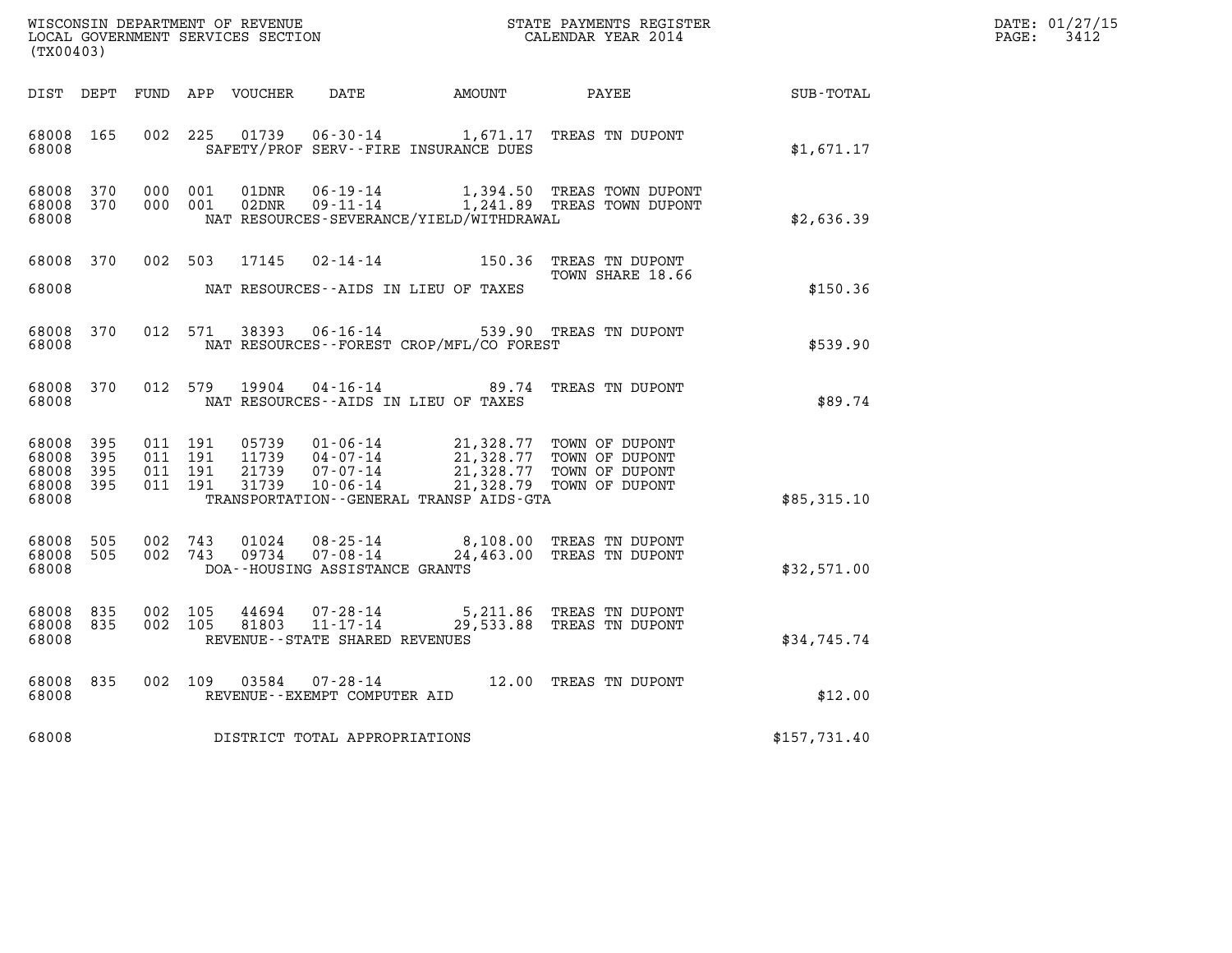| DATE: | 01/27/15 |
|-------|----------|
| PAGE: | 3412     |

| $\tt WISCONSIM DEPARTMENT OF REVENUE$ $\tt WISCONSIMENT$ SERVICES SECTION $\tt CALENDAR YEAR$ 2014 CALENDAR SERVICES SECTION<br>(TX00403) |            |                                  |                                  |                                                                      |                                             |                                                                                                              |              | DATE: 01/27/15<br>$\mathtt{PAGE:}$<br>3412 |
|-------------------------------------------------------------------------------------------------------------------------------------------|------------|----------------------------------|----------------------------------|----------------------------------------------------------------------|---------------------------------------------|--------------------------------------------------------------------------------------------------------------|--------------|--------------------------------------------|
| DIST DEPT                                                                                                                                 |            |                                  | FUND APP VOUCHER                 | DATE                                                                 | AMOUNT                                      | PAYEE                                                                                                        | SUB-TOTAL    |                                            |
| 68008<br>165<br>68008                                                                                                                     |            | 002 225                          | 01739                            |                                                                      | SAFETY/PROF SERV--FIRE INSURANCE DUES       | 06-30-14 1,671.17 TREAS TN DUPONT                                                                            | \$1,671.17   |                                            |
| 68008<br>370<br>68008<br>370<br>68008                                                                                                     | 000<br>000 | 001<br>001                       | 01DNR<br>02DNR                   | 06-19-14<br>$09 - 11 - 14$                                           | NAT RESOURCES-SEVERANCE/YIELD/WITHDRAWAL    | 1,394.50 TREAS TOWN DUPONT<br>1,241.89 TREAS TOWN DUPONT                                                     | \$2,636.39   |                                            |
| 68008<br>370<br>68008                                                                                                                     |            | 002 503                          | 17145                            |                                                                      | NAT RESOURCES--AIDS IN LIEU OF TAXES        | 02-14-14 150.36 TREAS TN DUPONT<br>TOWN SHARE 18.66                                                          | \$150.36     |                                            |
| 68008<br>370<br>68008                                                                                                                     |            | 012 571                          | 38393                            | $06 - 16 - 14$                                                       | NAT RESOURCES - - FOREST CROP/MFL/CO FOREST | 539.90 TREAS TN DUPONT                                                                                       | \$539.90     |                                            |
| 68008<br>370<br>68008                                                                                                                     |            | 012 579                          | 19904                            | 04-16-14                                                             | NAT RESOURCES -- AIDS IN LIEU OF TAXES      | 89.74 TREAS TN DUPONT                                                                                        | \$89.74      |                                            |
| 68008<br>395<br>68008<br>395<br>68008<br>395<br>68008 395<br>68008                                                                        | 011<br>011 | 011 191<br>011 191<br>191<br>191 | 05739<br>11739<br>21739<br>31739 | $01 - 06 - 14$<br>$04 - 07 - 14$<br>$07 - 07 - 14$<br>$10 - 06 - 14$ | TRANSPORTATION--GENERAL TRANSP AIDS-GTA     | 21,328.77 TOWN OF DUPONT<br>21,328.77 TOWN OF DUPONT<br>21,328.77 TOWN OF DUPONT<br>21,328.79 TOWN OF DUPONT | \$85,315.10  |                                            |
| 68008<br>505<br>68008<br>505<br>68008                                                                                                     | 002<br>002 | 743<br>743                       | 01024<br>09734                   | $08 - 25 - 14$<br>$07 - 08 - 14$<br>DOA--HOUSING ASSISTANCE GRANTS   |                                             | 8,108.00 TREAS TN DUPONT<br>24,463.00 TREAS TN DUPONT                                                        | \$32,571.00  |                                            |
| 68008<br>835<br>68008<br>835<br>68008                                                                                                     |            | 002 105<br>002 105               | 44694<br>81803                   | 07-28-14<br>$11 - 17 - 14$<br>REVENUE - - STATE SHARED REVENUES      |                                             | 5,211.86 TREAS TN DUPONT<br>29,533.88 TREAS TN DUPONT                                                        | \$34,745.74  |                                            |
| 68008<br>835<br>68008                                                                                                                     |            | 002 109                          | 03584                            | REVENUE--EXEMPT COMPUTER AID                                         |                                             | 07-28-14 12.00 TREAS TN DUPONT                                                                               | \$12.00      |                                            |
| 68008                                                                                                                                     |            |                                  |                                  | DISTRICT TOTAL APPROPRIATIONS                                        |                                             |                                                                                                              | \$157,731.40 |                                            |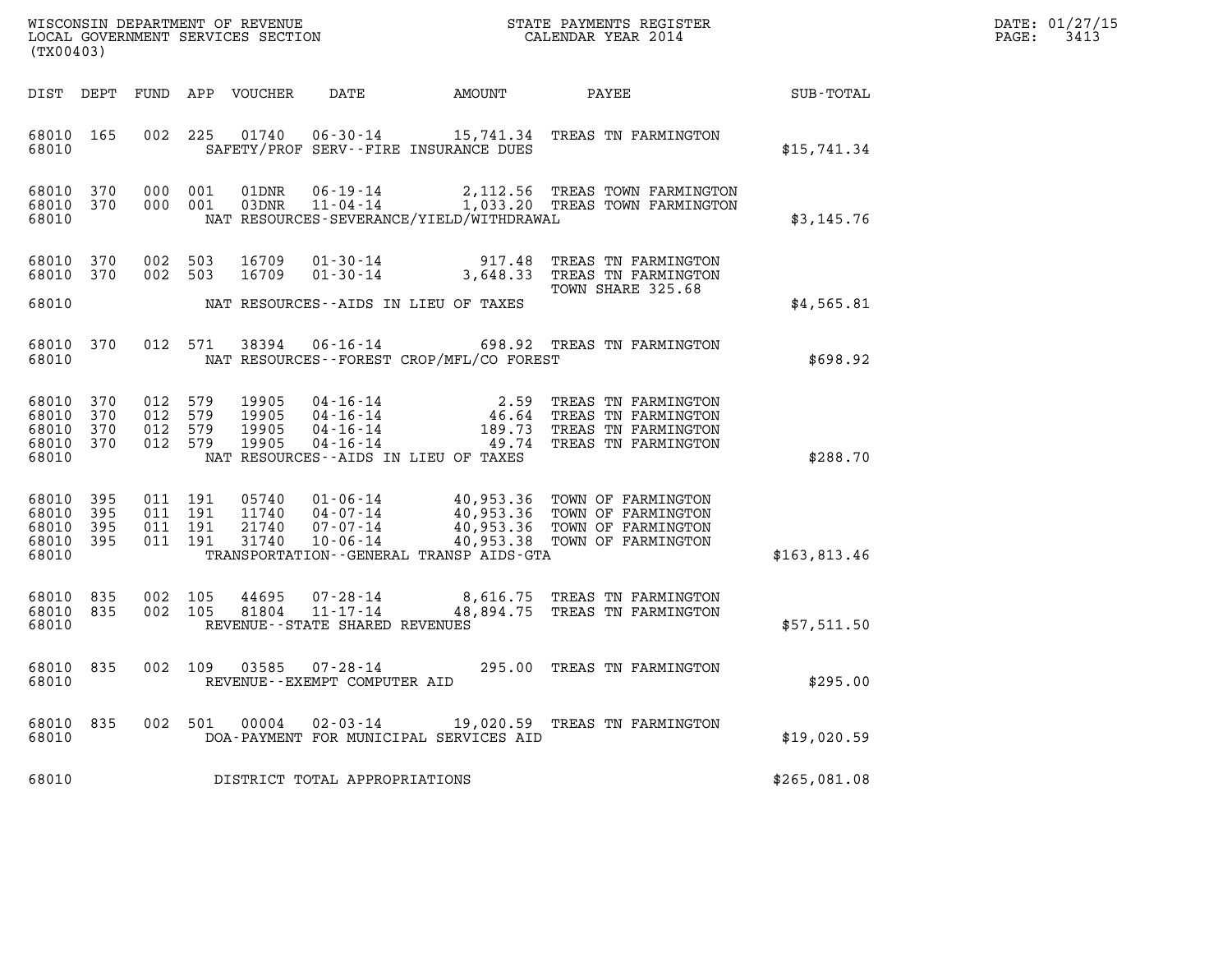| DATE: | 01/27/15 |
|-------|----------|
| PAGE: | 3413     |

| WISCONSIN DEPARTMENT OF REVENUE<br>LOCAL GOVERNMENT SERVICES SECTION<br>(TX00403) |                          |                                          |                   |                                  |                                                                       |                                                            | STATE PAYMENTS REGISTER<br>CALENDAR YEAR 2014                                                                                |              | DATE: 01/27/15<br>3413<br>PAGE: |
|-----------------------------------------------------------------------------------|--------------------------|------------------------------------------|-------------------|----------------------------------|-----------------------------------------------------------------------|------------------------------------------------------------|------------------------------------------------------------------------------------------------------------------------------|--------------|---------------------------------|
|                                                                                   | DIST DEPT FUND           |                                          |                   | APP VOUCHER                      | DATE                                                                  | AMOUNT                                                     | PAYEE                                                                                                                        | SUB-TOTAL    |                                 |
| 68010 165<br>68010                                                                |                          | 002                                      | 225               | 01740                            |                                                                       | SAFETY/PROF SERV--FIRE INSURANCE DUES                      | 06-30-14 15,741.34 TREAS TN FARMINGTON                                                                                       | \$15,741.34  |                                 |
| 68010<br>68010 370<br>68010                                                       | 370                      | 000 001<br>000 001                       |                   | 01DNR<br>03DNR                   | 06-19-14                                                              | NAT RESOURCES-SEVERANCE/YIELD/WITHDRAWAL                   | 2,112.56 TREAS TOWN FARMINGTON<br>11-04-14 1,033.20 TREAS TOWN FARMINGTON                                                    | \$3,145.76   |                                 |
| 68010<br>68010<br>68010                                                           | 370<br>370               | 002<br>002 503                           | 503               | 16709<br>16709                   | $01 - 30 - 14$<br>$01 - 30 - 14$                                      | 917.48<br>3,648.33<br>NAT RESOURCES--AIDS IN LIEU OF TAXES | TREAS TN FARMINGTON<br>TREAS TN FARMINGTON<br>TOWN SHARE 325.68                                                              | \$4,565.81   |                                 |
| 68010<br>68010                                                                    | 370                      | 012 571                                  |                   | 38394                            | 06-16-14                                                              | NAT RESOURCES--FOREST CROP/MFL/CO FOREST                   | 698.92 TREAS TN FARMINGTON                                                                                                   | \$698.92     |                                 |
| 68010<br>68010<br>68010<br>68010<br>68010                                         | 370<br>370<br>370<br>370 | 012<br>012<br>012<br>012 579             | 579<br>579<br>579 | 19905<br>19905<br>19905<br>19905 | 04 - 16 - 14<br>04 - 16 - 14<br>04 - 16 - 14<br>$04 - 16 - 14$        | 2.59<br>NAT RESOURCES -- AIDS IN LIEU OF TAXES             | TREAS TN FARMINGTON<br>46.64 TREAS TN FARMINGTON<br>189.73 TREAS TN FARMINGTON<br>49.74 TREAS TN FARMINGTON                  | \$288.70     |                                 |
| 68010<br>68010<br>68010<br>68010<br>68010                                         | 395<br>395<br>395<br>395 | 011 191<br>011 191<br>011 191<br>011 191 |                   | 05740<br>11740<br>21740<br>31740 | $01 - 06 - 14$<br>04-07-14<br>07-07-14<br>$10 - 06 - 14$              | TRANSPORTATION--GENERAL TRANSP AIDS-GTA                    | 40,953.36 TOWN OF FARMINGTON<br>40,953.36 TOWN OF FARMINGTON<br>40,953.36 TOWN OF FARMINGTON<br>40,953.38 TOWN OF FARMINGTON | \$163,813.46 |                                 |
| 68010<br>68010 835<br>68010                                                       | 835                      | 002<br>002 105                           | 105               | 44695<br>81804                   | $07 - 28 - 14$<br>$11 - 17 - 14$<br>REVENUE - - STATE SHARED REVENUES |                                                            | 8,616.75 TREAS TN FARMINGTON<br>48,894.75 TREAS TN FARMINGTON                                                                | \$57,511.50  |                                 |
| 68010 835<br>68010                                                                |                          | 002 109                                  |                   | 03585                            | 07-28-14<br>REVENUE--EXEMPT COMPUTER AID                              |                                                            | 295.00 TREAS TN FARMINGTON                                                                                                   | \$295.00     |                                 |
| 68010 835<br>68010                                                                |                          |                                          | 002 501           | 00004                            | $02 - 03 - 14$                                                        | DOA-PAYMENT FOR MUNICIPAL SERVICES AID                     | 19,020.59 TREAS TN FARMINGTON                                                                                                | \$19,020.59  |                                 |
| 68010                                                                             |                          |                                          |                   |                                  | DISTRICT TOTAL APPROPRIATIONS                                         |                                                            |                                                                                                                              | \$265,081.08 |                                 |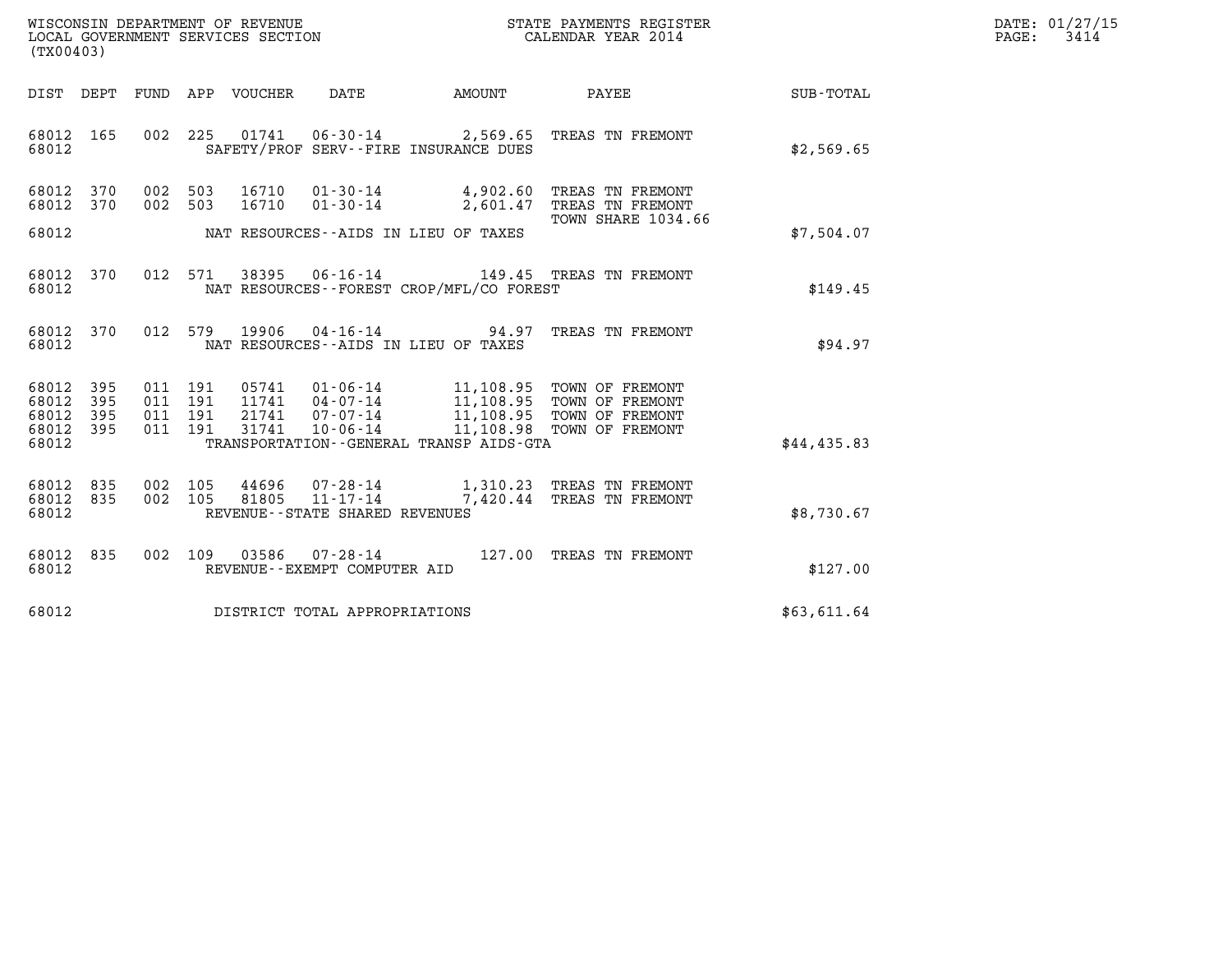| WISCONSIN DEPARTMENT OF REVENUE   | STATE PAYMENTS REGISTER | DATE: 01/27/15 |
|-----------------------------------|-------------------------|----------------|
| LOCAL GOVERNMENT SERVICES SECTION | CALENDAR YEAR 2014      | 3414<br>PAGE:  |

| (TX00403)                   |            |  |                                      |                                                  |                                          |                                                                                                                                           |             | DATE: 01/27/15<br>3414<br>PAGE: |
|-----------------------------|------------|--|--------------------------------------|--------------------------------------------------|------------------------------------------|-------------------------------------------------------------------------------------------------------------------------------------------|-------------|---------------------------------|
|                             |            |  |                                      |                                                  |                                          | DIST DEPT FUND APP VOUCHER DATE AMOUNT PAYEE                                                                                              | SUB-TOTAL   |                                 |
| 68012 165<br>68012          |            |  |                                      |                                                  | SAFETY/PROF SERV--FIRE INSURANCE DUES    | 002 225 01741 06-30-14 2,569.65 TREAS TN FREMONT                                                                                          | \$2,569.65  |                                 |
| 68012 370<br>68012          | 370        |  |                                      |                                                  |                                          | 002 503 16710 01-30-14 4,902.60 TREAS TN FREMONT<br>002 503 16710 01-30-14 2,601.47 TREAS TN FREMONT                                      |             |                                 |
| 68012                       |            |  |                                      |                                                  | NAT RESOURCES--AIDS IN LIEU OF TAXES     | TOWN SHARE 1034.66                                                                                                                        | \$7.504.07  |                                 |
| 68012 370<br>68012          |            |  |                                      |                                                  | NAT RESOURCES--FOREST CROP/MFL/CO FOREST | 012 571 38395 06-16-14 149.45 TREAS TN FREMONT                                                                                            | \$149.45    |                                 |
| 68012 370<br>68012          |            |  | 012 579 19906                        |                                                  | NAT RESOURCES--AIDS IN LIEU OF TAXES     | 04-16-14 94.97 TREAS TN FREMONT                                                                                                           | \$94.97     |                                 |
| 68012<br>68012              | 395<br>395 |  | 011 191<br>011 191                   |                                                  |                                          | 05741  01-06-14  11,108.95  TOWN OF FREMONT<br>11741  04-07-14  11,108.95  TOWN OF FREMONT<br>21741  07-07-14  11,108.95  TOWN OF FREMONT |             |                                 |
| 68012<br>68012<br>68012     | 395<br>395 |  | 011 191<br>31741<br>011 191          | $10 - 06 - 14$                                   | TRANSPORTATION--GENERAL TRANSP AIDS-GTA  | 11,108.98 TOWN OF FREMONT                                                                                                                 | \$44,435.83 |                                 |
| 68012 835<br>68012<br>68012 | 835        |  | 002 105<br>44696<br>002 105<br>81805 | $11 - 17 - 14$<br>REVENUE--STATE SHARED REVENUES |                                          | 07-28-14 1,310.23 TREAS TN FREMONT<br>7,420.44 TREAS TN FREMONT                                                                           | \$8,730.67  |                                 |
| 68012 835<br>68012          |            |  |                                      | REVENUE--EXEMPT COMPUTER AID                     |                                          | 002 109 03586 07-28-14 127.00 TREAS TN FREMONT                                                                                            | \$127.00    |                                 |
| 68012                       |            |  | DISTRICT TOTAL APPROPRIATIONS        |                                                  |                                          |                                                                                                                                           | \$63,611.64 |                                 |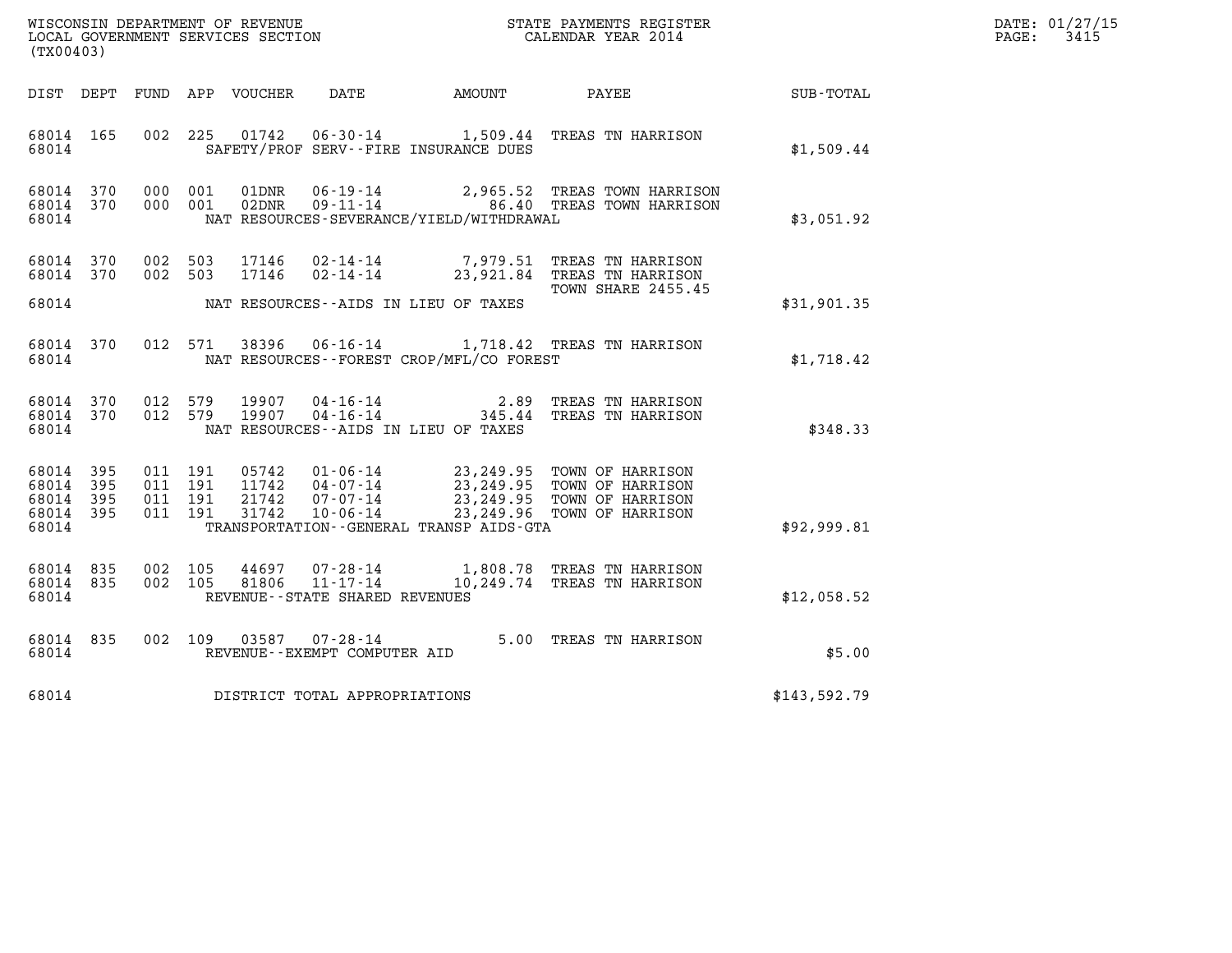| DATE: | 01/27/15 |
|-------|----------|
| PAGE: | 3415     |

| %WISCONSIN DEPARTMENT OF REVENUE $$\tt STATE$ PAYMENTS REGISTER LOCAL GOVERNMENT SERVICES SECTION $$\tt CALEINDAR$ YEAR 2014<br>(TX00403) |           |                                          |         |                |                                                                 |                                              |                                                                                      |              | DATE: 01/27/15<br>$\mathtt{PAGE:}$<br>3415 |
|-------------------------------------------------------------------------------------------------------------------------------------------|-----------|------------------------------------------|---------|----------------|-----------------------------------------------------------------|----------------------------------------------|--------------------------------------------------------------------------------------|--------------|--------------------------------------------|
|                                                                                                                                           |           |                                          |         |                |                                                                 | DIST DEPT FUND APP VOUCHER DATE AMOUNT       | PAYEE                                                                                | SUB-TOTAL    |                                            |
| 68014 165<br>68014                                                                                                                        |           |                                          |         | 002 225 01742  |                                                                 | SAFETY/PROF SERV--FIRE INSURANCE DUES        | 06-30-14 1,509.44 TREAS TN HARRISON                                                  | \$1,509.44   |                                            |
| 68014 370<br>68014 370<br>68014                                                                                                           |           | 000 001<br>000 001                       |         | 01DNR<br>02DNR |                                                                 | NAT RESOURCES-SEVERANCE/YIELD/WITHDRAWAL     | 06-19-14 2,965.52 TREAS TOWN HARRISON<br>09-11-14 86.40 TREAS TOWN HARRISON          | \$3,051.92   |                                            |
| 68014 370<br>68014 370                                                                                                                    |           | 002 503                                  | 002 503 | 17146          |                                                                 |                                              | 17146  02-14-14  7,979.51  TREAS TN HARRISON<br>02-14-14 23,921.84 TREAS TN HARRISON |              |                                            |
| 68014                                                                                                                                     |           |                                          |         |                |                                                                 | NAT RESOURCES--AIDS IN LIEU OF TAXES         | TOWN SHARE 2455.45                                                                   | \$31,901.35  |                                            |
| 68014                                                                                                                                     | 68014 370 | 012 571                                  |         | 38396          |                                                                 | NAT RESOURCES--FOREST CROP/MFL/CO FOREST     | 06-16-14 1,718.42 TREAS TN HARRISON                                                  | \$1,718.42   |                                            |
| 68014                                                                                                                                     | 68014 370 | 68014 370 012 579<br>012 579             |         | 19907<br>19907 |                                                                 | NAT RESOURCES--AIDS IN LIEU OF TAXES         | 04-16-14 2.89 TREAS TN HARRISON<br>04-16-14 345.44 TREAS TN HARRISON                 | \$348.33     |                                            |
| 68014 395<br>68014 395<br>68014 395<br>68014 395<br>68014                                                                                 |           | 011 191<br>011 191<br>011 191<br>011 191 |         |                | 21742 07-07-14                                                  | TRANSPORTATION - - GENERAL TRANSP AIDS - GTA | 23, 249.95 TOWN OF HARRISON<br>31742  10-06-14  23,249.96  TOWN OF HARRISON          | \$92,999.81  |                                            |
| 68014 835<br>68014 835<br>68014                                                                                                           |           | 002 105<br>002 105                       |         | 44697<br>81806 | 07-28-14<br>$11 - 17 - 14$<br>REVENUE - - STATE SHARED REVENUES |                                              | 1,808.78 TREAS TN HARRISON<br>10,249.74 TREAS TN HARRISON                            | \$12,058.52  |                                            |
| 68014 835<br>68014                                                                                                                        |           |                                          |         | 002 109 03587  | $07 - 28 - 14$<br>REVENUE--EXEMPT COMPUTER AID                  |                                              | 5.00 TREAS TN HARRISON                                                               | \$5.00       |                                            |
| 68014                                                                                                                                     |           |                                          |         |                | DISTRICT TOTAL APPROPRIATIONS                                   |                                              |                                                                                      | \$143,592.79 |                                            |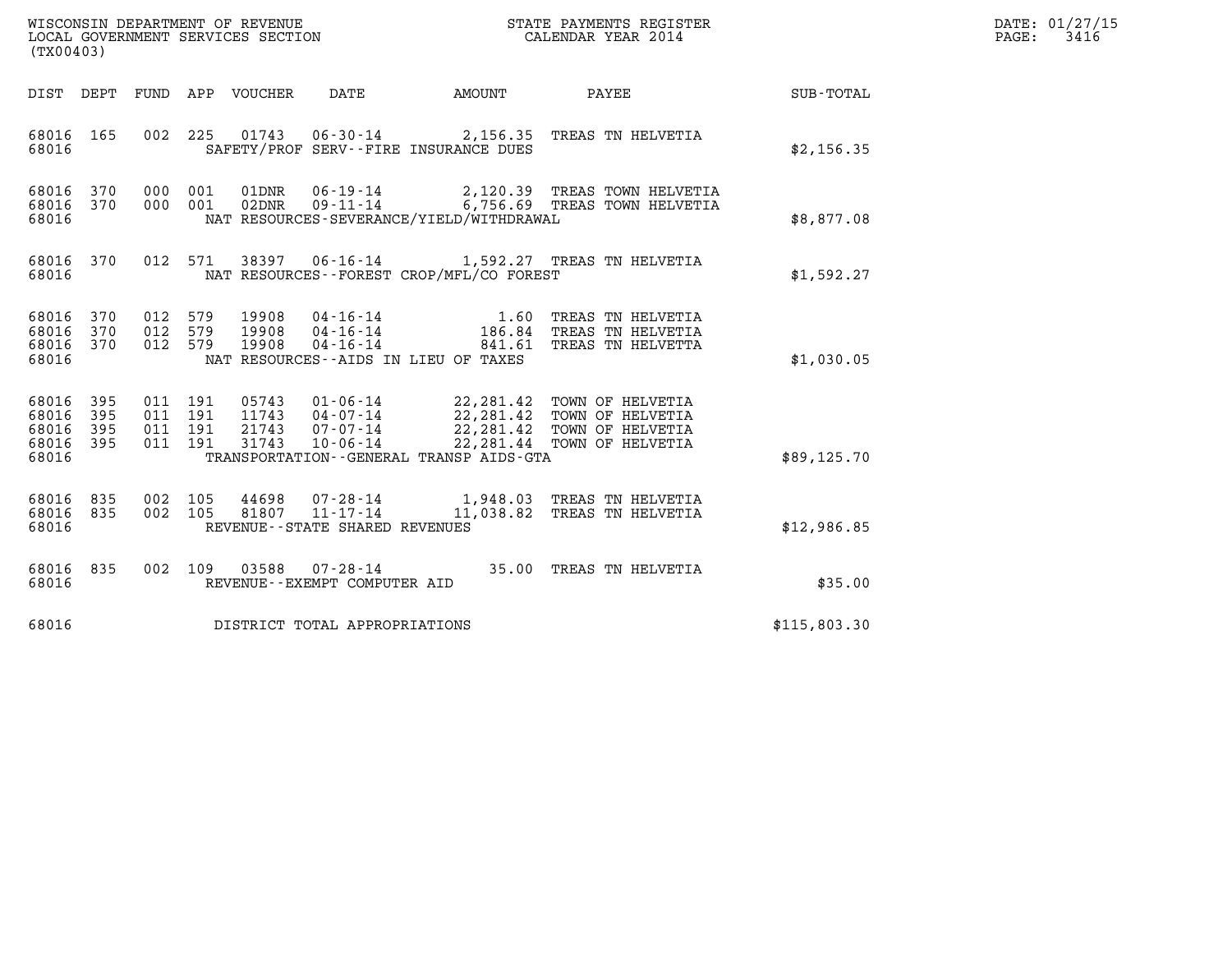| WISCONSIN DEPARTMENT OF REVENUE<br>LOCAL GOVERNMENT SERVICES SECTION | STATE PAYMENTS REGISTER<br>CALENDAR YEAR 2014 | DATE: 01/27/15<br>3416<br>PAGE: |
|----------------------------------------------------------------------|-----------------------------------------------|---------------------------------|

| WISCONSIN DEPARTMENT OF REVENUE<br>LOCAL GOVERNMENT SERVICES SECTION<br>LOCAL GOVERNMENT SERVICES SECTION<br>CALENDAR YEAR 2014<br>(TX00403) |                               |                   |  |  |                                              |                                                                                                                                                                                                                                                                                                                  |              | DATE: 01/27/15<br>$\mathtt{PAGE}$ :<br>3416 |
|----------------------------------------------------------------------------------------------------------------------------------------------|-------------------------------|-------------------|--|--|----------------------------------------------|------------------------------------------------------------------------------------------------------------------------------------------------------------------------------------------------------------------------------------------------------------------------------------------------------------------|--------------|---------------------------------------------|
|                                                                                                                                              |                               |                   |  |  | DIST DEPT FUND APP VOUCHER DATE AMOUNT       | <b>PAYEE</b> PAYEE                                                                                                                                                                                                                                                                                               | SUB-TOTAL    |                                             |
| 68016                                                                                                                                        | 68016 165                     |                   |  |  | SAFETY/PROF SERV--FIRE INSURANCE DUES        | 002 225 01743 06-30-14 2,156.35 TREAS TN HELVETIA                                                                                                                                                                                                                                                                | \$2,156.35   |                                             |
| 68016                                                                                                                                        |                               |                   |  |  | NAT RESOURCES-SEVERANCE/YIELD/WITHDRAWAL     |                                                                                                                                                                                                                                                                                                                  | \$8,877.08   |                                             |
| 68016                                                                                                                                        |                               |                   |  |  | NAT RESOURCES--FOREST CROP/MFL/CO FOREST     | 68016 370 012 571 38397 06-16-14 1,592.27 TREAS TN HELVETIA                                                                                                                                                                                                                                                      | \$1,592.27   |                                             |
| 68016                                                                                                                                        |                               |                   |  |  | NAT RESOURCES--AIDS IN LIEU OF TAXES         | $\begin{array}{cccc} 68016 & 370 & 012 & 579 & 19908 & 04\cdot 16\cdot 14 & 1.60 & \text{TREAS TN HELVETIA} \\ 68016 & 370 & 012 & 579 & 19908 & 04\cdot 16\cdot 14 & 186.84 & \text{TREAS TN HELVETIA} \\ 68016 & 370 & 012 & 579 & 19908 & 04\cdot 16\cdot 14 & 841.61 & \text{TREAS TN HELVETTA} \end{array}$ | \$1,030.05   |                                             |
| 68016 395<br>68016<br>68016                                                                                                                  | 395<br>68016 395<br>68016 395 |                   |  |  | TRANSPORTATION - - GENERAL TRANSP AIDS - GTA |                                                                                                                                                                                                                                                                                                                  | \$89,125.70  |                                             |
| 68016                                                                                                                                        | 68016 835                     | 68016 835 002 105 |  |  | REVENUE--STATE SHARED REVENUES               | $\begin{array}{cccc} 002 & 105 & 44698 & 07\cdot 28\cdot 14 & 1,948.03 & \text{TREAS TN HELVETIA} \\ 002 & 105 & 81807 & 11\cdot 17\cdot 14 & 11,038.82 & \text{TREAS TN HELVETIA} \end{array}$                                                                                                                  | \$12,986.85  |                                             |
| 68016                                                                                                                                        | 68016 835                     |                   |  |  | REVENUE--EXEMPT COMPUTER AID                 | 002 109 03588 07-28-14 35.00 TREAS TN HELVETIA                                                                                                                                                                                                                                                                   | \$35.00      |                                             |
| 68016                                                                                                                                        |                               |                   |  |  | DISTRICT TOTAL APPROPRIATIONS                |                                                                                                                                                                                                                                                                                                                  | \$115.803.30 |                                             |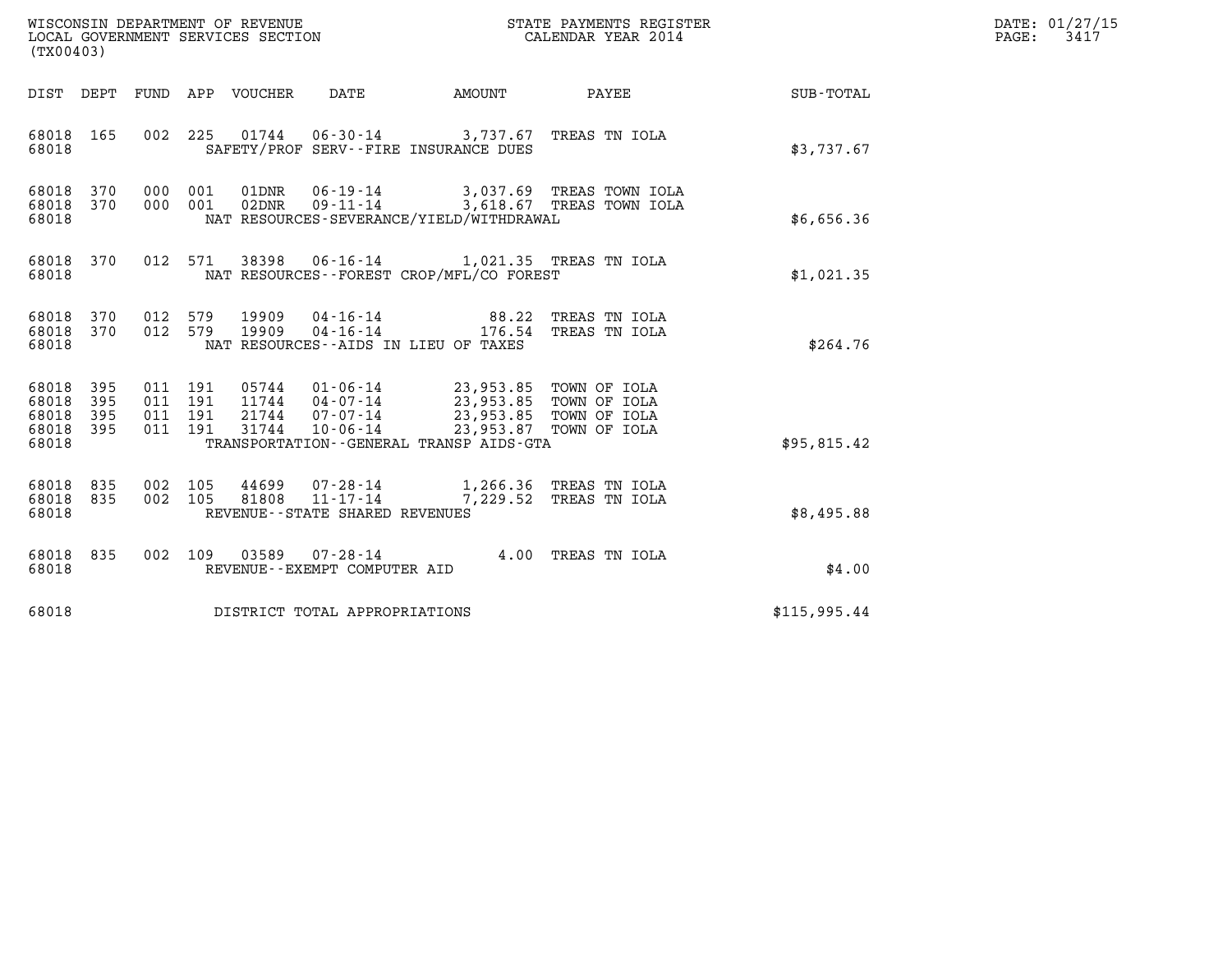| DATE: | 01/27/15 |
|-------|----------|
| PAGE: | 3417     |

| NC NO<br>WISCONSIN DEPARTMENT OF REVENUE<br>LOCAL GOVERNMENT SERVICES SECTION<br>(TX00403) |                   |                                          |                |                            |                                                                 |                                                                                                                                                           | STATE PAYMENTS REGISTER<br>CALENDAR YEAR 2014        |              | DATE: 01/27/15<br>$\mathtt{PAGE:}$<br>3417 |
|--------------------------------------------------------------------------------------------|-------------------|------------------------------------------|----------------|----------------------------|-----------------------------------------------------------------|-----------------------------------------------------------------------------------------------------------------------------------------------------------|------------------------------------------------------|--------------|--------------------------------------------|
|                                                                                            |                   |                                          |                | DIST DEPT FUND APP VOUCHER | DATE                                                            | AMOUNT                                                                                                                                                    | PAYEE                                                | SUB-TOTAL    |                                            |
| 68018 165<br>68018                                                                         |                   |                                          | 002 225        |                            |                                                                 | 01744  06-30-14  3,737.67  TREAS TN IOLA<br>SAFETY/PROF SERV--FIRE INSURANCE DUES                                                                         |                                                      | \$3,737.67   |                                            |
| 68018<br>68018 370<br>68018                                                                | 370               | 000                                      | 001<br>000 001 | 01DNR                      | $06 - 19 - 14$<br>$02DNR$ $09-11-14$                            | NAT RESOURCES-SEVERANCE/YIELD/WITHDRAWAL                                                                                                                  | 3,037.69 TREAS TOWN IOLA<br>3,618.67 TREAS TOWN IOLA | \$6,656.36   |                                            |
| 68018 370<br>68018                                                                         |                   |                                          | 012 571        |                            |                                                                 | 38398  06-16-14  1,021.35  TREAS TN IOLA<br>NAT RESOURCES--FOREST CROP/MFL/CO FOREST                                                                      |                                                      | \$1,021.35   |                                            |
| 68018 370<br>68018 370<br>68018                                                            |                   | 012 579                                  | 012 579        |                            |                                                                 | 19909  04-16-14  88.22 TREAS TN IOLA<br>19909  04-16-14  176.54 TREAS TN IOLA<br>NAT RESOURCES--AIDS IN LIEU OF TAXES                                     |                                                      | \$264.76     |                                            |
| 68018<br>68018<br>68018<br>68018 395<br>68018                                              | 395<br>395<br>395 | 011 191<br>011 191<br>011 191<br>011 191 |                | 31744                      | 21744 07-07-14<br>$10 - 06 - 14$                                | 05744  01-06-14  23,953.85  TOWN OF IOLA<br>11744  04-07-14  23,953.85  TOWN OF IOLA<br>23,953.85 TOWN OF IOLA<br>TRANSPORTATION--GENERAL TRANSP AIDS-GTA | 23,953.87 TOWN OF IOLA                               | \$95,815.42  |                                            |
| 68018<br>68018 835<br>68018                                                                | 835               | 002 105<br>002 105                       |                | 44699<br>81808             | $07 - 28 - 14$<br>11-17-14<br>REVENUE - - STATE SHARED REVENUES |                                                                                                                                                           | 1,266.36 TREAS TN IOLA<br>7,229.52 TREAS TN IOLA     | \$8,495.88   |                                            |
| 68018<br>68018                                                                             | 835               |                                          |                |                            | 002 109 03589 07-28-14<br>REVENUE--EXEMPT COMPUTER AID          |                                                                                                                                                           | 4.00 TREAS TN IOLA                                   | \$4.00       |                                            |
| 68018                                                                                      |                   |                                          |                |                            | DISTRICT TOTAL APPROPRIATIONS                                   |                                                                                                                                                           |                                                      | \$115,995.44 |                                            |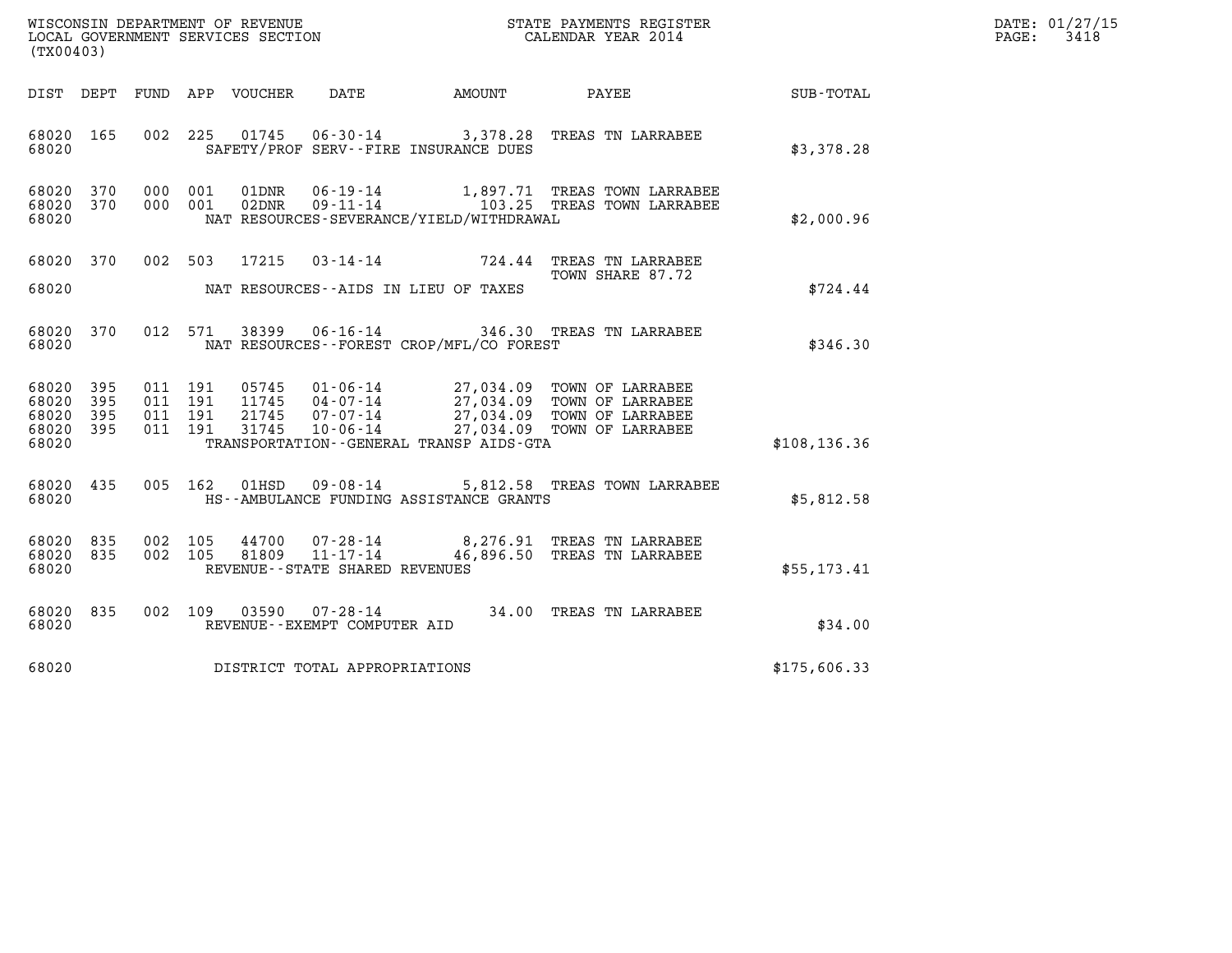| WISCONSIN DEPARTMENT OF REVENUE<br>LOCAL GOVERNMENT SERVICES SECTION<br>$1$ musical $1$ $0$ $0$ $1$ | STATE PAYMENTS REGISTER<br>CALENDAR YEAR 2014 | DATE: 01/27/15<br>3418<br>PAGE: |
|-----------------------------------------------------------------------------------------------------|-----------------------------------------------|---------------------------------|

|                         | WISCONSIN DEPARTMENT OF REVENUE<br>STATE PAYMENTS REGISTER<br>LOCAL GOVERNMENT SERVICES SECTION<br>CALENDAR YEAR 2014<br>(TX00403) |            |            |                |                                                                 |                                                                        |                                                            |               |
|-------------------------|------------------------------------------------------------------------------------------------------------------------------------|------------|------------|----------------|-----------------------------------------------------------------|------------------------------------------------------------------------|------------------------------------------------------------|---------------|
| DIST                    | DEPT                                                                                                                               | FUND       | APP        | VOUCHER        | DATE                                                            | AMOUNT                                                                 | PAYEE                                                      | SUB-TOTAL     |
| 68020<br>68020          | 165                                                                                                                                | 002        | 225        | 01745          | $06 - 30 - 14$                                                  | SAFETY/PROF SERV--FIRE INSURANCE DUES                                  | 3,378.28 TREAS TN LARRABEE                                 | \$3,378.28    |
| 68020<br>68020<br>68020 | 370<br>370                                                                                                                         | 000<br>000 | 001<br>001 | 01DNR<br>02DNR | $06 - 19 - 14$<br>$09 - 11 - 14$                                | NAT RESOURCES-SEVERANCE/YIELD/WITHDRAWAL                               | 1,897.71 TREAS TOWN LARRABEE<br>103.25 TREAS TOWN LARRABEE | \$2,000.96    |
| 68020                   | 370                                                                                                                                | 002        | 503        | 17215          | $03 - 14 - 14$                                                  | 724.44                                                                 | TREAS TN LARRABEE<br>TOWN SHARE 87.72                      |               |
| 68020                   |                                                                                                                                    |            |            |                | NAT RESOURCES--AIDS IN LIEU OF TAXES                            |                                                                        |                                                            | \$724.44      |
| 68020<br>68020          | 370                                                                                                                                | 012        | 571        | 38399          | $06 - 16 - 14$                                                  | NAT RESOURCES - - FOREST CROP/MFL/CO FOREST                            | 346.30 TREAS TN LARRABEE                                   | \$346.30      |
| 68020<br>68020          | 395<br>395                                                                                                                         | 011<br>011 | 191<br>191 | 05745<br>11745 | $01 - 06 - 14$<br>$04 - 07 - 14$                                | 27,034.09                                                              | TOWN OF LARRABEE<br>27,034.09 TOWN OF LARRABEE             |               |
| 68020<br>68020<br>68020 | 395<br>395                                                                                                                         | 011<br>011 | 191<br>191 | 21745<br>31745 | 07-07-14<br>10-06-14                                            | 27,034.09<br>27,034.09<br>TRANSPORTATION - - GENERAL TRANSP AIDS - GTA | TOWN OF LARRABEE<br>TOWN OF LARRABEE                       | \$108, 136.36 |
| 68020<br>68020          | 435                                                                                                                                | 005        | 162        | 01HSD          | $09 - 08 - 14$                                                  | 5,812.58<br>HS--AMBULANCE FUNDING ASSISTANCE GRANTS                    | TREAS TOWN LARRABEE                                        | \$5,812.58    |
| 68020<br>68020<br>68020 | 835<br>835                                                                                                                         | 002<br>002 | 105<br>105 | 44700<br>81809 | 07-28-14<br>$11 - 17 - 14$<br>REVENUE - - STATE SHARED REVENUES | 8,276.91<br>46,896.50                                                  | TREAS TN LARRABEE<br>TREAS TN LARRABEE                     | \$55, 173.41  |
| 68020<br>68020          | 835                                                                                                                                | 002        | 109        | 03590          | $07 - 28 - 14$<br>REVENUE--EXEMPT COMPUTER AID                  | 34.00                                                                  | TREAS TN LARRABEE                                          | \$34.00       |
| 68020                   |                                                                                                                                    |            |            |                | DISTRICT TOTAL APPROPRIATIONS                                   |                                                                        |                                                            | \$175,606.33  |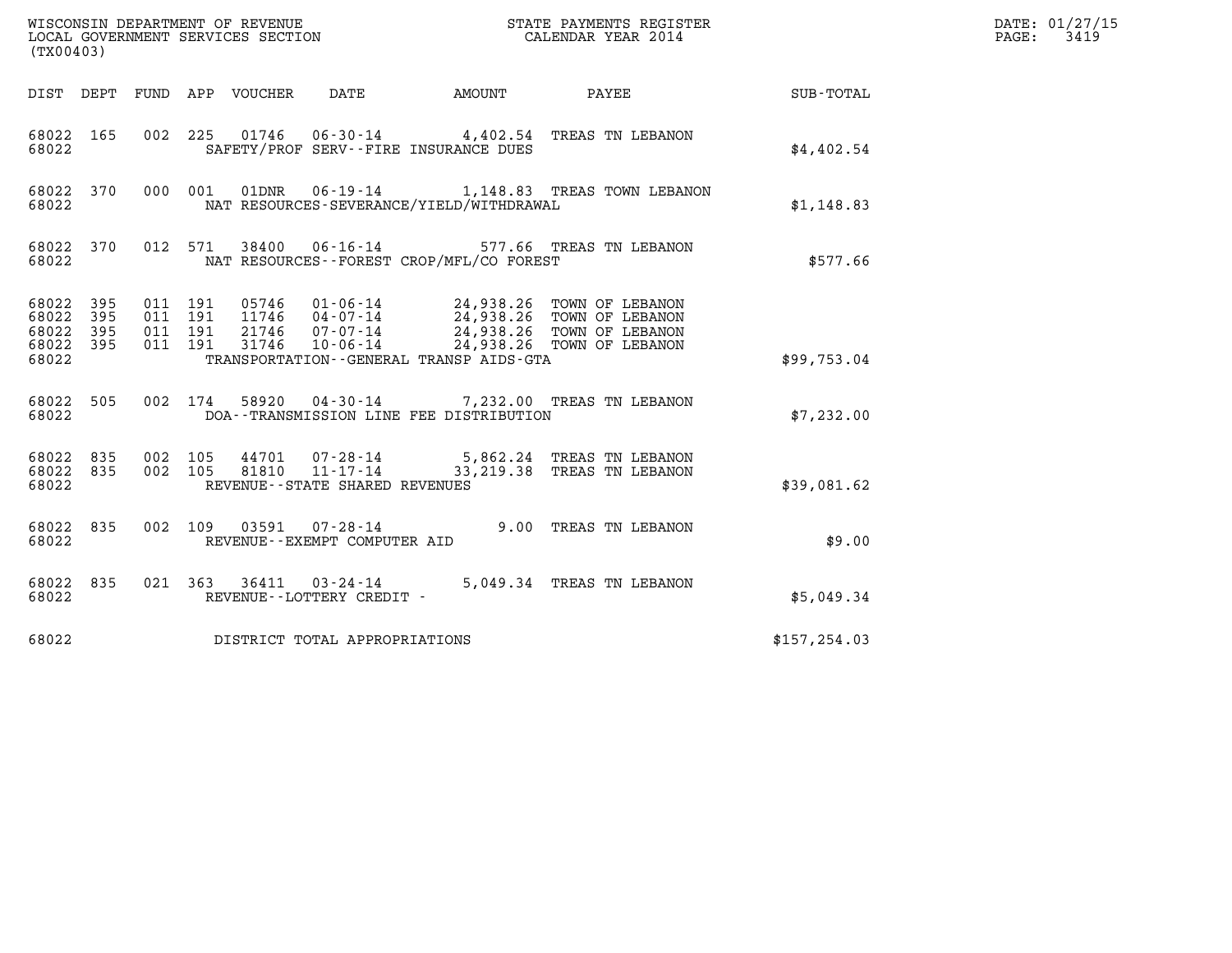| (TX00403)                                     |                   |                    |                                               |                                                                                  |        |                                                                                                                                                                                   |                 | DATE: 01/27/15<br>$\mathtt{PAGE}$ :<br>3419 |
|-----------------------------------------------|-------------------|--------------------|-----------------------------------------------|----------------------------------------------------------------------------------|--------|-----------------------------------------------------------------------------------------------------------------------------------------------------------------------------------|-----------------|---------------------------------------------|
|                                               |                   |                    | DIST DEPT FUND APP VOUCHER                    | DATE                                                                             | AMOUNT |                                                                                                                                                                                   | PAYEE SUB-TOTAL |                                             |
| 68022 165<br>68022                            |                   | 002 225            |                                               | SAFETY/PROF SERV--FIRE INSURANCE DUES                                            |        | 01746  06-30-14  4,402.54  TREAS TN LEBANON                                                                                                                                       | \$4,402.54      |                                             |
| 68022 370<br>68022                            |                   | 000 001            | 01DNR                                         | NAT RESOURCES-SEVERANCE/YIELD/WITHDRAWAL                                         |        | 06-19-14 1,148.83 TREAS TOWN LEBANON                                                                                                                                              | \$1,148.83      |                                             |
| 68022 370<br>68022                            |                   |                    | 012 571<br>38400                              | NAT RESOURCES - - FOREST CROP/MFL/CO FOREST                                      |        | 06-16-14 577.66 TREAS TN LEBANON                                                                                                                                                  | \$577.66        |                                             |
| 68022 395<br>68022<br>68022<br>68022<br>68022 | 395<br>395<br>395 | 011 191<br>011 191 | 011 191<br>011 191<br>11746<br>21746<br>31746 | $04 - 07 - 14$<br>$07 - 07 - 14$<br>TRANSPORTATION - - GENERAL TRANSP AIDS - GTA |        | 05746  01-06-14  24,938.26  TOWN OF LEBANON<br>24,938.26 TOWN OF LEBANON<br>24,938.26 TOWN OF LEBANON<br>07-07-14 24,938.26 TOWN OF LEBANON<br>10-06-14 24,938.26 TOWN OF LEBANON | \$99,753.04     |                                             |
| 68022 505<br>68022                            |                   |                    | 002 174                                       | DOA--TRANSMISSION LINE FEE DISTRIBUTION                                          |        | 58920  04-30-14  7,232.00  TREAS TN LEBANON                                                                                                                                       | \$7,232.00      |                                             |
| 68022 835<br>68022 835<br>68022               |                   | 002 105<br>002 105 |                                               | 44701 07-28-14<br>81810 11-17-14<br>REVENUE--STATE SHARED REVENUES               |        | 5,862.24 TREAS TN LEBANON<br>33, 219.38 TREAS TN LEBANON                                                                                                                          | \$39,081.62     |                                             |
| 68022 835<br>68022                            |                   |                    | 002 109                                       | 03591 07-28-14<br>REVENUE--EXEMPT COMPUTER AID                                   |        | 9.00 TREAS TN LEBANON                                                                                                                                                             | \$9.00          |                                             |
| 68022 835<br>68022                            |                   |                    |                                               | REVENUE--LOTTERY CREDIT -                                                        |        | 021 363 36411 03-24-14 5,049.34 TREAS TN LEBANON                                                                                                                                  | \$5.049.34      |                                             |
| 68022                                         |                   |                    |                                               | DISTRICT TOTAL APPROPRIATIONS                                                    |        |                                                                                                                                                                                   | \$157, 254.03   |                                             |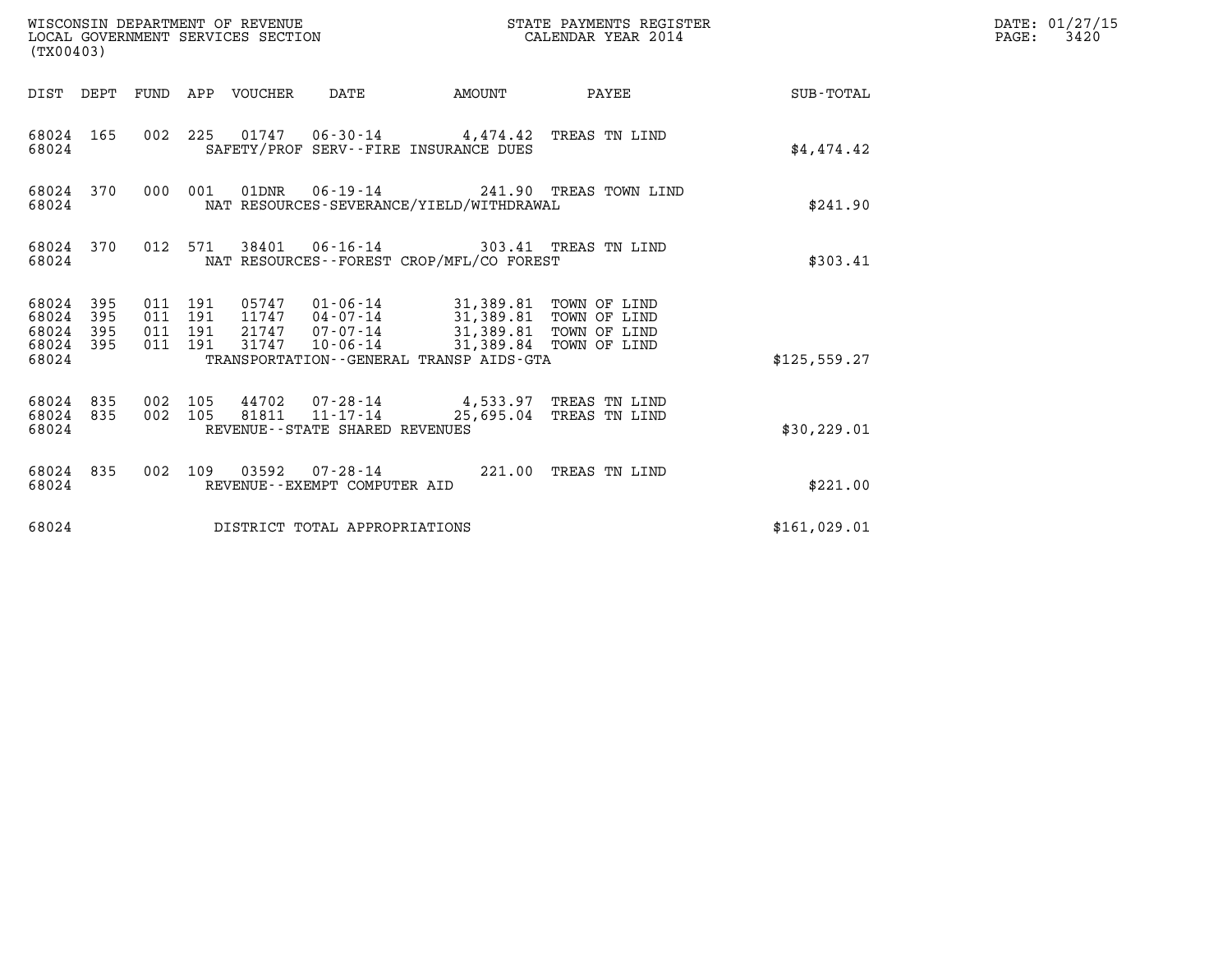| WISCONSIN DEPARTMENT OF REVENUE<br>LOCAL GOVERNMENT SERVICES SECTION<br>(TX00403) |            |                               |                                 |       |                                                  |                                              | STATE PAYMENTS REGISTER<br>CALENDAR YEAR 2014                               |               | DATE: 01/27/15<br>$\mathtt{PAGE:}$<br>3420 |
|-----------------------------------------------------------------------------------|------------|-------------------------------|---------------------------------|-------|--------------------------------------------------|----------------------------------------------|-----------------------------------------------------------------------------|---------------|--------------------------------------------|
|                                                                                   |            |                               | DIST DEPT FUND APP VOUCHER DATE |       |                                                  |                                              | AMOUNT PAYEE SUB-TOTAL                                                      |               |                                            |
| 68024 165<br>68024                                                                |            |                               |                                 |       | SAFETY/PROF SERV--FIRE INSURANCE DUES            |                                              | 002 225 01747 06-30-14 4,474.42 TREAS TN LIND                               | \$4,474.42    |                                            |
| 68024                                                                             | 68024 370  |                               | 000 001                         |       |                                                  | NAT RESOURCES-SEVERANCE/YIELD/WITHDRAWAL     | 01DNR  06-19-14  241.90 TREAS TOWN LIND                                     | \$241.90      |                                            |
| 68024                                                                             | 68024 370  |                               |                                 |       |                                                  | NAT RESOURCES--FOREST CROP/MFL/CO FOREST     | 012 571 38401 06-16-14 303.41 TREAS TN LIND                                 | \$303.41      |                                            |
| 68024 395<br>68024<br>68024<br>68024 395<br>68024                                 | 395<br>395 | 011 191<br>011 191<br>011 191 | 011 191                         | 31747 |                                                  | TRANSPORTATION - - GENERAL TRANSP AIDS - GTA | 21747  07-07-14  31,389.81  TOWN OF LIND<br>10-06-14 31,389.84 TOWN OF LIND | \$125, 559.27 |                                            |
| 68024 835<br>68024                                                                | 68024 835  | 002 105                       | 002 105                         |       | 81811 11-17-14<br>REVENUE--STATE SHARED REVENUES |                                              | 44702  07-28-14  4,533.97 TREAS TN LIND<br>25,695.04 TREAS TN LIND          | \$30, 229.01  |                                            |
| 68024                                                                             | 68024 835  |                               |                                 |       | REVENUE--EXEMPT COMPUTER AID                     |                                              | 002 109 03592 07-28-14 221.00 TREAS TN LIND                                 | \$221.00      |                                            |
| 68024                                                                             |            |                               |                                 |       | DISTRICT TOTAL APPROPRIATIONS                    |                                              |                                                                             | \$161,029.01  |                                            |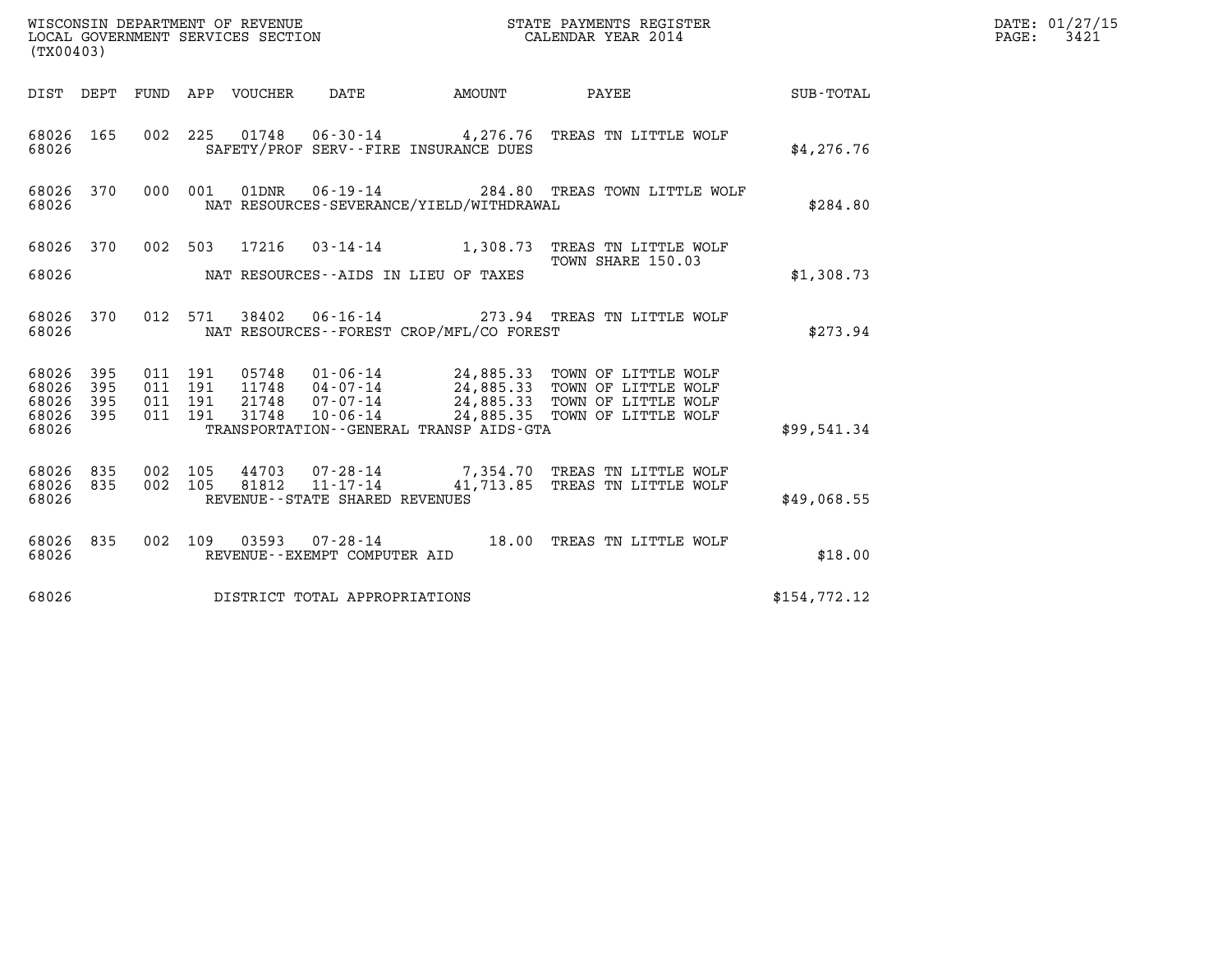|                                               | WISCONSIN DEPARTMENT OF REVENUE<br>LOCAL GOVERNMENT SERVICES SECTION<br>STATE PAYMENTS REGISTER<br>CALENDAR YEAR 2014<br>(TX00403) |                                          |         |                                 |                                                     |                                             |                                                                                                                                                                                        | DATE: 01/27/15<br>$\mathtt{PAGE:}$<br>3421 |  |
|-----------------------------------------------|------------------------------------------------------------------------------------------------------------------------------------|------------------------------------------|---------|---------------------------------|-----------------------------------------------------|---------------------------------------------|----------------------------------------------------------------------------------------------------------------------------------------------------------------------------------------|--------------------------------------------|--|
|                                               |                                                                                                                                    |                                          |         | DIST DEPT FUND APP VOUCHER DATE |                                                     | AMOUNT PAYEE                                |                                                                                                                                                                                        | <b>SUB-TOTAL</b>                           |  |
| 68026 165<br>68026                            |                                                                                                                                    |                                          |         |                                 |                                                     | SAFETY/PROF SERV--FIRE INSURANCE DUES       | 002 225 01748 06-30-14 4,276.76 TREAS TN LITTLE WOLF                                                                                                                                   | \$4,276.76                                 |  |
| 68026 370<br>68026                            |                                                                                                                                    |                                          | 000 001 |                                 |                                                     | NAT RESOURCES-SEVERANCE/YIELD/WITHDRAWAL    | 01DNR  06-19-14  284.80 TREAS TOWN LITTLE WOLF                                                                                                                                         | \$284.80                                   |  |
| 68026 370                                     |                                                                                                                                    |                                          |         |                                 |                                                     |                                             | 002 503 17216 03-14-14 1,308.73 TREAS TN LITTLE WOLF                                                                                                                                   |                                            |  |
| 68026                                         |                                                                                                                                    |                                          |         |                                 |                                                     | NAT RESOURCES--AIDS IN LIEU OF TAXES        | TOWN SHARE 150.03                                                                                                                                                                      | \$1,308.73                                 |  |
| 68026 370<br>68026                            |                                                                                                                                    |                                          |         |                                 |                                                     | NAT RESOURCES - - FOREST CROP/MFL/CO FOREST | 012 571 38402 06-16-14 273.94 TREAS TN LITTLE WOLF                                                                                                                                     | \$273.94                                   |  |
| 68026 395<br>68026<br>68026<br>68026<br>68026 | 395<br>395<br>395                                                                                                                  | 011 191<br>011 191<br>011 191<br>011 191 |         | 31748                           | $10 - 06 - 14$                                      | TRANSPORTATION--GENERAL TRANSP AIDS-GTA     | 05748  01-06-14  24,885.33  TOWN OF LITTLE WOLF<br>11748  04-07-14  24,885.33  TOWN OF LITTLE WOLF<br>21748  07-07-14  24,885.33  TOWN OF LITTLE WOLF<br>24,885.35 TOWN OF LITTLE WOLF | \$99,541.34                                |  |
| 68026 835<br>68026 835<br>68026               |                                                                                                                                    | 002 105<br>002 105                       |         | 81812                           | $11 - 17 - 14$<br>REVENUE - - STATE SHARED REVENUES |                                             | 44703 07-28-14 7,354.70 TREAS TN LITTLE WOLF<br>41,713.85 TREAS TN LITTLE WOLF                                                                                                         | \$49,068.55                                |  |
| 68026 835<br>68026                            |                                                                                                                                    |                                          |         |                                 | REVENUE--EXEMPT COMPUTER AID                        |                                             | 002 109 03593 07-28-14 18.00 TREAS TN LITTLE WOLF                                                                                                                                      | \$18.00                                    |  |
| 68026                                         |                                                                                                                                    |                                          |         |                                 | DISTRICT TOTAL APPROPRIATIONS                       |                                             |                                                                                                                                                                                        | \$154,772.12                               |  |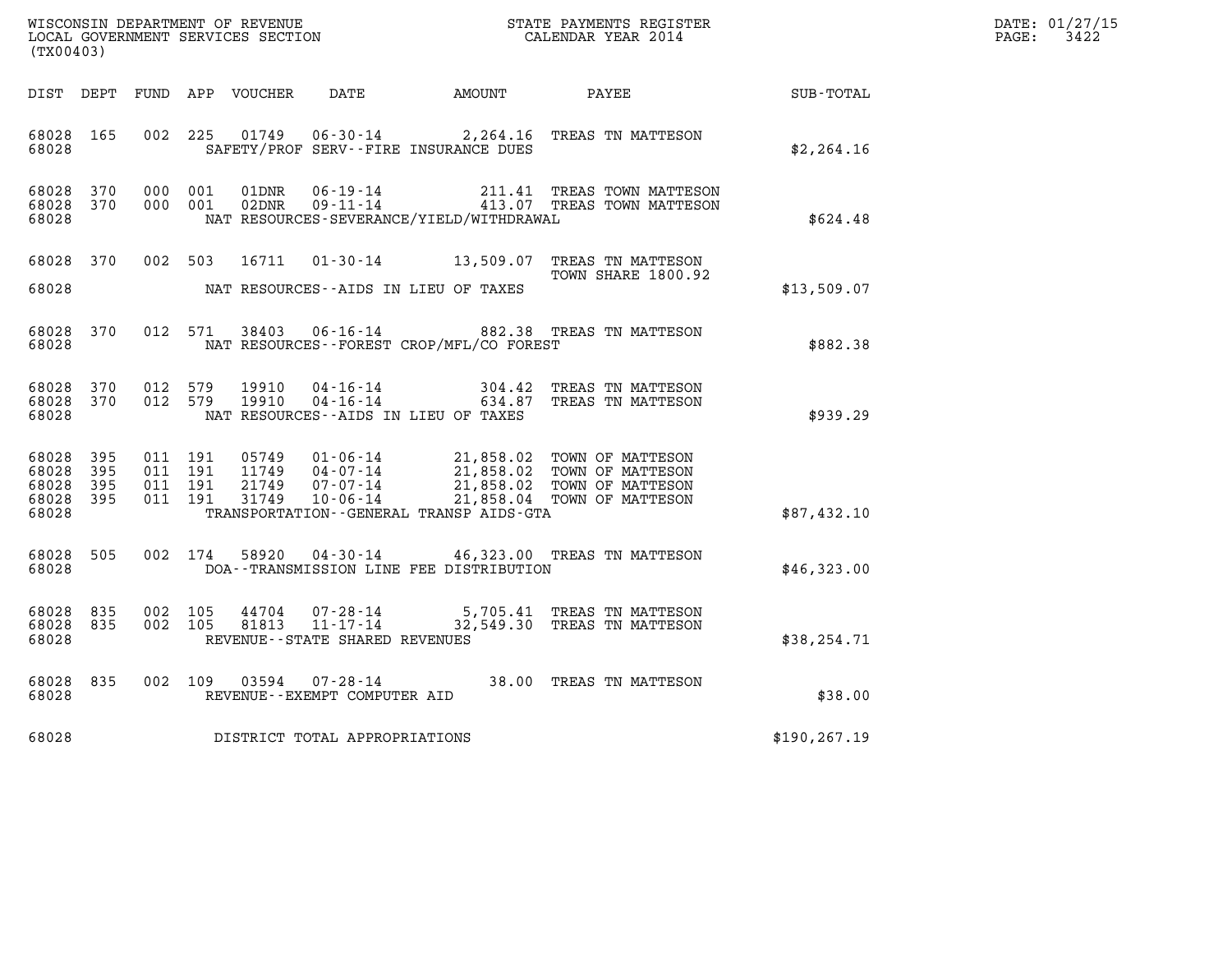| WISCONSIN DEPARTMENT OF REVENUE<br>LOCAL GOVERNMENT SERVICES SECTION | STATE PAYMENTS REGISTER<br>CALENDAR YEAR 2014 | DATE: 01/27/15<br>3422<br>PAGE: |
|----------------------------------------------------------------------|-----------------------------------------------|---------------------------------|

| STATE PAYMENTS REGISTER<br>CALENDAR YEAR 2014<br>WISCONSIN DEPARTMENT OF REVENUE<br>LOCAL GOVERNMENT SERVICES SECTION<br>(TX00403) |            |                                          |                                  |                                                |                                              |                                                                                                                                                             |               | DATE: 01/27/15<br>$\mathtt{PAGE}$ :<br>3422 |
|------------------------------------------------------------------------------------------------------------------------------------|------------|------------------------------------------|----------------------------------|------------------------------------------------|----------------------------------------------|-------------------------------------------------------------------------------------------------------------------------------------------------------------|---------------|---------------------------------------------|
|                                                                                                                                    |            |                                          | DIST DEPT FUND APP VOUCHER       | DATE                                           | AMOUNT                                       | PAYEE                                                                                                                                                       | SUB-TOTAL     |                                             |
| 68028 165<br>68028                                                                                                                 |            |                                          | 002 225<br>01749                 | $06 - 30 - 14$                                 | SAFETY/PROF SERV--FIRE INSURANCE DUES        | 2,264.16 TREAS TN MATTESON                                                                                                                                  | \$2, 264.16   |                                             |
| 68028 370<br>68028 370<br>68028                                                                                                    |            | 000 001                                  | 01DNR<br>02DNR<br>000 001        | 06-19-14<br>$09 - 11 - 14$                     | NAT RESOURCES-SEVERANCE/YIELD/WITHDRAWAL     | 211.41 TREAS TOWN MATTESON<br>413.07 TREAS TOWN MATTESON                                                                                                    | \$624.48      |                                             |
| 68028 370<br>68028                                                                                                                 |            |                                          | 002 503<br>16711                 | NAT RESOURCES--AIDS IN LIEU OF TAXES           |                                              | 01-30-14 13,509.07 TREAS TN MATTESON<br>TOWN SHARE 1800.92                                                                                                  | \$13,509.07   |                                             |
| 68028 370<br>68028                                                                                                                 |            |                                          | 012 571                          |                                                | NAT RESOURCES - - FOREST CROP/MFL/CO FOREST  | 38403  06-16-14  882.38  TREAS TN MATTESON                                                                                                                  | \$882.38      |                                             |
| 68028 370<br>68028 370<br>68028                                                                                                    |            | 012 579<br>012 579                       | 19910<br>19910                   | NAT RESOURCES--AIDS IN LIEU OF TAXES           |                                              | 04-16-14 304.42 TREAS TN MATTESON<br>04-16-14 634.87 TREAS TN MATTESON<br>TREAS TN MATTESON                                                                 | \$939.29      |                                             |
| 68028 395<br>68028<br>68028<br>68028 395<br>68028                                                                                  | 395<br>395 | 011 191<br>011 191<br>011 191<br>011 191 | 05749<br>11749<br>21749<br>31749 | 04-07-14                                       | TRANSPORTATION - - GENERAL TRANSP AIDS - GTA | 01-06-14 21,858.02 TOWN OF MATTESON<br>21,858.02 TOWN OF MATTESON<br>04-07-14<br>07-07-14 21,858.02 TOWN OF MATTESON<br>10-06-14 21,858.04 TOWN OF MATTESON | \$87,432.10   |                                             |
| 68028 505<br>68028                                                                                                                 |            |                                          | 58920<br>002 174                 |                                                | DOA--TRANSMISSION LINE FEE DISTRIBUTION      | 04-30-14 46,323.00 TREAS TN MATTESON                                                                                                                        | \$46,323.00   |                                             |
| 68028<br>68028<br>68028                                                                                                            | 835<br>835 | 002 105<br>002 105                       | 44704<br>81813                   | REVENUE--STATE SHARED REVENUES                 |                                              | 07-28-14 5,705.41 TREAS TN MATTESON<br>11-17-14 32,549.30 TREAS TN MATTESON                                                                                 | \$38, 254.71  |                                             |
| 68028<br>68028                                                                                                                     | 835        | 002 109                                  | 03594                            | $07 - 28 - 14$<br>REVENUE--EXEMPT COMPUTER AID |                                              | 38.00 TREAS TN MATTESON                                                                                                                                     | \$38.00       |                                             |
| 68028                                                                                                                              |            |                                          |                                  | DISTRICT TOTAL APPROPRIATIONS                  |                                              |                                                                                                                                                             | \$190, 267.19 |                                             |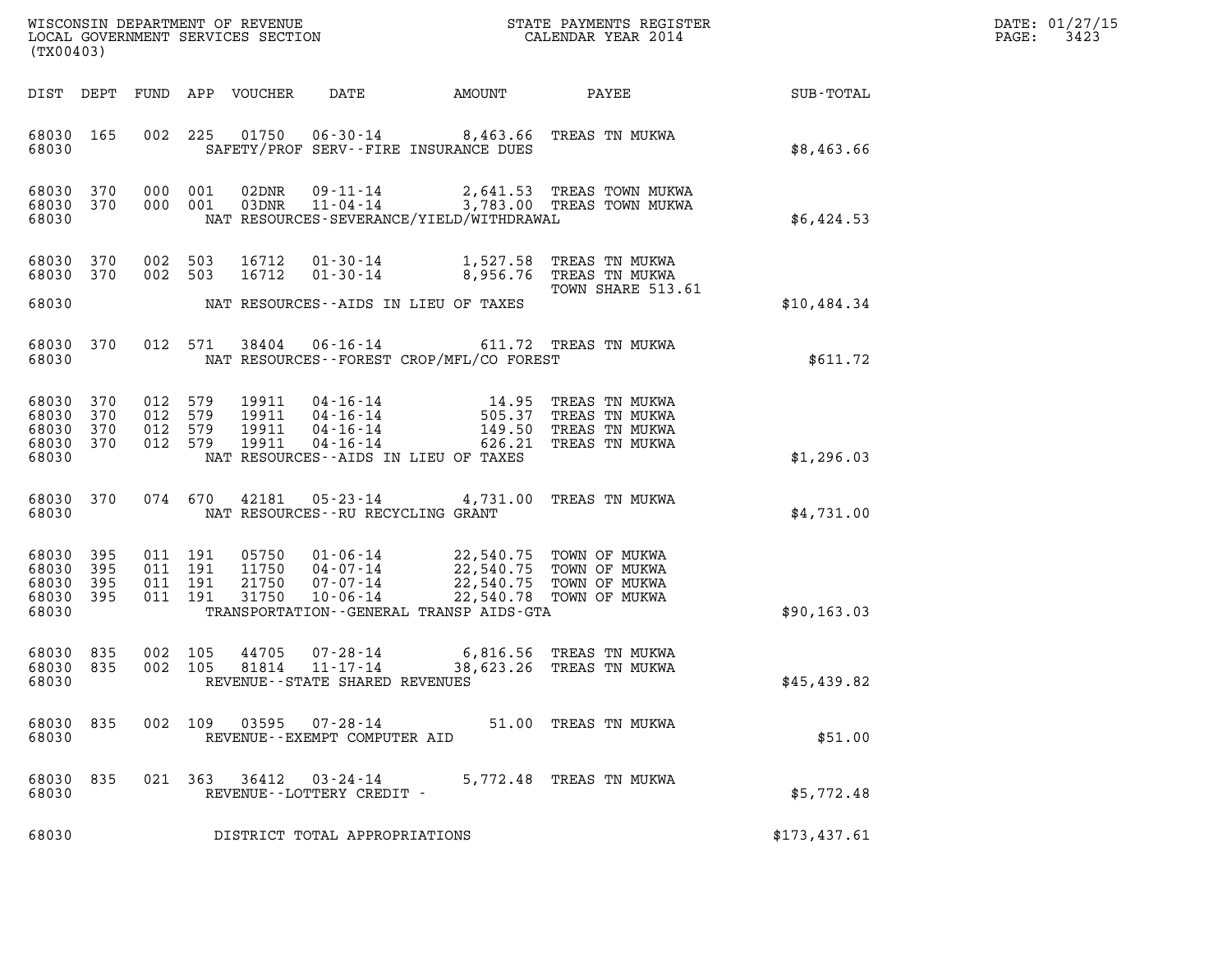| DATE: | 01/27/15 |
|-------|----------|
| PAGE: | 3423     |

|                                               | WISCONSIN DEPARTMENT OF REVENUE<br>LOCAL GOVERNMENT SERVICES SECTION<br>(TX00403) |                    |                               |                                  |                                                              |                                                                           | STATE PAYMENTS REGISTER<br>CALENDAR YEAR 2014                                                            |              | DATE: 01/27/15<br>3423<br>PAGE: |
|-----------------------------------------------|-----------------------------------------------------------------------------------|--------------------|-------------------------------|----------------------------------|--------------------------------------------------------------|---------------------------------------------------------------------------|----------------------------------------------------------------------------------------------------------|--------------|---------------------------------|
| DIST DEPT                                     |                                                                                   | FUND               |                               | APP VOUCHER                      | DATE                                                         | AMOUNT                                                                    | PAYEE                                                                                                    | SUB-TOTAL    |                                 |
| 68030 165<br>68030                            |                                                                                   | 002                | 225                           | 01750                            |                                                              | 06-30-14 8,463.66 TREAS TN MUKWA<br>SAFETY/PROF SERV--FIRE INSURANCE DUES |                                                                                                          | \$8,463.66   |                                 |
| 68030 370<br>68030 370<br>68030               |                                                                                   | 000 001            | 000 001                       | 02DNR                            | 09-11-14<br>03DNR 11-04-14                                   | NAT RESOURCES-SEVERANCE/YIELD/WITHDRAWAL                                  | 2,641.53 TREAS TOWN MUKWA<br>3,783.00 TREAS TOWN MUKWA                                                   | \$6,424.53   |                                 |
| 68030<br>68030 370                            | 370                                                                               | 002 503<br>002 503 |                               | 16712<br>16712                   | $01 - 30 - 14$                                               | $01 - 30 - 14$ 1,527.58<br>8,956.76                                       | TREAS TN MUKWA<br>TREAS TN MUKWA                                                                         |              |                                 |
| 68030                                         |                                                                                   |                    |                               |                                  |                                                              | NAT RESOURCES--AIDS IN LIEU OF TAXES                                      | TOWN SHARE 513.61                                                                                        | \$10,484.34  |                                 |
| 68030<br>68030                                | 370                                                                               |                    | 012 571                       | 38404                            | $06 - 16 - 14$                                               | NAT RESOURCES - - FOREST CROP/MFL/CO FOREST                               | 611.72 TREAS TN MUKWA                                                                                    | \$611.72     |                                 |
| 68030<br>68030<br>68030<br>68030 370<br>68030 | 370<br>370<br>370                                                                 | 012 579            | 012 579<br>012 579<br>012 579 | 19911<br>19911<br>19911<br>19911 | 04 - 16 - 14<br>04 - 16 - 14<br>$04 - 16 - 14$<br>04-16-14   | 14.95<br>505.37<br>149.50<br>NAT RESOURCES -- AIDS IN LIEU OF TAXES       | TREAS TN MUKWA<br>TREAS TN MUKWA<br>TREAS TN MUKWA<br>626.21 TREAS TN MUKWA                              | \$1,296.03   |                                 |
| 68030 370<br>68030                            |                                                                                   |                    | 074 670                       | 42181                            | $05 - 23 - 14$<br>NAT RESOURCES -- RU RECYCLING GRANT        |                                                                           | 4,731.00 TREAS TN MUKWA                                                                                  | \$4,731.00   |                                 |
| 68030<br>68030<br>68030<br>68030 395<br>68030 | 395<br>395<br>395                                                                 | 011 191<br>011 191 | 011 191<br>011 191            | 05750<br>11750<br>21750<br>31750 | 01-06-14<br>04-07-14<br>07-07-14<br>$10 - 06 - 14$           | TRANSPORTATION--GENERAL TRANSP AIDS-GTA                                   | 22,540.75 TOWN OF MUKWA<br>22,540.75 TOWN OF MUKWA<br>22,540.75 TOWN OF MUKWA<br>22,540.78 TOWN OF MUKWA | \$90, 163.03 |                                 |
| 68030<br>68030 835<br>68030                   | 835                                                                               |                    | 002 105<br>002 105            | 44705<br>81814                   | 07-28-14<br>$11 - 17 - 14$<br>REVENUE--STATE SHARED REVENUES | 6,816.56                                                                  | TREAS TN MUKWA<br>38,623.26 TREAS TN MUKWA                                                               | \$45,439.82  |                                 |
| 68030 835<br>68030                            |                                                                                   |                    | 002 109                       | 03595                            | REVENUE--EXEMPT COMPUTER AID                                 | 07-28-14 51.00 TREAS TN MUKWA                                             |                                                                                                          | \$51.00      |                                 |
| 68030<br>68030                                | 835                                                                               |                    |                               | 021 363 36412                    | 03-24-14<br>REVENUE--LOTTERY CREDIT -                        |                                                                           | 5,772.48 TREAS TN MUKWA                                                                                  | \$5,772.48   |                                 |
| 68030                                         |                                                                                   |                    |                               |                                  | DISTRICT TOTAL APPROPRIATIONS                                |                                                                           |                                                                                                          | \$173,437.61 |                                 |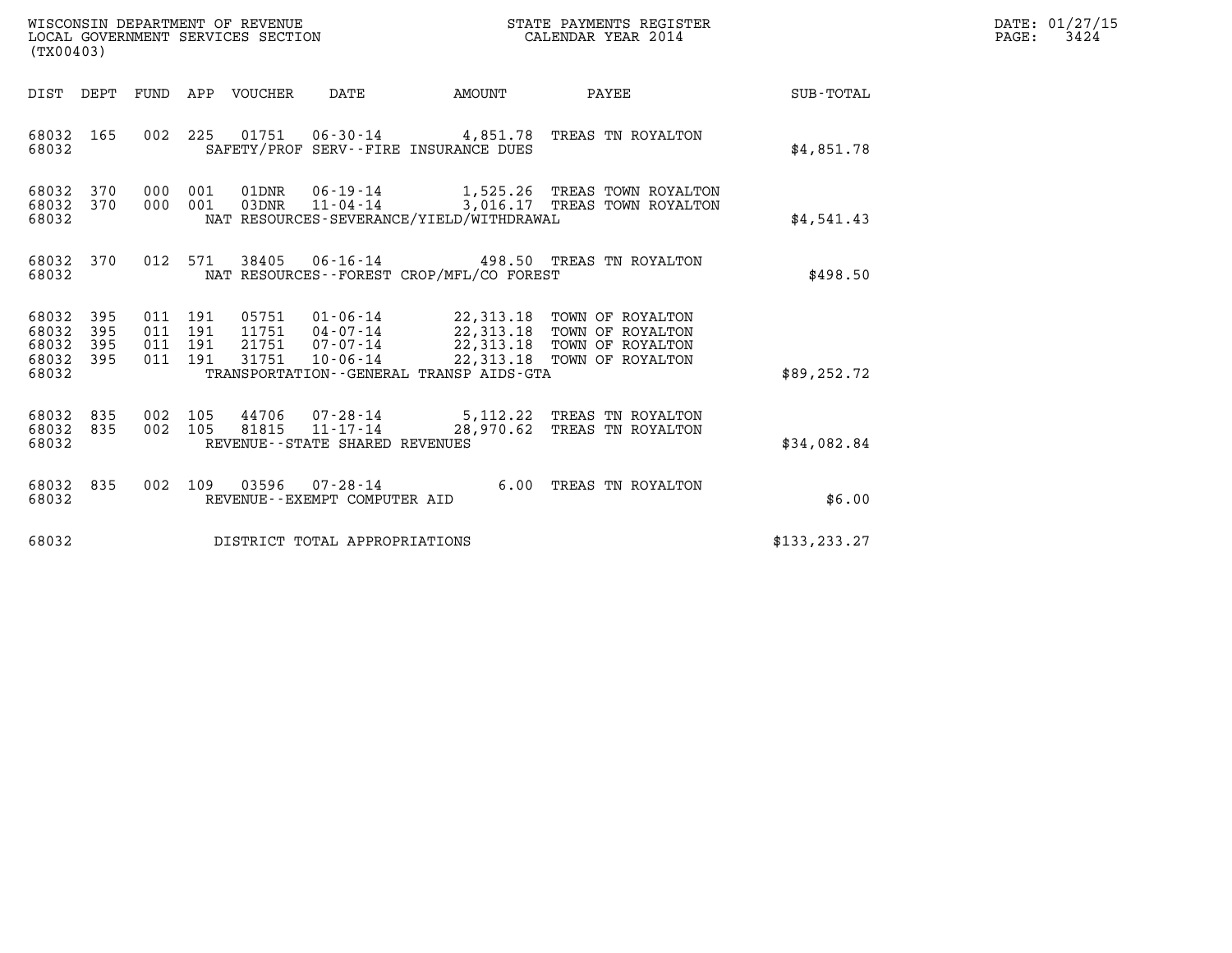| WISCONSIN DEPARTMENT OF REVENUE   | STATE PAYMENTS REGISTER | DATE: 01/27/15 |
|-----------------------------------|-------------------------|----------------|
| LOCAL GOVERNMENT SERVICES SECTION | CALENDAR YEAR 2014      | 3424<br>PAGE:  |

| (TX00403)                                     |                   |     |         | WISCONSIN DEPARTMENT OF REVENUE<br>LOCAL GOVERNMENT SERVICES SECTION |                                |                                              | STATE PAYMENTS REGISTER<br>CALENDAR YEAR 2014                                                                                                                                                                                                                                                                                              |               | DATE: 01/27/15<br>PAGE:<br>3424 |
|-----------------------------------------------|-------------------|-----|---------|----------------------------------------------------------------------|--------------------------------|----------------------------------------------|--------------------------------------------------------------------------------------------------------------------------------------------------------------------------------------------------------------------------------------------------------------------------------------------------------------------------------------------|---------------|---------------------------------|
|                                               |                   |     |         |                                                                      |                                | DIST DEPT FUND APP VOUCHER DATE AMOUNT       | <b>PAYEE</b>                                                                                                                                                                                                                                                                                                                               | SUB-TOTAL     |                                 |
| 68032 165<br>68032                            |                   | 002 |         |                                                                      |                                | SAFETY/PROF SERV--FIRE INSURANCE DUES        | 225  01751  06-30-14  4,851.78  TREAS TN ROYALTON                                                                                                                                                                                                                                                                                          | \$4,851.78    |                                 |
| 68032 370<br>68032 370<br>68032               |                   |     | 000 001 |                                                                      |                                | NAT RESOURCES-SEVERANCE/YIELD/WITHDRAWAL     | 01DNR  06-19-14   1,525.26 TREAS TOWN ROYALTON<br>000 001 03DNR 11-04-14 3,016.17 TREAS TOWN ROYALTON                                                                                                                                                                                                                                      | \$4.541.43    |                                 |
| 68032 370<br>68032                            |                   |     |         |                                                                      |                                | NAT RESOURCES - FOREST CROP/MFL/CO FOREST    | 012 571 38405 06-16-14 498.50 TREAS TN ROYALTON                                                                                                                                                                                                                                                                                            | \$498.50      |                                 |
| 68032<br>68032<br>68032<br>68032 395<br>68032 | 395<br>395<br>395 |     | 011 191 | 31751                                                                |                                | TRANSPORTATION - - GENERAL TRANSP AIDS - GTA | $\begin{array}{cccc} 011 & 191 & 05751 & 01\cdot 06\cdot 14 & 22\, , 313\, .18 & \text{TOWN OF ROYALTON} \\ 011 & 191 & 11751 & 04\cdot 07\cdot 14 & 22\, , 313\, .18 & \text{TOWN OF ROYALTON} \\ 011 & 191 & 21751 & 07\cdot 07\cdot 14 & 22\, , 313\, .18 & \text{TOWN OF ROYALTON} \end{array}$<br>10-06-14 22,313.18 TOWN OF ROYALTON | \$89, 252.72  |                                 |
| 68032 835<br>68032 835<br>68032               |                   |     |         |                                                                      | REVENUE--STATE SHARED REVENUES |                                              | 002 105 44706 07-28-14 5,112.22 TREAS TN ROYALTON<br>002 105 81815 11-17-14 28,970.62 TREAS TN ROYALTON                                                                                                                                                                                                                                    | \$34,082.84   |                                 |
| 68032 835<br>68032                            |                   |     |         |                                                                      | REVENUE--EXEMPT COMPUTER AID   |                                              | 002 109 03596 07-28-14 6.00 TREAS TN ROYALTON                                                                                                                                                                                                                                                                                              | \$6.00        |                                 |
| 68032                                         |                   |     |         |                                                                      | DISTRICT TOTAL APPROPRIATIONS  |                                              |                                                                                                                                                                                                                                                                                                                                            | \$133, 233.27 |                                 |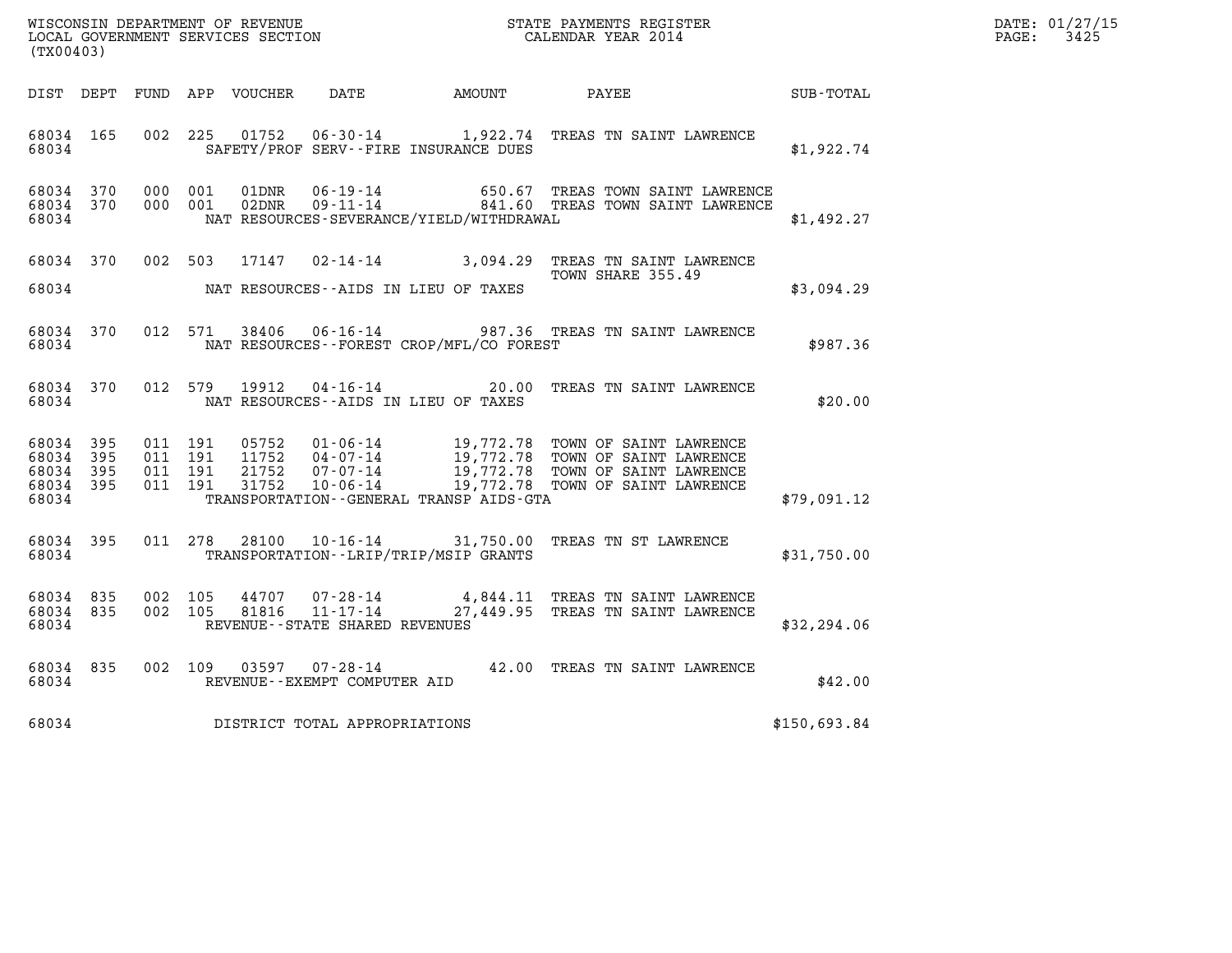|                        |                        |         |         |                         |                                       |                                               | WISCONSIN DEPARTMENT OF REVENUE<br>LOCAL GOVERNMENT SERVICES SECTION<br>(TYA04403)                                                                                                                                                                                                                                                               |              | DATE: 01/27/15<br>PAGE: 3425 |
|------------------------|------------------------|---------|---------|-------------------------|---------------------------------------|-----------------------------------------------|--------------------------------------------------------------------------------------------------------------------------------------------------------------------------------------------------------------------------------------------------------------------------------------------------------------------------------------------------|--------------|------------------------------|
| (TX00403)              |                        |         |         |                         |                                       |                                               |                                                                                                                                                                                                                                                                                                                                                  |              |                              |
|                        |                        |         |         |                         |                                       | DIST DEPT FUND APP VOUCHER DATE AMOUNT PAYEE  |                                                                                                                                                                                                                                                                                                                                                  | SUB-TOTAL    |                              |
|                        |                        |         |         |                         |                                       |                                               |                                                                                                                                                                                                                                                                                                                                                  |              |                              |
| 68034 165<br>68034     |                        |         |         |                         |                                       | SAFETY/PROF SERV--FIRE INSURANCE DUES         | 002 225 01752 06-30-14 1,922.74 TREAS TN SAINT LAWRENCE                                                                                                                                                                                                                                                                                          | \$1,922.74   |                              |
|                        |                        |         |         |                         |                                       |                                               |                                                                                                                                                                                                                                                                                                                                                  |              |                              |
|                        |                        |         |         |                         |                                       |                                               | 68034 370 000 001 01DNR 06-19-14 650.67 TREAS TOWN SAINT LAWRENCE 68034 370 000 001 02DNR 09-11-14 841.60 TREAS TOWN SAINT LAWRENCE                                                                                                                                                                                                              |              |                              |
|                        | 68034                  |         |         |                         |                                       | NAT RESOURCES-SEVERANCE/YIELD/WITHDRAWAL      |                                                                                                                                                                                                                                                                                                                                                  | \$1,492.27   |                              |
|                        |                        |         |         |                         |                                       |                                               | 68034 370 002 503 17147 02-14-14 3,094.29 TREAS TN SAINT LAWRENCE                                                                                                                                                                                                                                                                                |              |                              |
|                        |                        |         |         |                         |                                       | 68034 NAT RESOURCES--AIDS IN LIEU OF TAXES    | TOWN SHARE 355.49                                                                                                                                                                                                                                                                                                                                | \$3,094.29   |                              |
|                        |                        |         |         |                         |                                       |                                               |                                                                                                                                                                                                                                                                                                                                                  |              |                              |
|                        | 68034 370<br>68034     |         |         |                         |                                       | NAT RESOURCES--FOREST CROP/MFL/CO FOREST      | 012 571 38406 06-16-14 987.36 TREAS TN SAINT LAWRENCE                                                                                                                                                                                                                                                                                            | \$987.36     |                              |
|                        |                        |         |         |                         |                                       |                                               |                                                                                                                                                                                                                                                                                                                                                  |              |                              |
|                        | 68034 370              |         | 012 579 |                         |                                       | 68034 NAT RESOURCES--AIDS IN LIEU OF TAXES    | 19912  04-16-14  20.00 TREAS TN SAINT LAWRENCE                                                                                                                                                                                                                                                                                                   | \$20.00      |                              |
|                        |                        |         |         |                         |                                       |                                               |                                                                                                                                                                                                                                                                                                                                                  |              |                              |
| 68034 395<br>68034 395 |                        |         |         |                         |                                       |                                               | $\begin{array}{cccccc} 011 & 191 & 05752 & 01\cdot 06\cdot 14 & 19,772.78 & \text{TOWN OF SAINT LAWRENCE} \\ 011 & 191 & 11752 & 04\cdot 07\cdot 14 & 19,772.78 & \text{TOWN OF SAINT LAWRENCE} \\ 011 & 191 & 21752 & 07\cdot 07\cdot 14 & 19,772.78 & \text{TOWN OF SAINT LAWRENCE} \\ 011 & 191 & 31752 & 10\cdot 06\cdot 14 & 19,772.78 & \$ |              |                              |
| 68034 395              |                        | 011 191 |         | 68034 395 011 191 31752 |                                       |                                               |                                                                                                                                                                                                                                                                                                                                                  |              |                              |
|                        |                        |         |         |                         |                                       | 68034 TRANSPORTATION--GENERAL TRANSP AIDS-GTA |                                                                                                                                                                                                                                                                                                                                                  | \$79,091.12  |                              |
|                        |                        |         |         |                         |                                       | 68034 TRANSPORTATION - LRIP/TRIP/MSIP GRANTS  | 68034 395 011 278 28100 10-16-14 31,750.00 TREAS TN ST LAWRENCE                                                                                                                                                                                                                                                                                  |              |                              |
|                        |                        |         |         |                         |                                       |                                               |                                                                                                                                                                                                                                                                                                                                                  | \$31,750.00  |                              |
|                        | 68034 835<br>68034 835 |         |         |                         |                                       |                                               | 002  105  44707  07-28-14  4,844.11 TREAS TN SAINT LAWRENCE<br>002  105  81816  11-17-14  27,449.95 TREAS TN SAINT LAWRENCE                                                                                                                                                                                                                      |              |                              |
|                        |                        |         |         |                         | 68034 REVENUE - STATE SHARED REVENUES |                                               |                                                                                                                                                                                                                                                                                                                                                  | \$32,294.06  |                              |
|                        | 68034 835              |         |         |                         |                                       |                                               | 002 109 03597 07-28-14 42.00 TREAS TN SAINT LAWRENCE                                                                                                                                                                                                                                                                                             |              |                              |
|                        |                        |         |         |                         | 68034 REVENUE--EXEMPT COMPUTER AID    |                                               |                                                                                                                                                                                                                                                                                                                                                  | \$42.00      |                              |
|                        |                        |         |         |                         | 68034 DISTRICT TOTAL APPROPRIATIONS   |                                               |                                                                                                                                                                                                                                                                                                                                                  | \$150,693.84 |                              |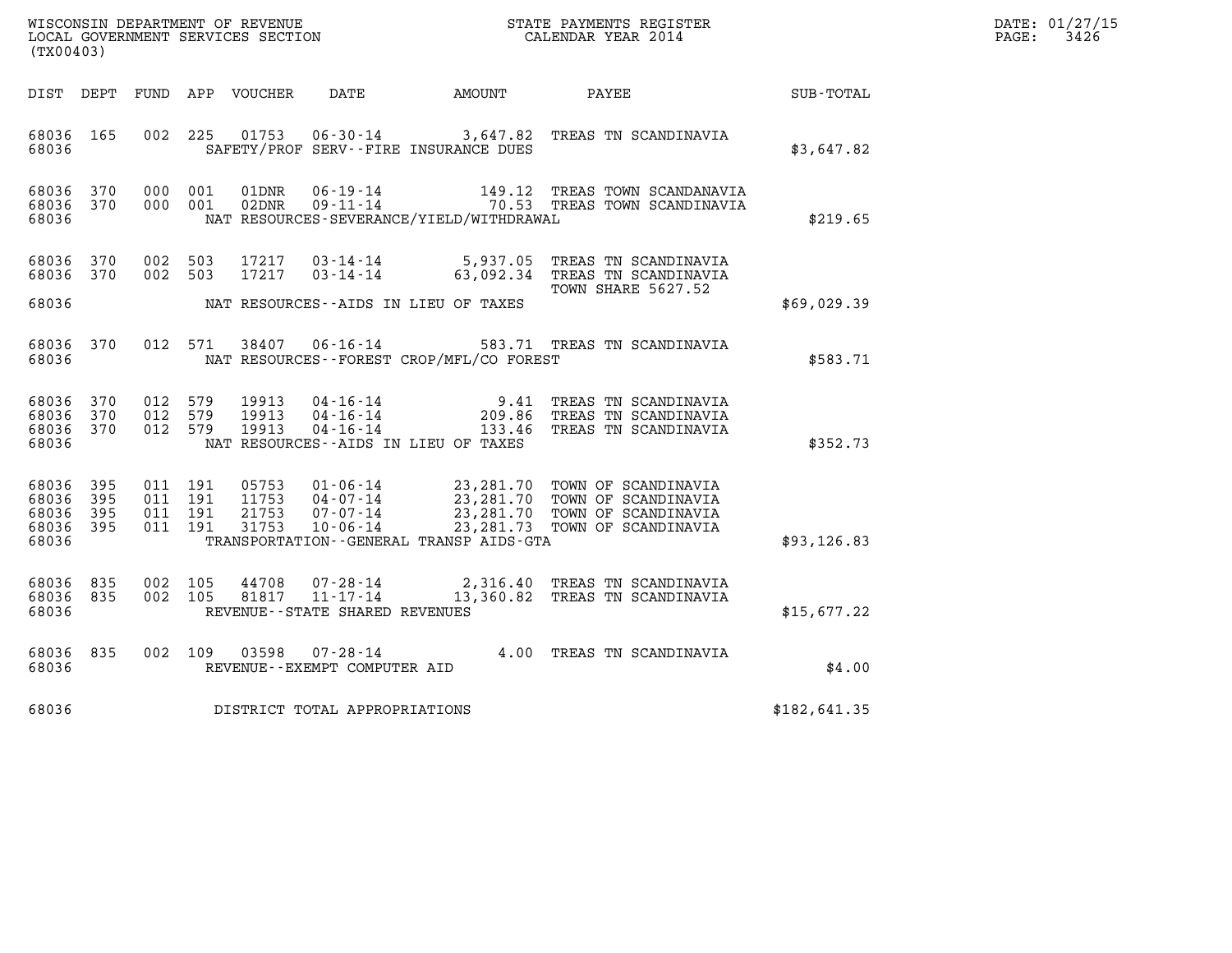| WISCONSIN DEPARTMENT OF REVENUE   | STATE PAYMENTS REGISTER | DATE: 01/27/15 |
|-----------------------------------|-------------------------|----------------|
| LOCAL GOVERNMENT SERVICES SECTION | CALENDAR YEAR 2014      | 3426<br>PAGE:  |

| (TX00403)                                             |                                     |                               |         |                         |                                                  |                                              | WISCONSIN DEPARTMENT OF REVENUE<br>LOCAL GOVERNMENT SERVICES SECTION<br>CALENDAR YEAR 2014                                                                                                                                      |              | DATE: 01/27/15<br>$\mathtt{PAGE:}$<br>3426 |
|-------------------------------------------------------|-------------------------------------|-------------------------------|---------|-------------------------|--------------------------------------------------|----------------------------------------------|---------------------------------------------------------------------------------------------------------------------------------------------------------------------------------------------------------------------------------|--------------|--------------------------------------------|
|                                                       |                                     |                               |         |                         |                                                  | DIST DEPT FUND APP VOUCHER DATE AMOUNT PAYEE |                                                                                                                                                                                                                                 | SUB-TOTAL    |                                            |
| 68036                                                 | 68036 165                           |                               |         |                         |                                                  | SAFETY/PROF SERV--FIRE INSURANCE DUES        | 002 225 01753 06-30-14 3,647.82 TREAS TN SCANDINAVIA                                                                                                                                                                            | \$3,647.82   |                                            |
| 68036                                                 | 68036 370<br>68036 370              |                               |         |                         |                                                  | NAT RESOURCES-SEVERANCE/YIELD/WITHDRAWAL     |                                                                                                                                                                                                                                 | \$219.65     |                                            |
| 68036                                                 | 68036 370<br>68036 370              |                               |         |                         |                                                  | NAT RESOURCES--AIDS IN LIEU OF TAXES         | 002 503 17217 03-14-14 5,937.05 TREAS TN SCANDINAVIA<br>002 503 17217 03-14-14 63,092.34 TREAS TN SCANDINAVIA<br><b>TOWN SHARE 5627.52</b>                                                                                      | \$69,029.39  |                                            |
| 68036                                                 |                                     |                               |         |                         |                                                  | NAT RESOURCES--FOREST CROP/MFL/CO FOREST     | 68036 370 012 571 38407 06-16-14 583.71 TREAS TN SCANDINAVIA                                                                                                                                                                    | \$583.71     |                                            |
| 68036                                                 | 68036 370<br>68036 370<br>68036 370 | 012 579<br>012 579<br>012 579 |         | 19913<br>19913<br>19913 |                                                  | NAT RESOURCES--AIDS IN LIEU OF TAXES         | 04-16-14 9.41 TREAS TN SCANDINAVIA<br>04-16-14 209.86 TREAS TN SCANDINAVIA<br>04-16-14 133.46 TREAS TN SCANDINAVIA                                                                                                              | \$352.73     |                                            |
| 68036<br>68036 395<br>68036 395<br>68036 395<br>68036 | 395                                 | 011 191<br>011 191<br>011 191 | 011 191 |                         |                                                  | TRANSPORTATION - - GENERAL TRANSP AIDS - GTA | 05753     01-06-14          23,281.70     TOWN OF SCANDINAVIA<br>11753     04-07-14          23,281.70          TOWN OF SCANDINAVIA<br>21753     07-07-14          23,281.70          TOWN OF SCANDINAVIA<br>31753     10-06-14 | \$93, 126.83 |                                            |
| 68036 835<br>68036                                    | 68036 835                           | 002 105<br>002 105            |         | 44708                   | 81817 11-17-14<br>REVENUE--STATE SHARED REVENUES |                                              | 07-28-14 2,316.40 TREAS TN SCANDINAVIA<br>11-17-14 13,360.82 TREAS TN SCANDINAVIA                                                                                                                                               | \$15,677.22  |                                            |
| 68036                                                 | 68036 835                           |                               |         |                         | REVENUE--EXEMPT COMPUTER AID                     |                                              | 002 109 03598 07-28-14 4.00 TREAS TN SCANDINAVIA                                                                                                                                                                                | \$4.00       |                                            |
| 68036                                                 |                                     |                               |         |                         | DISTRICT TOTAL APPROPRIATIONS                    |                                              |                                                                                                                                                                                                                                 | \$182,641.35 |                                            |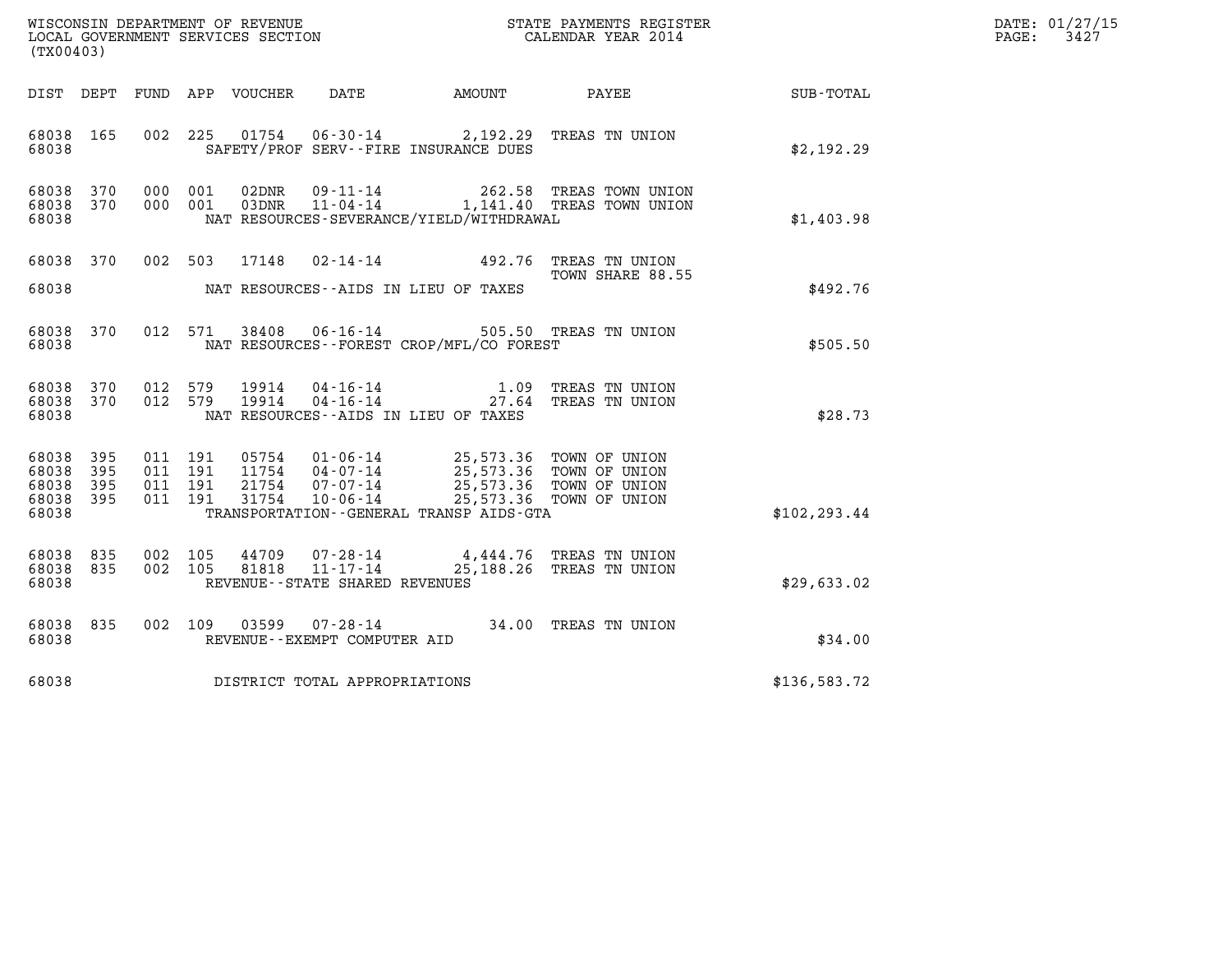| (TX00403)                                         |            |                               |         |                                  |                                                                 |                                                                            | $\tt WISCONSIM DEPARTMENT OF REVENUE$ $\tt WISCONSIMENT$ SERVICES SECTION $\tt WISCONERNMENT$ SERVICES SECTION $\tt CALENDAR$ YEAR 2014 |               | DATE: 01/27/15<br>$\mathtt{PAGE}$ :<br>3427 |
|---------------------------------------------------|------------|-------------------------------|---------|----------------------------------|-----------------------------------------------------------------|----------------------------------------------------------------------------|-----------------------------------------------------------------------------------------------------------------------------------------|---------------|---------------------------------------------|
| DIST DEPT                                         |            |                               |         | FUND APP VOUCHER                 | DATE                                                            | AMOUNT                                                                     | PAYEE                                                                                                                                   | SUB-TOTAL     |                                             |
| 68038 165<br>68038                                |            | 002 225                       |         | 01754                            | $06 - 30 - 14$                                                  | SAFETY/PROF SERV--FIRE INSURANCE DUES                                      | 2,192.29 TREAS TN UNION                                                                                                                 | \$2,192.29    |                                             |
| 68038 370<br>68038 370<br>68038                   |            | 000 001<br>000 001            |         | 02DNR<br>03DNR                   | 09-11-14<br>$11 - 04 - 14$                                      | NAT RESOURCES-SEVERANCE/YIELD/WITHDRAWAL                                   | 262.58 TREAS TOWN UNION<br>1,141.40 TREAS TOWN UNION                                                                                    | \$1,403.98    |                                             |
| 68038 370<br>68038                                |            |                               | 002 503 | 17148                            |                                                                 | 02-14-14 492.76 TREAS TN UNION<br>NAT RESOURCES--AIDS IN LIEU OF TAXES     | TOWN SHARE 88.55                                                                                                                        | \$492.76      |                                             |
| 68038 370<br>68038                                |            |                               | 012 571 | 38408                            |                                                                 | 06-16-14 505.50 TREAS TN UNION<br>NAT RESOURCES--FOREST CROP/MFL/CO FOREST |                                                                                                                                         | \$505.50      |                                             |
| 68038<br>68038 370<br>68038                       | 370        | 012 579<br>012 579            |         | 19914<br>19914                   | 04-16-14<br>$04 - 16 - 14$                                      | 1.09<br>NAT RESOURCES--AIDS IN LIEU OF TAXES                               | TREAS TN UNION<br>27.64 TREAS TN UNION                                                                                                  | \$28.73       |                                             |
| 68038 395<br>68038<br>68038<br>68038 395<br>68038 | 395<br>395 | 011 191<br>011 191<br>011 191 | 011 191 | 05754<br>11754<br>21754<br>31754 | 01-06-14<br>04-07-14<br>07-07-14<br>$10 - 06 - 14$              | 25,573.36 TOWN OF UNION<br>TRANSPORTATION--GENERAL TRANSP AIDS-GTA         | 25,573.36 TOWN OF UNION<br>25,573.36 TOWN OF UNION<br>25,573.36 TOWN OF UNION                                                           | \$102, 293.44 |                                             |
| 68038 835<br>68038 835<br>68038                   |            | 002 105<br>002 105            |         | 44709<br>81818                   | 07-28-14<br>$11 - 17 - 14$<br>REVENUE - - STATE SHARED REVENUES |                                                                            | 4,444.76 TREAS TN UNION<br>25,188.26 TREAS TN UNION                                                                                     | \$29,633.02   |                                             |
| 68038 835<br>68038                                |            | 002 109                       |         | 03599                            | 07-28-14<br>REVENUE - - EXEMPT COMPUTER AID                     | 34.00 TREAS TN UNION                                                       |                                                                                                                                         | \$34.00       |                                             |
| 68038                                             |            |                               |         |                                  | DISTRICT TOTAL APPROPRIATIONS                                   |                                                                            |                                                                                                                                         | \$136,583.72  |                                             |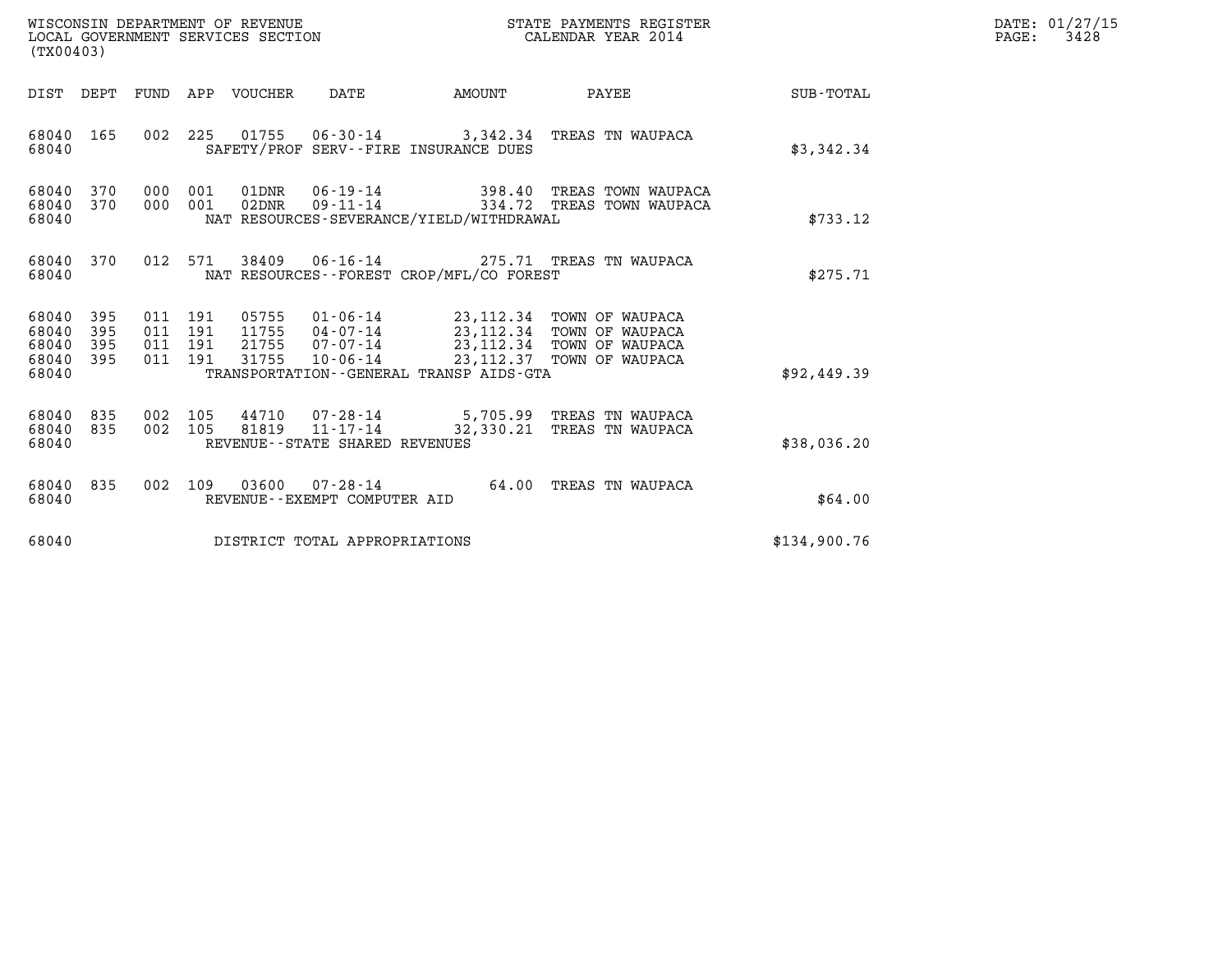| (TX00403)                                                          | WISCONSIN DEPARTMENT OF REVENUE<br>LOCAL GOVERNMENT SERVICES SECTION |                                                                                                                                                                                                                          | STATE PAYMENTS REGISTER<br>CALENDAR YEAR 2014 |              | DATE: 01/27/15<br>$\mathtt{PAGE:}$<br>3428 |
|--------------------------------------------------------------------|----------------------------------------------------------------------|--------------------------------------------------------------------------------------------------------------------------------------------------------------------------------------------------------------------------|-----------------------------------------------|--------------|--------------------------------------------|
|                                                                    | DIST DEPT FUND APP VOUCHER DATE                                      | <b>AMOUNT</b>                                                                                                                                                                                                            | PAYEE SUB-TOTAL                               |              |                                            |
| 68040 165<br>68040                                                 |                                                                      | 002 225 01755 06-30-14 3,342.34 TREAS TN WAUPACA<br>SAFETY/PROF SERV--FIRE INSURANCE DUES                                                                                                                                |                                               | \$3,342.34   |                                            |
| 68040 370<br>370<br>68040<br>68040                                 |                                                                      | 000 001 01DNR 06-19-14 398.40 TREAS TOWN WAUPACA<br>000 001 02DNR 09-11-14 334.72 TREAS TOWN WAUPACA<br>NAT RESOURCES-SEVERANCE/YIELD/WITHDRAWAL                                                                         |                                               | \$733.12     |                                            |
| 370<br>68040<br>68040                                              |                                                                      | 012 571 38409 06-16-14 275.71 TREAS TN WAUPACA<br>NAT RESOURCES - - FOREST CROP/MFL/CO FOREST                                                                                                                            |                                               | \$275.71     |                                            |
| 68040 395<br>68040<br>395<br>68040<br>395<br>395<br>68040<br>68040 | 011 191<br>21755<br>011 191<br>011 191<br>31755                      | 011 191 05755 01-06-14 23,112.34 TOWN OF WAUPACA<br>11755  04-07-14  23, 112.34  TOWN OF WAUPACA<br>07-07-14 23, 112.34 TOWN OF WAUPACA<br>10-06-14 23,112.37 TOWN OF WAUPACA<br>TRANSPORTATION--GENERAL TRANSP AIDS-GTA |                                               | \$92,449.39  |                                            |
| 68040<br>835<br>835<br>68040<br>68040                              | 002 105<br>002 105                                                   | 44710 07-28-14 5,705.99 TREAS TN WAUPACA<br>81819  11-17-14  32,330.21 TREAS TN WAUPACA<br>REVENUE - - STATE SHARED REVENUES                                                                                             |                                               | \$38,036.20  |                                            |
| 835<br>68040<br>68040                                              |                                                                      | 002 109 03600 07-28-14 64.00 TREAS TN WAUPACA<br>REVENUE--EXEMPT COMPUTER AID                                                                                                                                            |                                               | \$64.00      |                                            |
| 68040                                                              | DISTRICT TOTAL APPROPRIATIONS                                        |                                                                                                                                                                                                                          |                                               | \$134,900.76 |                                            |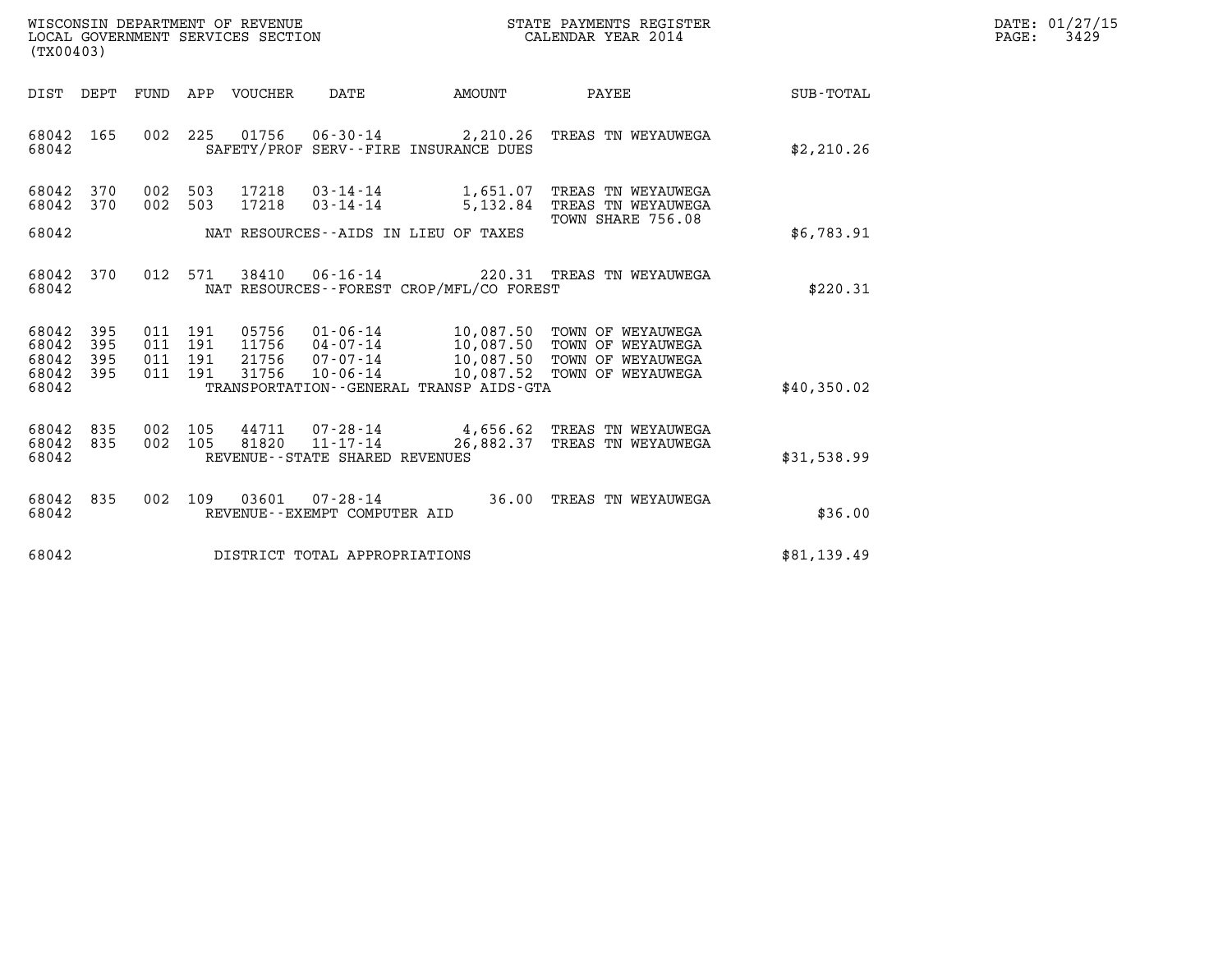| WISCONSIN DEPARTMENT OF REVENUE   | STATE PAYMENTS REGISTER | DATE: 01/27/15 |
|-----------------------------------|-------------------------|----------------|
| LOCAL GOVERNMENT SERVICES SECTION | CALENDAR YEAR 2014      | 3429<br>PAGE:  |

| (TX00403)                                 |                          |                          |                          |                                  |                                                                       |                                                                                             |                                                                                  |             |
|-------------------------------------------|--------------------------|--------------------------|--------------------------|----------------------------------|-----------------------------------------------------------------------|---------------------------------------------------------------------------------------------|----------------------------------------------------------------------------------|-------------|
| DIST                                      | DEPT                     | FUND                     | APP                      | <b>VOUCHER</b>                   | DATE                                                                  | <b>AMOUNT</b>                                                                               | PAYEE                                                                            | SUB-TOTAL   |
| 68042<br>68042                            | 165                      | 002                      | 225                      | 01756                            | $06 - 30 - 14$                                                        | 2,210.26<br>SAFETY/PROF SERV--FIRE INSURANCE DUES                                           | TREAS TN WEYAUWEGA                                                               | \$2,210.26  |
| 68042<br>68042                            | 370<br>370               | 002<br>002               | 503<br>503               | 17218<br>17218                   | $03 - 14 - 14$<br>$03 - 14 - 14$                                      | 1,651.07<br>5,132.84                                                                        | TREAS TN WEYAUWEGA<br>TREAS TN WEYAUWEGA<br>TOWN SHARE 756.08                    |             |
| 68042                                     |                          |                          |                          |                                  |                                                                       | NAT RESOURCES -- AIDS IN LIEU OF TAXES                                                      |                                                                                  | \$6,783.91  |
| 68042<br>68042                            | 370                      | 012                      | 571                      | 38410                            | $06 - 16 - 14$                                                        | 220.31<br>NAT RESOURCES - - FOREST CROP/MFL/CO FOREST                                       | TREAS TN WEYAUWEGA                                                               | \$220.31    |
| 68042<br>68042<br>68042<br>68042<br>68042 | 395<br>395<br>395<br>395 | 011<br>011<br>011<br>011 | 191<br>191<br>191<br>191 | 05756<br>11756<br>21756<br>31756 | $01 - 06 - 14$<br>04-07-14<br>$07 - 07 - 14$<br>$10 - 06 - 14$        | 10,087.50<br>10,087.50<br>10,087.50<br>10,087.52<br>TRANSPORTATION--GENERAL TRANSP AIDS-GTA | TOWN OF WEYAUWEGA<br>TOWN OF WEYAUWEGA<br>TOWN OF WEYAUWEGA<br>TOWN OF WEYAUWEGA | \$40,350.02 |
| 68042<br>68042<br>68042                   | 835<br>835               | 002<br>002               | 105<br>105               | 44711<br>81820                   | $07 - 28 - 14$<br>$11 - 17 - 14$<br>REVENUE - - STATE SHARED REVENUES | 4,656.62<br>26,882.37                                                                       | TREAS TN WEYAUWEGA<br>TREAS TN WEYAUWEGA                                         | \$31,538.99 |
| 68042<br>68042                            | 835                      | 002                      | 109                      | 03601                            | $07 - 28 - 14$<br>REVENUE--EXEMPT COMPUTER AID                        | 36.00                                                                                       | TREAS TN WEYAUWEGA                                                               | \$36.00     |
| 68042                                     |                          |                          |                          |                                  | DISTRICT TOTAL APPROPRIATIONS                                         |                                                                                             |                                                                                  | \$81,139.49 |
|                                           |                          |                          |                          |                                  |                                                                       |                                                                                             |                                                                                  |             |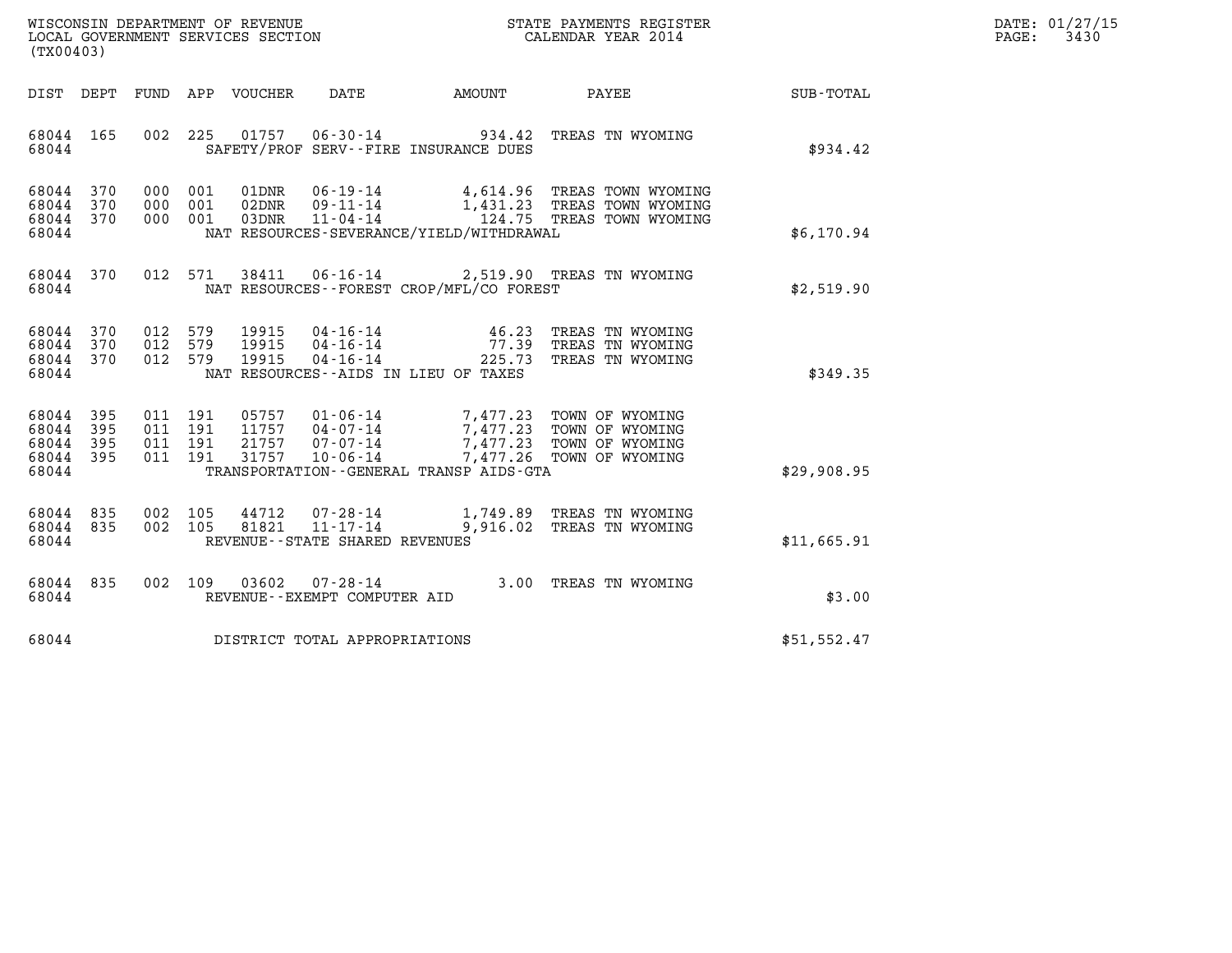| WISCONSIN DEPARTMENT OF REVENUE   | STATE PAYMENTS REGISTER | DATE: 01/27/15 |
|-----------------------------------|-------------------------|----------------|
| LOCAL GOVERNMENT SERVICES SECTION | CALENDAR YEAR 2014      | 3430<br>PAGE:  |

| WISCONSIN DEPARTMENT OF REVENUE<br>LOCAL GOVERNMENT SERVICES SECTION TERM CALENDAR YEAR 2014<br>(TX00403) |  |  |  |               |                                     |                                            |                                                                                                                                                                                                                                                                                                               |             | DATE: 01/27/15<br>$\mathtt{PAGE}$ :<br>3430 |
|-----------------------------------------------------------------------------------------------------------|--|--|--|---------------|-------------------------------------|--------------------------------------------|---------------------------------------------------------------------------------------------------------------------------------------------------------------------------------------------------------------------------------------------------------------------------------------------------------------|-------------|---------------------------------------------|
|                                                                                                           |  |  |  |               |                                     |                                            | DIST DEPT FUND APP VOUCHER DATE AMOUNT PAYEE SUB-TOTAL                                                                                                                                                                                                                                                        |             |                                             |
| 68044 165<br>68044                                                                                        |  |  |  |               |                                     | SAFETY/PROF SERV--FIRE INSURANCE DUES      | 002 225 01757 06-30-14 934.42 TREAS TN WYOMING                                                                                                                                                                                                                                                                | \$934.42    |                                             |
| 68044 370<br>68044 370<br>68044 370<br>68044                                                              |  |  |  |               |                                     | NAT RESOURCES-SEVERANCE/YIELD/WITHDRAWAL   | 000 001 01DNR 06-19-14 4,614.96 TREAS TOWN WYOMING<br>000 001 02DNR 09-11-14 1,431.23 TREAS TOWN WYOMING<br>000 001 03DNR 11-04-14 124.75 TREAS TOWN WYOMING                                                                                                                                                  | \$6,170.94  |                                             |
| 68044                                                                                                     |  |  |  |               |                                     | NAT RESOURCES -- FOREST CROP/MFL/CO FOREST | 68044 370 012 571 38411 06-16-14 2,519.90 TREAS TN WYOMING                                                                                                                                                                                                                                                    | \$2,519.90  |                                             |
| 68044 370<br>68044 370<br>68044 370<br>68044                                                              |  |  |  |               |                                     | NAT RESOURCES--AIDS IN LIEU OF TAXES       | 012 579 19915 04–16–14            46.23 TREAS TN WYOMING<br>012 579 19915 04–16–14               77.39 TREAS TN WYOMING<br>012 579 19915 04–16–14              225.73 TREAS TN WYOMING                                                                                                                        | \$349.35    |                                             |
| 68044 395<br>68044 395<br>68044 395<br>68044 395<br>68044                                                 |  |  |  | 011 191 31757 |                                     | TRANSPORTATION - GENERAL TRANSP AIDS-GTA   | $\begin{array}{cccc} 011 & 191 & 05757 & 01\cdot 06\cdot 14 & 7,477.23 & \text{TOWN OF WYOMING} \\ 011 & 191 & 11757 & 04\cdot 07\cdot 14 & 7,477.23 & \text{TOWN OF WYOMING} \\ 011 & 191 & 21757 & 07\cdot 07\cdot 14 & 7,477.23 & \text{TOWN OF WYOMING} \end{array}$<br>10-06-14 7,477.26 TOWN OF WYOMING | \$29,908.95 |                                             |
| 68044 835<br>68044 835<br>68044                                                                           |  |  |  |               | REVENUE--STATE SHARED REVENUES      |                                            | 002 105 44712 07-28-14 1,749.89 TREAS TN WYOMING<br>002 105 81821 11-17-14 9,916.02 TREAS TN WYOMING                                                                                                                                                                                                          | \$11,665.91 |                                             |
| 68044                                                                                                     |  |  |  |               | REVENUE--EXEMPT COMPUTER AID        |                                            | 68044 835 002 109 03602 07-28-14 3.00 TREAS TN WYOMING                                                                                                                                                                                                                                                        | \$3.00      |                                             |
|                                                                                                           |  |  |  |               | 68044 DISTRICT TOTAL APPROPRIATIONS |                                            |                                                                                                                                                                                                                                                                                                               | \$51,552.47 |                                             |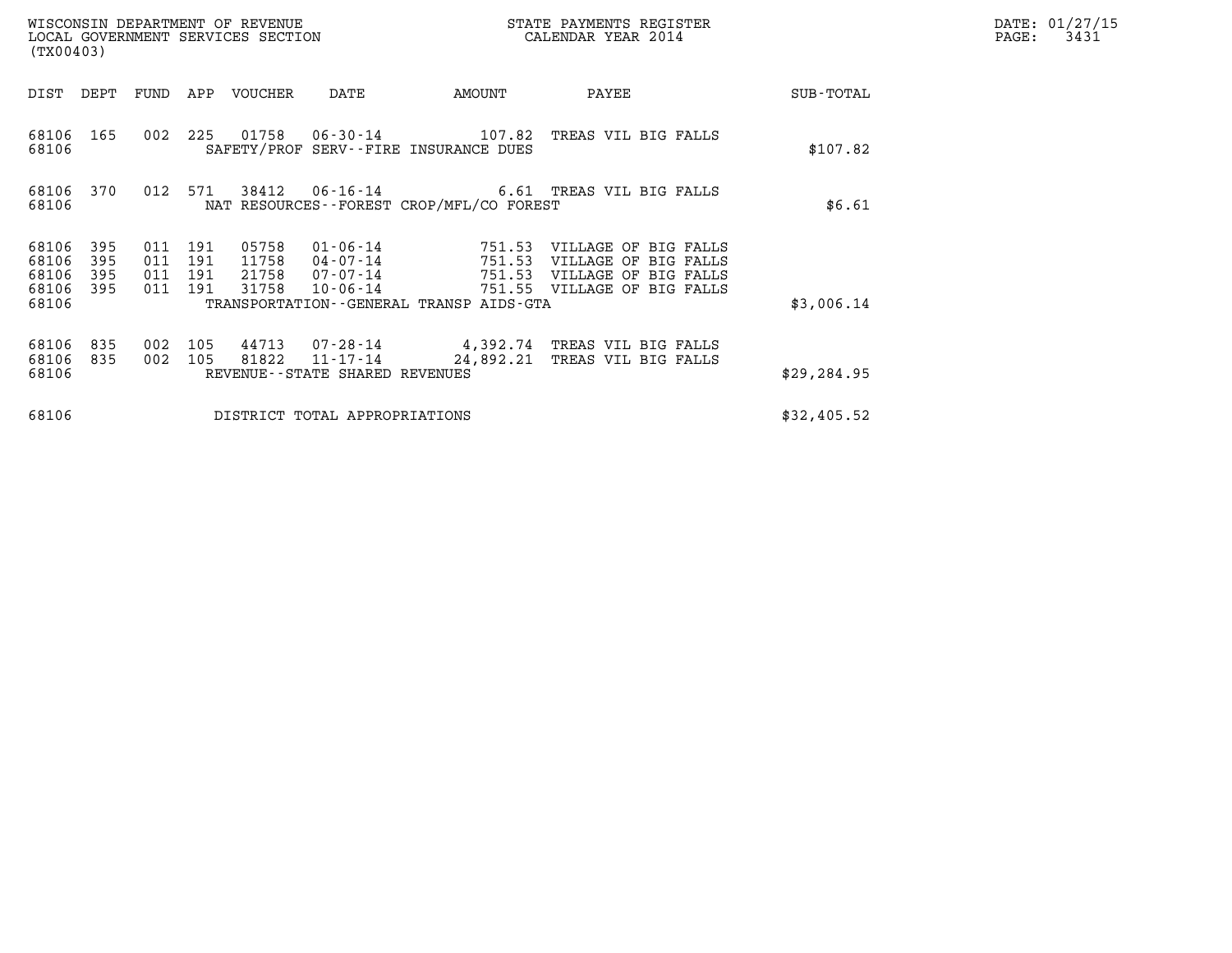| (TX00403)                        |                          |                                  |            | WISCONSIN DEPARTMENT OF REVENUE<br>LOCAL GOVERNMENT SERVICES SECTION |                                                            |                                          | STATE PAYMENTS REGISTER<br>CALENDAR YEAR 2014                                                       |              | DATE: 01/27/15<br>3431<br>$\mathtt{PAGE:}$ |
|----------------------------------|--------------------------|----------------------------------|------------|----------------------------------------------------------------------|------------------------------------------------------------|------------------------------------------|-----------------------------------------------------------------------------------------------------|--------------|--------------------------------------------|
| DIST DEPT                        |                          | FUND                             |            | APP VOUCHER                                                          | DATE                                                       | AMOUNT                                   | PAYEE                                                                                               | SUB-TOTAL    |                                            |
| 68106                            | 68106 165                | 002 225                          |            |                                                                      |                                                            | SAFETY/PROF SERV--FIRE INSURANCE DUES    | 01758   06-30-14   107.82   TREAS VIL BIG FALLS                                                     | \$107.82     |                                            |
| 68106                            | 68106 370                | 012 571                          |            |                                                                      |                                                            | NAT RESOURCES--FOREST CROP/MFL/CO FOREST | 38412   06-16-14   6.61   TREAS VIL BIG FALLS                                                       | \$6.61       |                                            |
| 68106<br>68106<br>68106<br>68106 | 395<br>395<br>395<br>395 | 011<br>011<br>011 191<br>011 191 | 191<br>191 | 05758<br>11758<br>21758<br>31758                                     | $01 - 06 - 14$<br>04 - 07 - 14<br>07 - 07 - 14<br>10-06-14 | 751.53<br>751.53<br>751.53               | VILLAGE OF BIG FALLS<br>VILLAGE OF BIG FALLS<br>VILLAGE OF BIG FALLS<br>751.55 VILLAGE OF BIG FALLS |              |                                            |
| 68106                            |                          |                                  |            |                                                                      |                                                            | TRANSPORTATION--GENERAL TRANSP AIDS-GTA  |                                                                                                     | \$3,006.14   |                                            |
| 68106<br>68106<br>68106          | 835<br>835               | 002<br>002                       | 105<br>105 | 81822                                                                | $11 - 17 - 14$<br>REVENUE--STATE SHARED REVENUES           |                                          | 44713 07-28-14 4,392.74 TREAS VIL BIG FALLS<br>24,892.21 TREAS VIL BIG FALLS                        | \$29, 284.95 |                                            |
| 68106                            |                          |                                  |            |                                                                      | DISTRICT TOTAL APPROPRIATIONS                              |                                          |                                                                                                     | \$32,405.52  |                                            |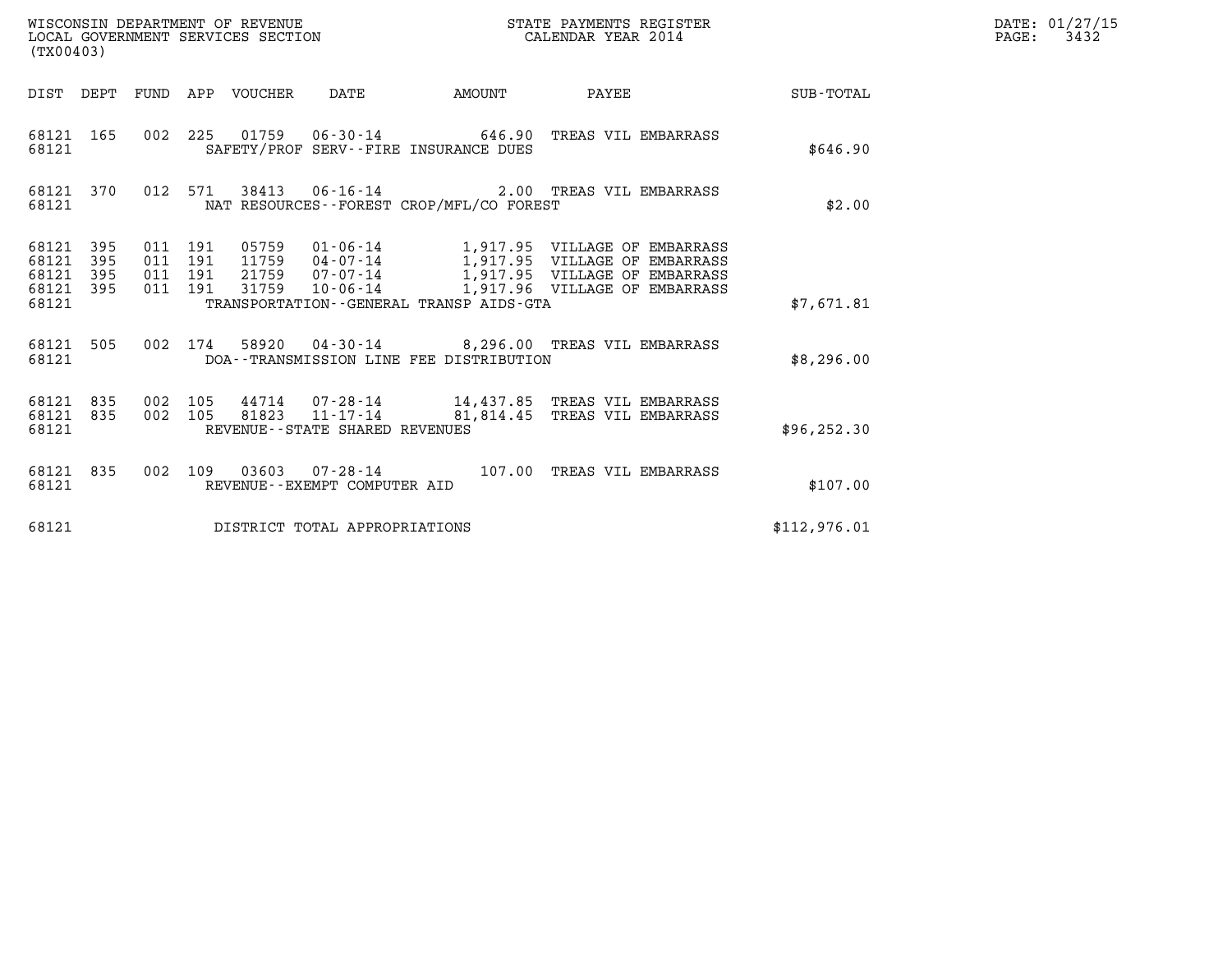| (TX00403)                        |                   |         |                    | WISCONSIN DEPARTMENT OF REVENUE<br>LOCAL GOVERNMENT SERVICES SECTION |                                          | STATE PAYMENTS REGISTER<br>CALENDAR YEAR 2014                                                                                                                                                                                |              | DATE: 01/27/15<br>PAGE: 3432 |
|----------------------------------|-------------------|---------|--------------------|----------------------------------------------------------------------|------------------------------------------|------------------------------------------------------------------------------------------------------------------------------------------------------------------------------------------------------------------------------|--------------|------------------------------|
|                                  |                   |         |                    |                                                                      |                                          |                                                                                                                                                                                                                              |              |                              |
| 68121                            |                   |         |                    |                                                                      | SAFETY/PROF SERV--FIRE INSURANCE DUES    | 68121 165 002 225 01759 06-30-14 646.90 TREAS VIL EMBARRASS                                                                                                                                                                  | \$646.90     |                              |
| 68121                            |                   |         |                    |                                                                      | NAT RESOURCES--FOREST CROP/MFL/CO FOREST | 68121 370 012 571 38413 06-16-14 2.00 TREAS VIL EMBARRASS                                                                                                                                                                    | \$2.00       |                              |
| 68121<br>68121<br>68121<br>68121 | 395<br>395<br>395 | 011 191 | 011 191<br>011 191 |                                                                      | TRANSPORTATION--GENERAL TRANSP AIDS-GTA  | 68121 395 011 191 05759 01-06-14 1,917.95 VILLAGE OF EMBARRASS<br>11759  04-07-14   1,917.95  VILLAGE OF EMBARRASS<br>21759  07-07-14   1,917.95    VILLAGE OF EMBARRASS<br>31759  10-06-14   1,917.96  VILLAGE OF EMBARRASS | \$7.671.81   |                              |
| 68121                            |                   |         |                    |                                                                      | DOA--TRANSMISSION LINE FEE DISTRIBUTION  | 68121 505 002 174 58920 04-30-14 8,296.00 TREAS VIL EMBARRASS                                                                                                                                                                | \$8,296.00   |                              |
| 68121                            |                   |         |                    | REVENUE--STATE SHARED REVENUES                                       |                                          | 68121 835 002 105 44714 07-28-14 14,437.85 TREAS VIL EMBARRASS<br>68121 835 002 105 81823 11-17-14 81,814.45 TREAS VIL EMBARRASS                                                                                             | \$96, 252.30 |                              |
| 68121                            |                   |         |                    | REVENUE--EXEMPT COMPUTER AID                                         |                                          | 68121 835 002 109 03603 07-28-14 107.00 TREAS VIL EMBARRASS                                                                                                                                                                  | \$107.00     |                              |
| 68121                            |                   |         |                    | DISTRICT TOTAL APPROPRIATIONS                                        |                                          |                                                                                                                                                                                                                              | \$112,976.01 |                              |
|                                  |                   |         |                    |                                                                      |                                          |                                                                                                                                                                                                                              |              |                              |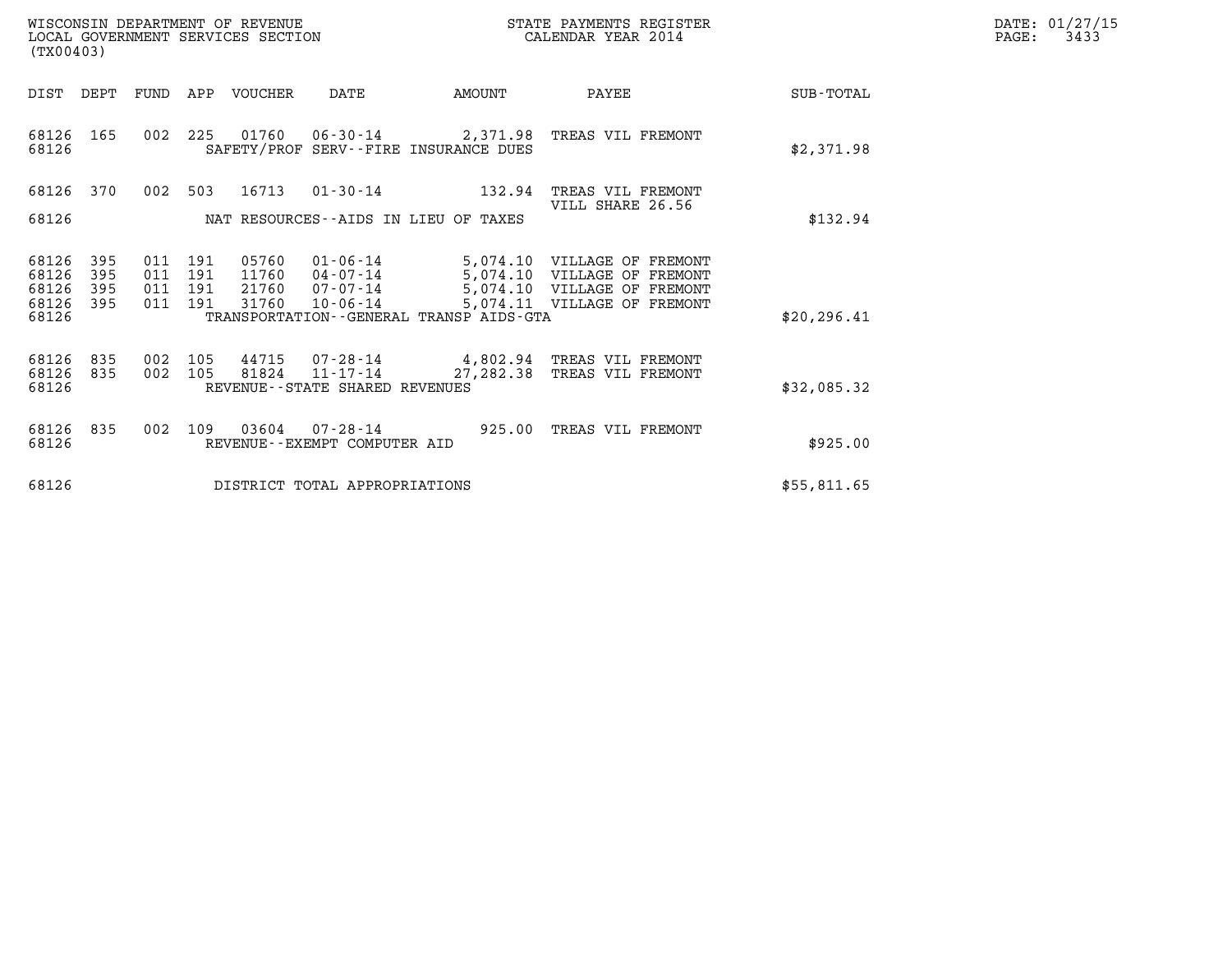| WISCONSIN DEPARTMENT OF REVENUE<br>LOCAL GOVERNMENT SERVICES SECTION | STATE PAYMENTS REGISTER<br>CALENDAR YEAR 2014 | DATE: 01/27/15<br>3433<br>PAGE: |
|----------------------------------------------------------------------|-----------------------------------------------|---------------------------------|

| WISCONSIN DEPARTMENT OF REVENUE<br>LOCAL GOVERNMENT SERVICES SECTION<br>(TX00403) |            |                |                |                                   |                                         | STATE PAYMENTS REGISTER<br>CALENDAR YEAR 2014              |              | DATE: 01/27/15<br>$\mathtt{PAGE}$ :<br>3433 |
|-----------------------------------------------------------------------------------|------------|----------------|----------------|-----------------------------------|-----------------------------------------|------------------------------------------------------------|--------------|---------------------------------------------|
| DIST DEPT                                                                         | FUND       |                | APP VOUCHER    | DATE                              | <b>AMOUNT</b>                           | PAYEE                                                      | SUB-TOTAL    |                                             |
| 68126 165<br>68126                                                                |            |                |                |                                   | SAFETY/PROF SERV--FIRE INSURANCE DUES   | 002 225 01760 06-30-14 2,371.98 TREAS VIL FREMONT          | \$2,371.98   |                                             |
| 68126 370                                                                         |            |                |                |                                   | 002 503 16713 01-30-14 132.94           | TREAS VIL FREMONT<br>VILL SHARE 26.56                      |              |                                             |
| 68126                                                                             |            |                |                |                                   | NAT RESOURCES--AIDS IN LIEU OF TAXES    |                                                            | \$132.94     |                                             |
| 68126<br>395<br>68126<br>395                                                      | 011        | 011 191<br>191 | 05760<br>11760 | $01 - 06 - 14$<br>04-07-14        |                                         | 5,074.10 VILLAGE OF FREMONT<br>5,074.10 VILLAGE OF FREMONT |              |                                             |
| 68126<br>395<br>68126<br>395<br>68126                                             | 011        | 191<br>011 191 | 21760<br>31760 | 07-07-14<br>$10 - 06 - 14$        | TRANSPORTATION--GENERAL TRANSP AIDS-GTA | 5,074.10 VILLAGE OF FREMONT<br>5,074.11 VILLAGE OF FREMONT | \$20, 296.41 |                                             |
| 68126 835<br>68126<br>835<br>68126                                                | 002<br>002 | 105<br>105     | 44715<br>81824 | REVENUE - - STATE SHARED REVENUES | $11 - 17 - 14$ $27,282.38$              | 07-28-14 4,802.94 TREAS VIL FREMONT<br>TREAS VIL FREMONT   | \$32,085.32  |                                             |
| 68126 835<br>68126                                                                | 002        | 109            | 03604          | REVENUE--EXEMPT COMPUTER AID      | 07-28-14 925.00                         | TREAS VIL FREMONT                                          | \$925.00     |                                             |
| 68126                                                                             |            |                |                | DISTRICT TOTAL APPROPRIATIONS     |                                         |                                                            | \$55,811.65  |                                             |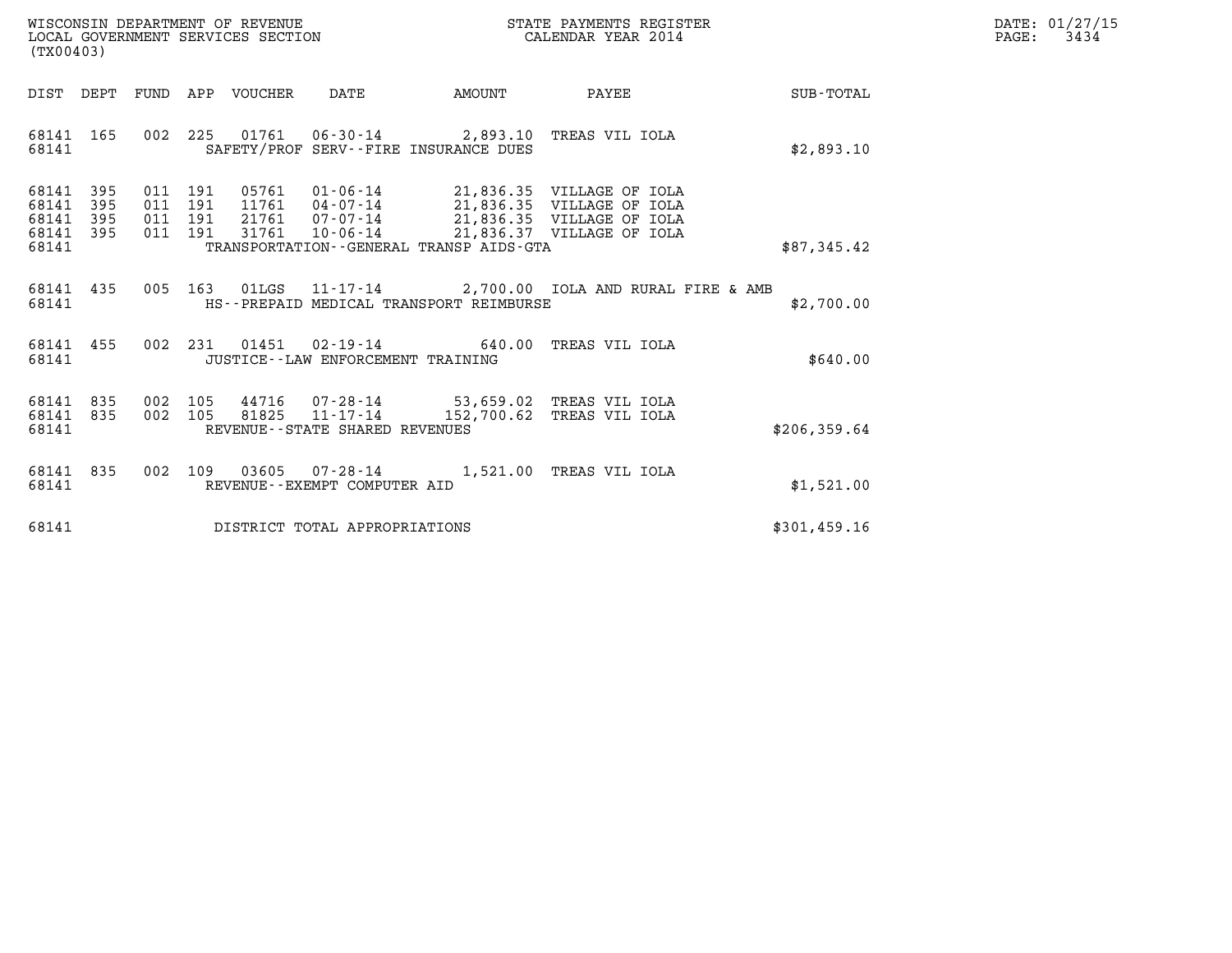| WISCONSIN DEPARTMENT OF REVENUE   | STATE PAYMENTS REGISTER | DATE: 01/27/15 |
|-----------------------------------|-------------------------|----------------|
| LOCAL GOVERNMENT SERVICES SECTION | CALENDAR YEAR 2014      | 3434<br>PAGE:  |

| (TX00403)                                                    |                                                                                                                                                                                                                                                              | DATE: 01/27/15<br>$\mathtt{PAGE}$ :<br>3434 |
|--------------------------------------------------------------|--------------------------------------------------------------------------------------------------------------------------------------------------------------------------------------------------------------------------------------------------------------|---------------------------------------------|
|                                                              | DIST DEPT FUND APP VOUCHER DATE AMOUNT PAYEE                                                                                                                                                                                                                 | SUB-TOTAL                                   |
| 68141                                                        | 68141 165 002 225 01761 06-30-14 2,893.10 TREAS VIL IOLA<br>SAFETY/PROF SERV--FIRE INSURANCE DUES                                                                                                                                                            | \$2,893.10                                  |
| 68141 395<br>68141<br>395<br>68141 395<br>68141 395<br>68141 | 011 191 05761 01-06-14 21,836.35 VILLAGE OF IOLA<br>011 191 11761 04-07-14 21,836.35 VILLAGE OF IOLA<br>011 191 21761 07-07-14 21,836.35 VILLAGE OF IOLA<br>011 191 31761 10-06-14 21,836.37 VILLAGE OF IOLA<br>TRANSPORTATION - - GENERAL TRANSP AIDS - GTA | \$87,345.42                                 |
| 68141                                                        | 68141 435 005 163 01LGS 11-17-14 2,700.00 IOLA AND RURAL FIRE & AMB<br>HS--PREPAID MEDICAL TRANSPORT REIMBURSE                                                                                                                                               | \$2,700.00                                  |
| 68141                                                        | 68141 455 002 231 01451 02-19-14 640.00 TREAS VIL IOLA<br>JUSTICE--LAW ENFORCEMENT TRAINING                                                                                                                                                                  | \$640.00                                    |
| 68141 835<br>68141 835<br>68141                              | 002 105 44716 07-28-14 53,659.02 TREAS VIL IOLA<br>002 105 81825 11-17-14 152,700.62 TREAS VIL IOLA<br>REVENUE--STATE SHARED REVENUES                                                                                                                        | \$206, 359.64                               |
| 68141 835<br>68141                                           | 002 109 03605 07-28-14 1,521.00 TREAS VIL IOLA<br>REVENUE--EXEMPT COMPUTER AID                                                                                                                                                                               | \$1,521.00                                  |
|                                                              | 68141 DISTRICT TOTAL APPROPRIATIONS                                                                                                                                                                                                                          | \$301, 459.16                               |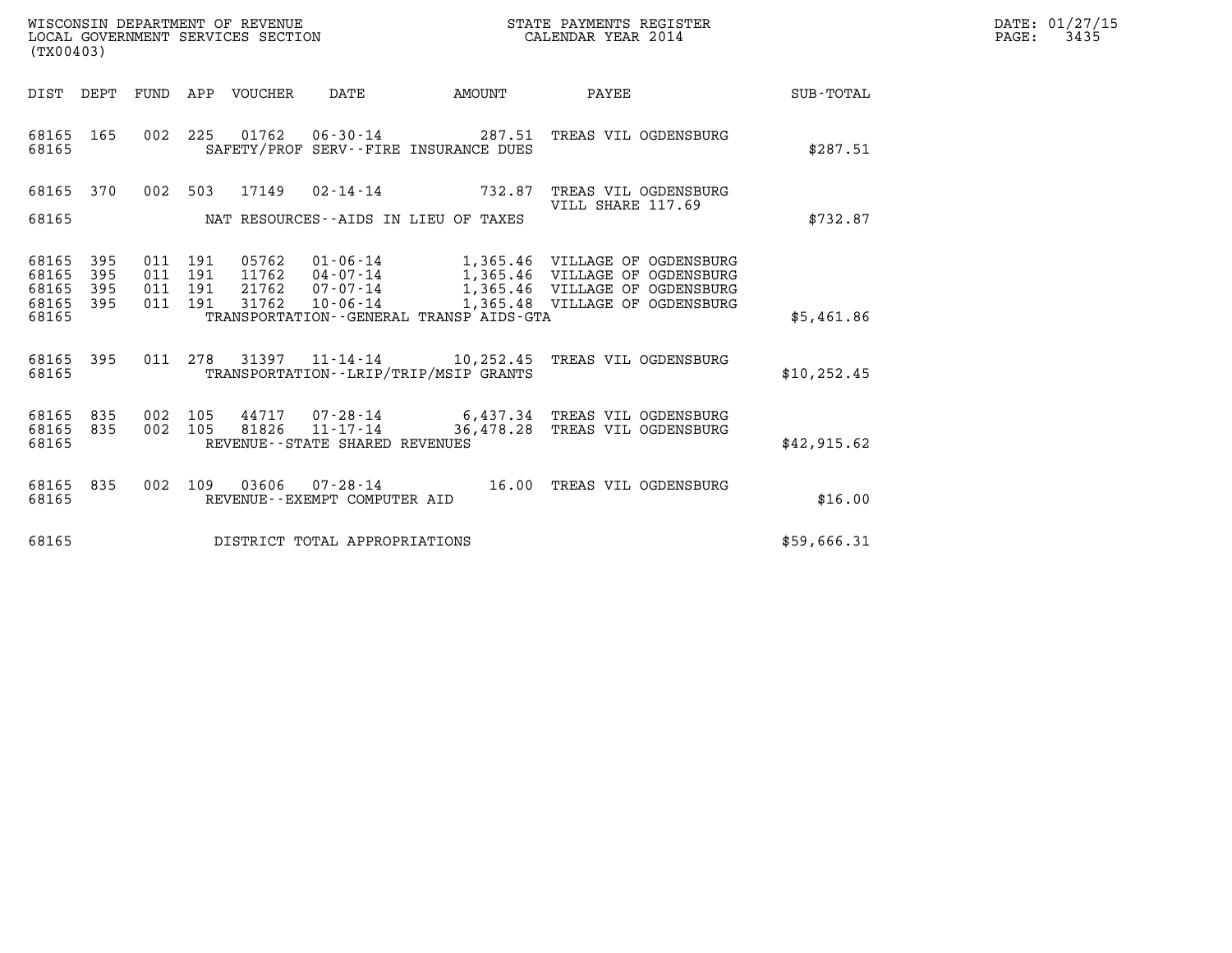| WISCONSIN DEPARTMENT OF REVENUE   | STATE PAYMENTS REGISTER | DATE: 01/27/15 |
|-----------------------------------|-------------------------|----------------|
| LOCAL GOVERNMENT SERVICES SECTION | CALENDAR YEAR 2014      | 3435<br>PAGE:  |

| (TX00403)                                 |                                                      |                          |                                                                              |                       |                                                                                                                                                                           |              |
|-------------------------------------------|------------------------------------------------------|--------------------------|------------------------------------------------------------------------------|-----------------------|---------------------------------------------------------------------------------------------------------------------------------------------------------------------------|--------------|
| DIST                                      | DEPT                                                 |                          | FUND APP VOUCHER DATE                                                        | <b>AMOUNT</b>         | PAYEE                                                                                                                                                                     | SUB-TOTAL    |
| 68165<br>68165                            | 165                                                  | 002 225                  | SAFETY/PROF SERV--FIRE INSURANCE DUES                                        |                       | 01762    06-30-14    287.51    TREAS VIL OGDENSBURG                                                                                                                       | \$287.51     |
| 68165<br>68165                            | 370                                                  | 17149<br>002 503         | NAT RESOURCES--AIDS IN LIEU OF TAXES                                         | $02 - 14 - 14$ 732.87 | TREAS VIL OGDENSBURG<br>VILL SHARE 117.69                                                                                                                                 | \$732.87     |
| 68165<br>68165<br>68165<br>68165<br>68165 | 395<br>011<br>395<br>011<br>395<br>011<br>395<br>011 | 191<br>191<br>191<br>191 | 11762  04-07-14<br>21762 07-07-14<br>TRANSPORTATION--GENERAL TRANSP AIDS-GTA |                       | 05762  01-06-14   1,365.46  VILLAGE OF OGDENSBURG<br>1,365.46 VILLAGE OF OGDENSBURG<br>1,365.46 VILLAGE OF OGDENSBURG<br>31762  10-06-14  1,365.48  VILLAGE OF OGDENSBURG | \$5,461.86   |
| 68165<br>68165                            | 395<br>011                                           | 278                      | TRANSPORTATION - - LRIP/TRIP/MSIP GRANTS                                     |                       | 31397  11-14-14  10,252.45  TREAS VIL OGDENSBURG                                                                                                                          | \$10, 252.45 |
| 68165<br>68165<br>68165                   | 835<br>002<br>002<br>835                             | 105                      | REVENUE - - STATE SHARED REVENUES                                            |                       | 44717 07-28-14 6,437.34 TREAS VIL OGDENSBURG<br>105 81826 11-17-14 36,478.28 TREAS VIL OGDENSBURG                                                                         | \$42,915.62  |
| 68165<br>68165                            | 835<br>002                                           | 109                      | 03606  07-28-14<br>REVENUE--EXEMPT COMPUTER AID                              | 16.00                 | TREAS VIL OGDENSBURG                                                                                                                                                      | \$16.00      |
| 68165                                     |                                                      |                          | DISTRICT TOTAL APPROPRIATIONS                                                |                       |                                                                                                                                                                           | \$59,666.31  |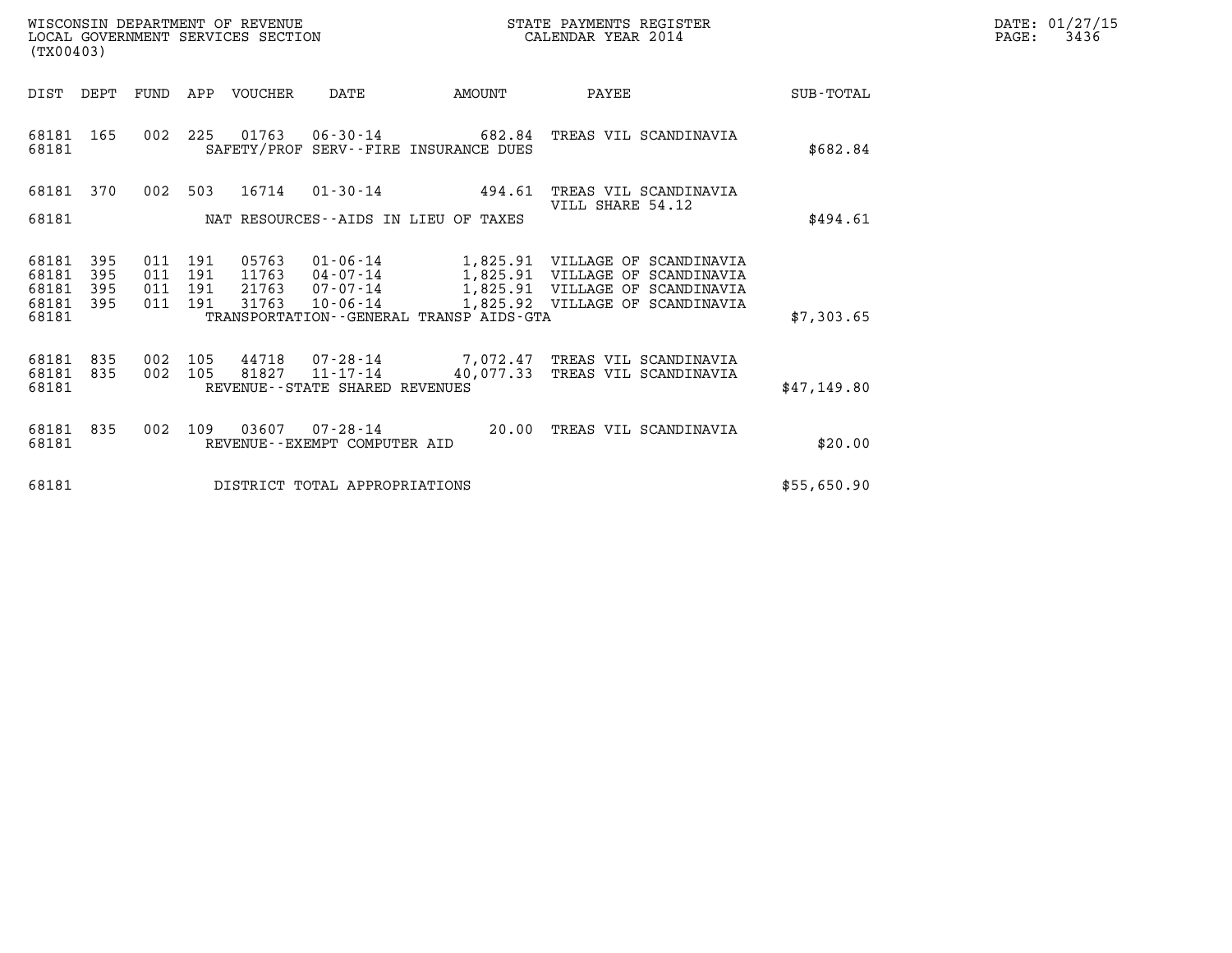| WISCONSIN DEPARTMENT OF REVENUE   | STATE PAYMENTS REGISTER | DATE: 01/27/15 |
|-----------------------------------|-------------------------|----------------|
| LOCAL GOVERNMENT SERVICES SECTION | CALENDAR YEAR 2014      | 3436<br>PAGE:  |

| WISCONSIN DEPARTMENT OF REVENUE<br>LOCAL GOVERNMENT SERVICES SECTION<br>(TX00403) |                          |                          |                          |                                  |                                                |                                                                    | STATE PAYMENTS REGISTER<br>CALENDAR YEAR 2014                                                                                            |             | DATE: 01/27/15<br>PAGE:<br>3436 |
|-----------------------------------------------------------------------------------|--------------------------|--------------------------|--------------------------|----------------------------------|------------------------------------------------|--------------------------------------------------------------------|------------------------------------------------------------------------------------------------------------------------------------------|-------------|---------------------------------|
| DIST                                                                              | DEPT                     | FUND                     |                          | APP VOUCHER                      | DATE                                           | <b>AMOUNT</b>                                                      | PAYEE                                                                                                                                    | SUB-TOTAL   |                                 |
| 68181 165<br>68181                                                                |                          | 002                      |                          |                                  |                                                | 225 01763 06-30-14 682.84<br>SAFETY/PROF SERV--FIRE INSURANCE DUES | TREAS VIL SCANDINAVIA                                                                                                                    | \$682.84    |                                 |
| 68181 370<br>68181                                                                |                          | 002                      |                          |                                  |                                                | 503 16714 01-30-14 494.61<br>NAT RESOURCES--AIDS IN LIEU OF TAXES  | TREAS VIL SCANDINAVIA<br>VILL SHARE 54.12                                                                                                | \$494.61    |                                 |
| 68181<br>68181<br>68181<br>68181<br>68181                                         | 395<br>395<br>395<br>395 | 011<br>011<br>011<br>011 | 191<br>191<br>191<br>191 | 05763<br>11763<br>21763<br>31763 | 04-07-14<br>07-07-14<br>10-06-14               | 1,825.91<br>TRANSPORTATION--GENERAL TRANSP AIDS-GTA                | 01-06-14 1,825.91 VILLAGE OF SCANDINAVIA<br>VILLAGE OF SCANDINAVIA<br>1,825.91 VILLAGE OF SCANDINAVIA<br>1,825.92 VILLAGE OF SCANDINAVIA | \$7,303.65  |                                 |
| 68181 835<br>68181 835<br>68181                                                   |                          | 002<br>002               | 105<br>105               | 44718                            | REVENUE - - STATE SHARED REVENUES              | 81827 11-17-14 40,077.33                                           | 07-28-14 7,072.47 TREAS VIL SCANDINAVIA<br>TREAS VIL SCANDINAVIA                                                                         | \$47,149.80 |                                 |
| 68181 835<br>68181                                                                |                          | 002                      | 109                      | 03607                            | $07 - 28 - 14$<br>REVENUE--EXEMPT COMPUTER AID | 20.00                                                              | TREAS VIL SCANDINAVIA                                                                                                                    | \$20.00     |                                 |
| 68181                                                                             |                          |                          |                          |                                  | DISTRICT TOTAL APPROPRIATIONS                  |                                                                    |                                                                                                                                          | \$55,650.90 |                                 |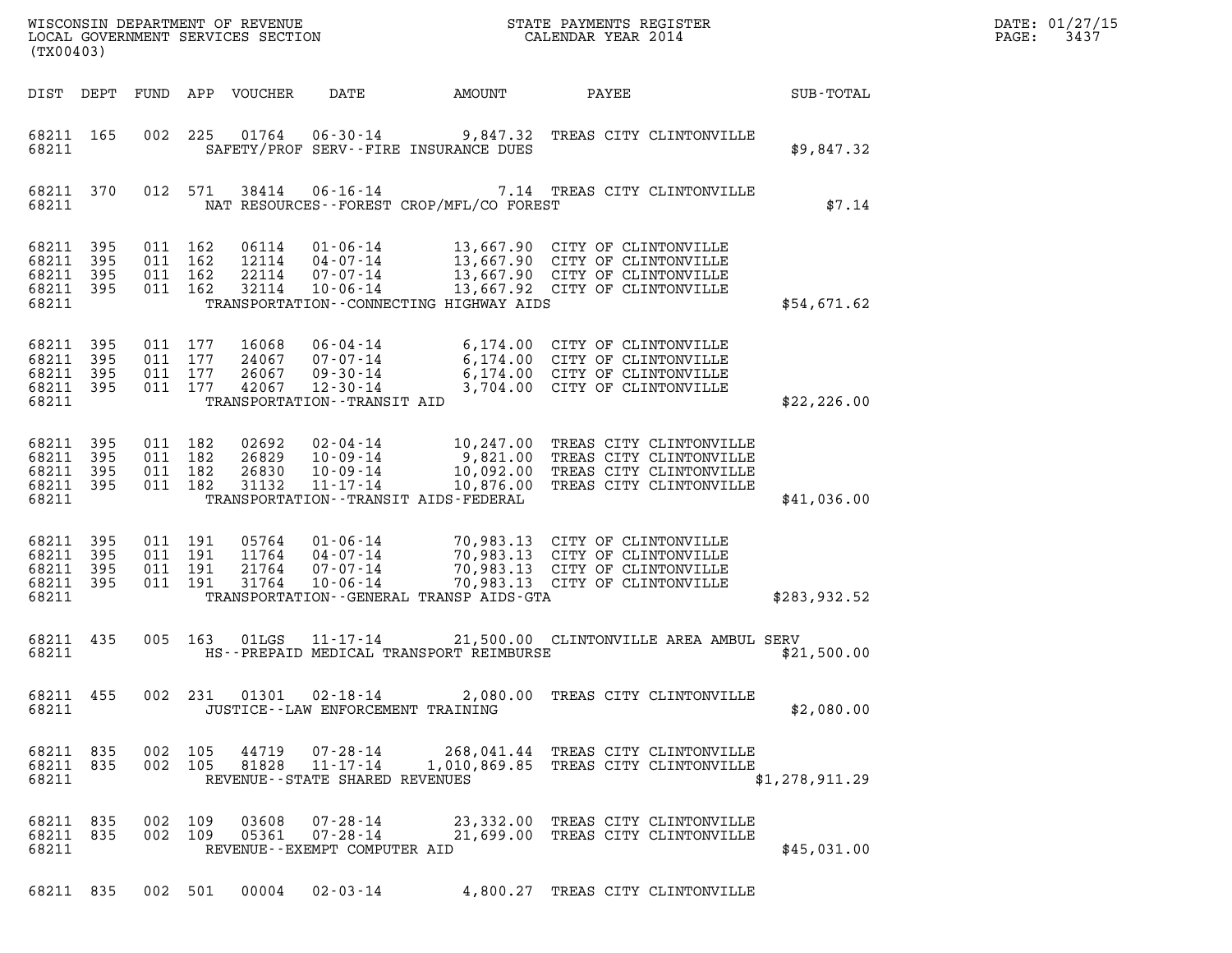| LOCAL GOVERNMENT SERVICES SECTION<br>(TX00403)        |                   |                    |                                          |                                  |                                                                                            |                                             |                                                                                                                                                 |                | DATE: 01/27/15<br>3437<br>PAGE: |
|-------------------------------------------------------|-------------------|--------------------|------------------------------------------|----------------------------------|--------------------------------------------------------------------------------------------|---------------------------------------------|-------------------------------------------------------------------------------------------------------------------------------------------------|----------------|---------------------------------|
| DIST DEPT                                             |                   |                    |                                          | FUND APP VOUCHER                 | DATE                                                                                       | AMOUNT                                      | PAYEE                                                                                                                                           | SUB-TOTAL      |                                 |
| 68211 165<br>68211                                    |                   |                    |                                          |                                  | 002 225 01764 06-30-14                                                                     | SAFETY/PROF SERV--FIRE INSURANCE DUES       | 9,847.32 TREAS CITY CLINTONVILLE                                                                                                                | \$9,847.32     |                                 |
| 68211 370<br>68211                                    |                   |                    | 012 571                                  | 38414                            |                                                                                            | NAT RESOURCES - - FOREST CROP/MFL/CO FOREST | 06-16-14 7.14 TREAS CITY CLINTONVILLE                                                                                                           | \$7.14         |                                 |
| 68211 395<br>68211<br>68211 395<br>68211 395<br>68211 | 395               |                    | 011 162<br>011 162<br>011 162<br>011 162 | 06114<br>12114<br>22114<br>32114 | 04-07-14<br>07-07-14<br>$10 - 06 - 14$                                                     | TRANSPORTATION - - CONNECTING HIGHWAY AIDS  | 01-06-14 13,667.90 CITY OF CLINTONVILLE<br>13,667.90 CITY OF CLINTONVILLE<br>13,667.90 CITY OF CLINTONVILLE<br>13,667.92 CITY OF CLINTONVILLE   | \$54,671.62    |                                 |
| 68211 395<br>68211 395<br>68211<br>68211 395<br>68211 | 395               | 011 177<br>011 177 | 011 177<br>011 177                       | 16068<br>24067<br>26067<br>42067 | 06-04-14<br>07-07-14<br>$09 - 30 - 14$<br>$12 - 30 - 14$<br>TRANSPORTATION - - TRANSIT AID |                                             | 6,174.00 CITY OF CLINTONVILLE<br>6,174.00 CITY OF CLINTONVILLE<br>6,174.00 CITY OF CLINTONVILLE<br>3,704.00 CITY OF CLINTONVILLE                | \$22, 226.00   |                                 |
| 68211 395<br>68211<br>68211 395<br>68211 395<br>68211 | 395               | 011 182            | 011 182<br>011 182<br>011 182            | 02692<br>26829<br>26830<br>31132 | 02-04-14<br>$10 - 09 - 14$<br>10-09-14<br>$11 - 17 - 14$                                   | TRANSPORTATION - - TRANSIT AIDS - FEDERAL   | 10,247.00 TREAS CITY CLINTONVILLE<br>9,821.00 TREAS CITY CLINTONVILLE<br>10,092.00 TREAS CITY CLINTONVILLE<br>10,876.00 TREAS CITY CLINTONVILLE | \$41,036.00    |                                 |
| 68211 395<br>68211 395<br>68211<br>68211 395<br>68211 | 395               |                    | 011 191<br>011 191<br>011 191<br>011 191 | 05764<br>11764<br>21764<br>31764 | 01-06-14<br>04-07-14<br>07-07-14<br>$10 - 06 - 14$                                         | TRANSPORTATION--GENERAL TRANSP AIDS-GTA     | 70,983.13 CITY OF CLINTONVILLE<br>70,983.13 CITY OF CLINTONVILLE<br>70,983.13 CITY OF CLINTONVILLE<br>70,983.13 CITY OF CLINTONVILLE            | \$283,932.52   |                                 |
| 68211 435<br>68211                                    |                   |                    | 005 163                                  | 01LGS                            | 11-17-14                                                                                   | HS--PREPAID MEDICAL TRANSPORT REIMBURSE     | 21,500.00 CLINTONVILLE AREA AMBUL SERV                                                                                                          | \$21,500.00    |                                 |
| 68211                                                 | 68211 455         |                    |                                          |                                  | JUSTICE - - LAW ENFORCEMENT TRAINING                                                       |                                             | 002 231 01301 02-18-14 2,080.00 TREAS CITY CLINTONVILLE                                                                                         | \$2,080.00     |                                 |
| 68211 835<br>68211 835<br>68211                       |                   |                    | 002 105<br>002 105                       | 44719<br>81828                   | REVENUE--STATE SHARED REVENUES                                                             |                                             | 07-28-14 268,041.44 TREAS CITY CLINTONVILLE<br>11-17-14   1,010,869.85   TREAS CITY CLINTONVILLE                                                | \$1,278,911.29 |                                 |
| 68211 835<br>68211 835<br>68211                       |                   |                    | 002 109<br>002 109                       | 03608<br>05361                   | REVENUE--EXEMPT COMPUTER AID                                                               |                                             | 07-28-14 23,332.00 TREAS CITY CLINTONVILLE<br>07-28-14 21,699.00 TREAS CITY CLINTONVILLE                                                        | \$45,031.00    |                                 |
|                                                       | 68211 835 002 501 |                    |                                          |                                  | $00004$ $02 - 03 - 14$                                                                     |                                             | 4,800.27 TREAS CITY CLINTONVILLE                                                                                                                |                |                                 |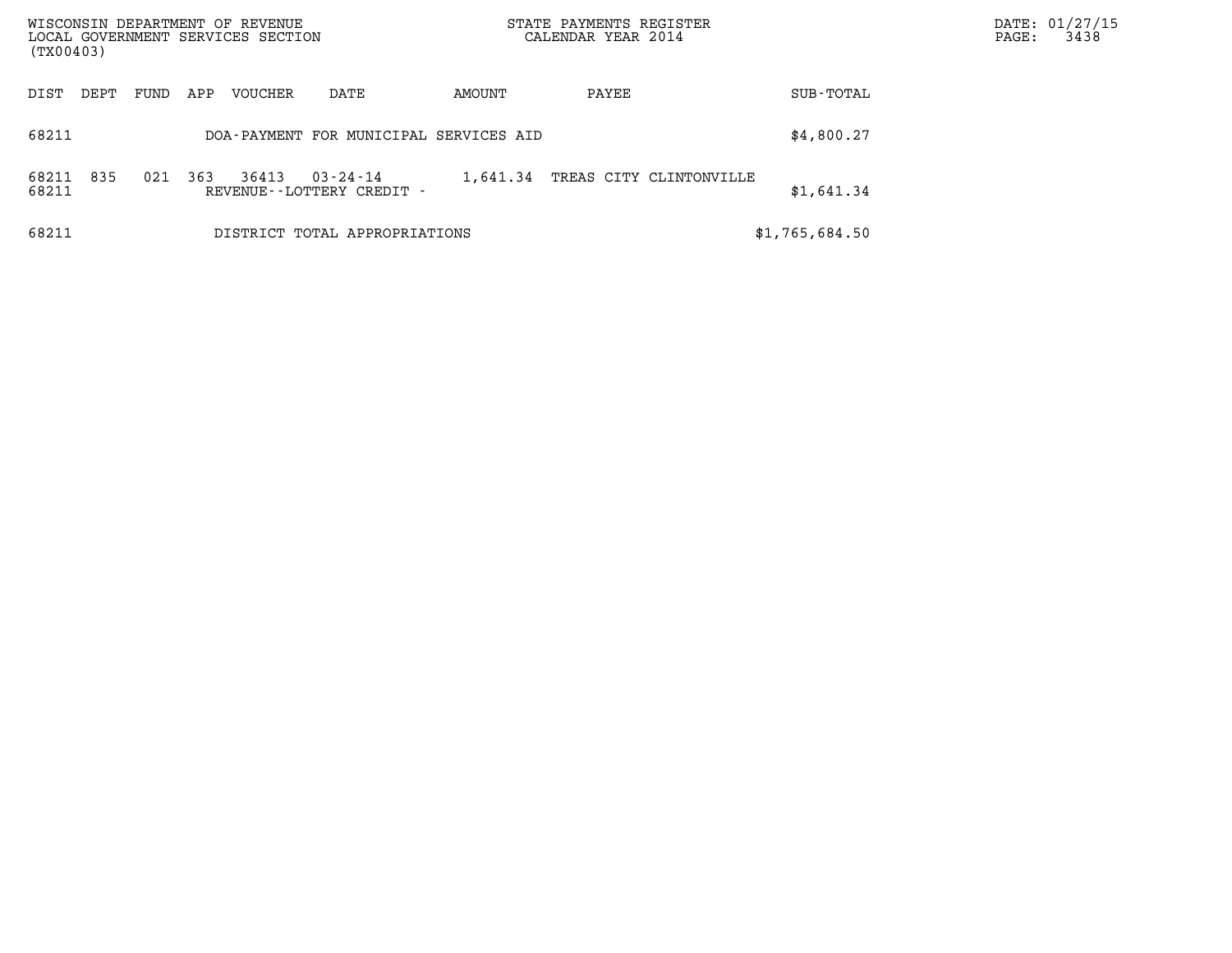| WISCONSIN DEPARTMENT OF REVENUE<br>LOCAL GOVERNMENT SERVICES SECTION<br>(TX00403) |      |      |     |         |                                                | STATE PAYMENTS REGISTER<br>CALENDAR YEAR 2014 |       |                         | $\mathtt{PAGE}$ : | DATE: 01/27/15<br>3438 |  |
|-----------------------------------------------------------------------------------|------|------|-----|---------|------------------------------------------------|-----------------------------------------------|-------|-------------------------|-------------------|------------------------|--|
| DIST                                                                              | DEPT | FUND | APP | VOUCHER | DATE                                           | AMOUNT                                        | PAYEE |                         | SUB-TOTAL         |                        |  |
| 68211                                                                             |      |      |     |         | DOA-PAYMENT FOR MUNICIPAL SERVICES AID         |                                               |       |                         | \$4,800.27        |                        |  |
| 68211<br>68211                                                                    | 835  | 021  | 363 | 36413   | $03 - 24 - 14$<br>REVENUE - - LOTTERY CREDIT - | 1,641.34                                      |       | TREAS CITY CLINTONVILLE | \$1,641.34        |                        |  |
| 68211                                                                             |      |      |     |         | DISTRICT TOTAL APPROPRIATIONS                  |                                               |       |                         | \$1,765,684.50    |                        |  |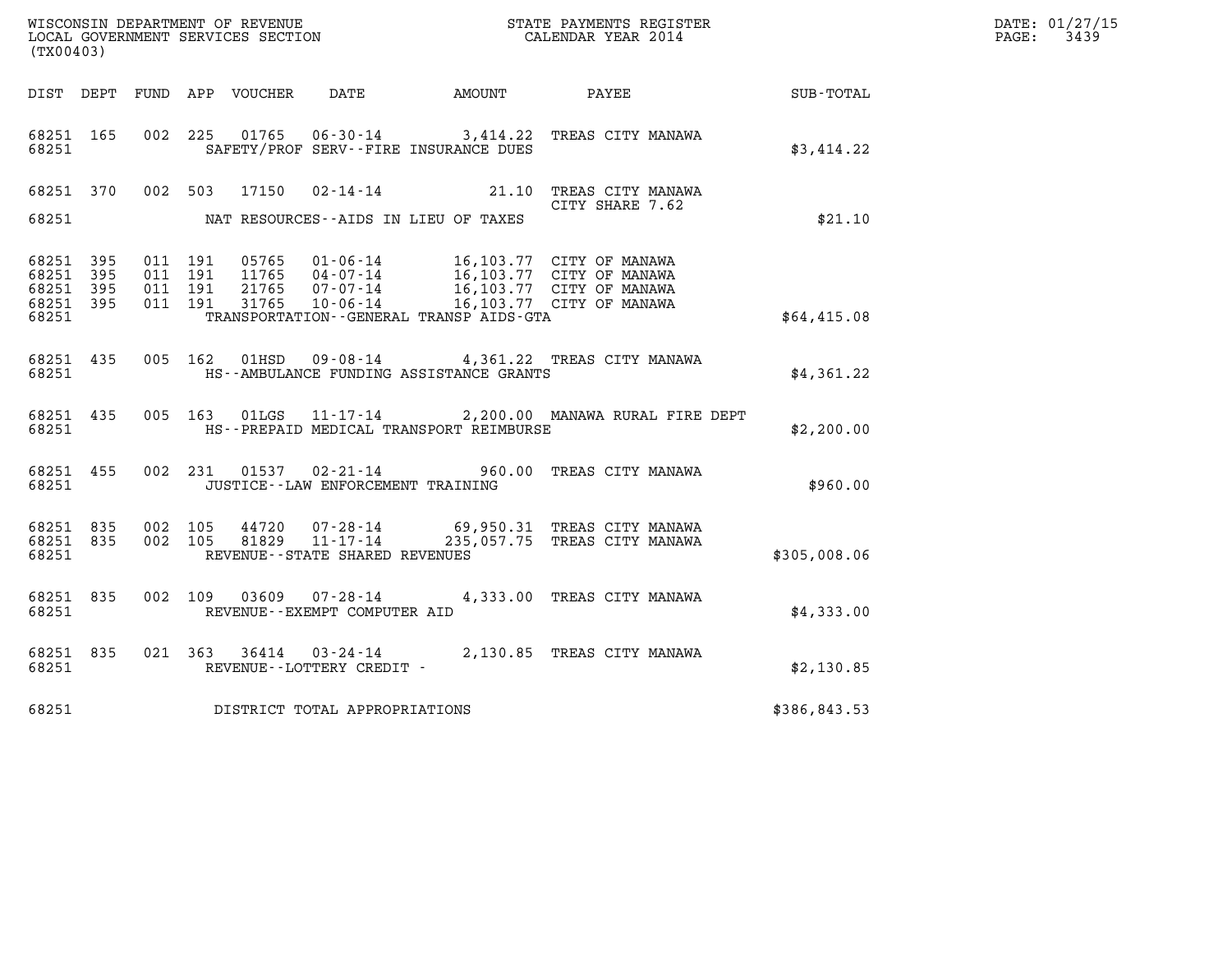| WISCONSIN DEPARTMENT OF REVENUE   | STATE PAYMENTS REGISTER | DATE: 01/27/15 |
|-----------------------------------|-------------------------|----------------|
| LOCAL GOVERNMENT SERVICES SECTION | CALENDAR YEAR 2014      | 3439<br>PAGE:  |

| WISCONSIN DEPARTMENT OF REVENUE<br>LOCAL GOVERNMENT SERVICES SECTION<br>(TYOO403)<br>(TX00403) |  |  |  |                                |                                     |                                              |                                                                                                                                                                                                                                                                                                                                          | DATE: 01/27/15<br>$\mathtt{PAGE:}$<br>3439 |  |
|------------------------------------------------------------------------------------------------|--|--|--|--------------------------------|-------------------------------------|----------------------------------------------|------------------------------------------------------------------------------------------------------------------------------------------------------------------------------------------------------------------------------------------------------------------------------------------------------------------------------------------|--------------------------------------------|--|
|                                                                                                |  |  |  |                                |                                     |                                              | DIST DEPT FUND APP VOUCHER DATE AMOUNT PAYEE                                                                                                                                                                                                                                                                                             | SUB-TOTAL                                  |  |
| 68251 165<br>68251                                                                             |  |  |  |                                |                                     | SAFETY/PROF SERV--FIRE INSURANCE DUES        | 002 225 01765 06-30-14 3,414.22 TREAS CITY MANAWA                                                                                                                                                                                                                                                                                        | \$3,414.22                                 |  |
|                                                                                                |  |  |  | 68251 370 002 503 17150        |                                     |                                              | 02-14-14 21.10 TREAS CITY MANAWA<br>CITY SHARE 7.62                                                                                                                                                                                                                                                                                      |                                            |  |
|                                                                                                |  |  |  |                                |                                     | 68251 MAT RESOURCES--AIDS IN LIEU OF TAXES   |                                                                                                                                                                                                                                                                                                                                          | \$21.10                                    |  |
| 68251 395<br>68251 395<br>68251 395<br>68251 395                                               |  |  |  |                                |                                     |                                              | $\begin{array}{cccc} 011 & 191 & 05765 & 01\cdot 06\cdot 14 & 16\,, 103\,.77 & \text{CITY OF MANAWA} \\ 011 & 191 & 11765 & 04\cdot 07\cdot 14 & 16\,, 103\,.77 & \text{CITY OF MANAWA} \\ 011 & 191 & 21765 & 07\cdot 07\cdot 14 & 16\,, 103\,.77 & \text{CITY OF MANAWA} \\ 011 & 191 & 31765 & 10\cdot 06\cdot 14 & 16\,, 103\,.77 &$ |                                            |  |
| 68251                                                                                          |  |  |  |                                |                                     | TRANSPORTATION - - GENERAL TRANSP AIDS - GTA |                                                                                                                                                                                                                                                                                                                                          | \$64,415.08                                |  |
| 68251 435<br>68251                                                                             |  |  |  | 005 162 01HSD                  |                                     | HS--AMBULANCE FUNDING ASSISTANCE GRANTS      | 09-08-14 4,361.22 TREAS CITY MANAWA                                                                                                                                                                                                                                                                                                      | \$4,361.22                                 |  |
| 68251 435<br>68251                                                                             |  |  |  |                                |                                     | HS--PREPAID MEDICAL TRANSPORT REIMBURSE      | 005 163 01LGS 11-17-14 2,200.00 MANAWA RURAL FIRE DEPT                                                                                                                                                                                                                                                                                   | \$2,200.00                                 |  |
| 68251                                                                                          |  |  |  |                                |                                     | JUSTICE - - LAW ENFORCEMENT TRAINING         | 68251 455 002 231 01537 02-21-14 960.00 TREAS CITY MANAWA                                                                                                                                                                                                                                                                                | \$960.00                                   |  |
| 68251 835<br>68251 835<br>68251                                                                |  |  |  | 002 105 44720<br>002 105 81829 | REVENUE--STATE SHARED REVENUES      |                                              | 07-28-14 69,950.31 TREAS CITY MANAWA<br>11-17-14 235,057.75 TREAS CITY MANAWA                                                                                                                                                                                                                                                            | \$305,008.06                               |  |
| 68251 835<br>68251                                                                             |  |  |  | 002 109 03609                  | REVENUE--EXEMPT COMPUTER AID        |                                              | 07-28-14 4,333.00 TREAS CITY MANAWA                                                                                                                                                                                                                                                                                                      | \$4,333.00                                 |  |
| 68251 835<br>68251                                                                             |  |  |  |                                | REVENUE--LOTTERY CREDIT -           |                                              | 021 363 36414 03-24-14 2,130.85 TREAS CITY MANAWA                                                                                                                                                                                                                                                                                        | \$2,130.85                                 |  |
|                                                                                                |  |  |  |                                | 68251 DISTRICT TOTAL APPROPRIATIONS |                                              |                                                                                                                                                                                                                                                                                                                                          | \$386,843.53                               |  |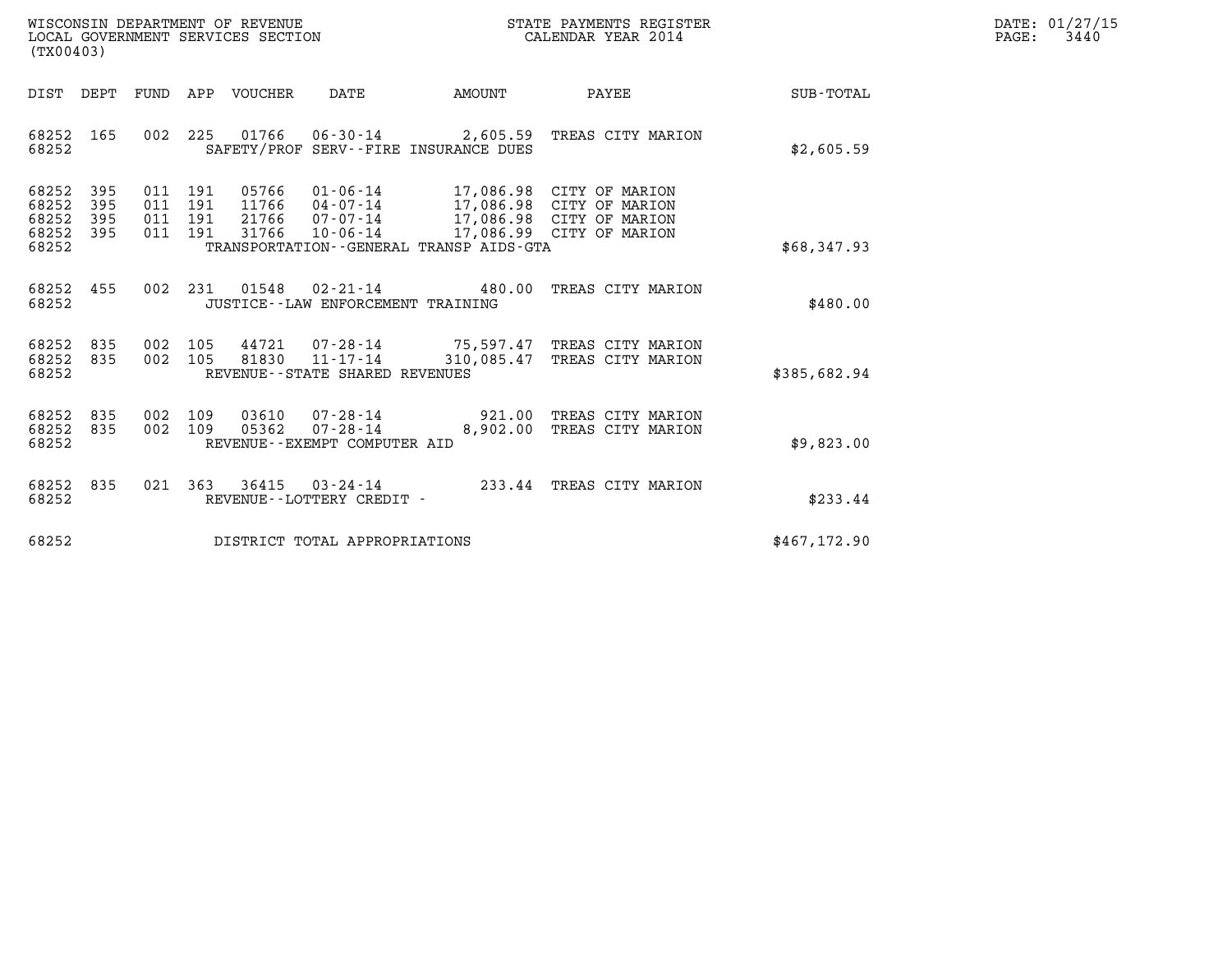| WISCONSIN DEPARTMENT OF REVENUE   | STATE PAYMENTS REGISTER | DATE: 01/27/15 |
|-----------------------------------|-------------------------|----------------|
| LOCAL GOVERNMENT SERVICES SECTION | CALENDAR YEAR 2014      | 3440<br>PAGE:  |

| WISCONSIN DEPARTMENT OF REVENUE<br>LOCAL GOVERNMENT SERVICES SECTION<br>(TX00403)                                                                                                                                                                                                                                                                       | STATE PAYMENTS REGISTER<br>CALENDAR YEAR 2014 |                            |               | DATE: 01/27/15<br>$\mathtt{PAGE:}$<br>3440 |
|---------------------------------------------------------------------------------------------------------------------------------------------------------------------------------------------------------------------------------------------------------------------------------------------------------------------------------------------------------|-----------------------------------------------|----------------------------|---------------|--------------------------------------------|
| DIST DEPT FUND APP VOUCHER DATE AMOUNT PAYEE                                                                                                                                                                                                                                                                                                            |                                               |                            | SUB-TOTAL     |                                            |
| 002 225 01766 06-30-14 2,605.59 TREAS CITY MARION<br>68252 165<br>68252<br>SAFETY/PROF SERV--FIRE INSURANCE DUES                                                                                                                                                                                                                                        |                                               |                            | \$2,605.59    |                                            |
| 68252 395<br>011 191<br>05766  01-06-14  17,086.98  CITY OF MARION<br>11766  04-07-14  17,086.98  CITY OF MARION<br>21766  07-07-14  17,086.98  CITY OF MARION<br>31766  10-06-14  17,086.99  CITY OF MARION<br>68252 395<br>011 191<br>68252 395<br>011 191<br>011 191 31766 10-06-14<br>68252 395<br>68252<br>TRANSPORTATION--GENERAL TRANSP AIDS-GTA |                                               |                            | \$68,347.93   |                                            |
| 002 231 01548 02-21-14 480.00 TREAS CITY MARION<br>68252 455<br>68252<br>JUSTICE -- LAW ENFORCEMENT TRAINING                                                                                                                                                                                                                                            |                                               |                            | \$480.00      |                                            |
| 002 105 44721 07-28-14 75,597.47 TREAS CITY MARION<br>68252 835<br>68252 835<br>002 105<br>81830  11-17-14  310,085.47  TREAS CITY MARION<br>68252<br>REVENUE - - STATE SHARED REVENUES                                                                                                                                                                 |                                               |                            | \$385,682.94  |                                            |
| 03610  07-28-14  921.00 TREAS CITY MARION<br>68252 835<br>002 109<br>05362 07-28-14<br>002 109<br>68252 835<br>68252<br>REVENUE--EXEMPT COMPUTER AID                                                                                                                                                                                                    |                                               | 8,902.00 TREAS CITY MARION | \$9,823.00    |                                            |
| 021 363 36415 03-24-14 233.44 TREAS CITY MARION<br>68252 835<br>68252<br>REVENUE--LOTTERY CREDIT -                                                                                                                                                                                                                                                      |                                               |                            | \$233.44      |                                            |
| 68252<br>DISTRICT TOTAL APPROPRIATIONS                                                                                                                                                                                                                                                                                                                  |                                               |                            | \$467, 172.90 |                                            |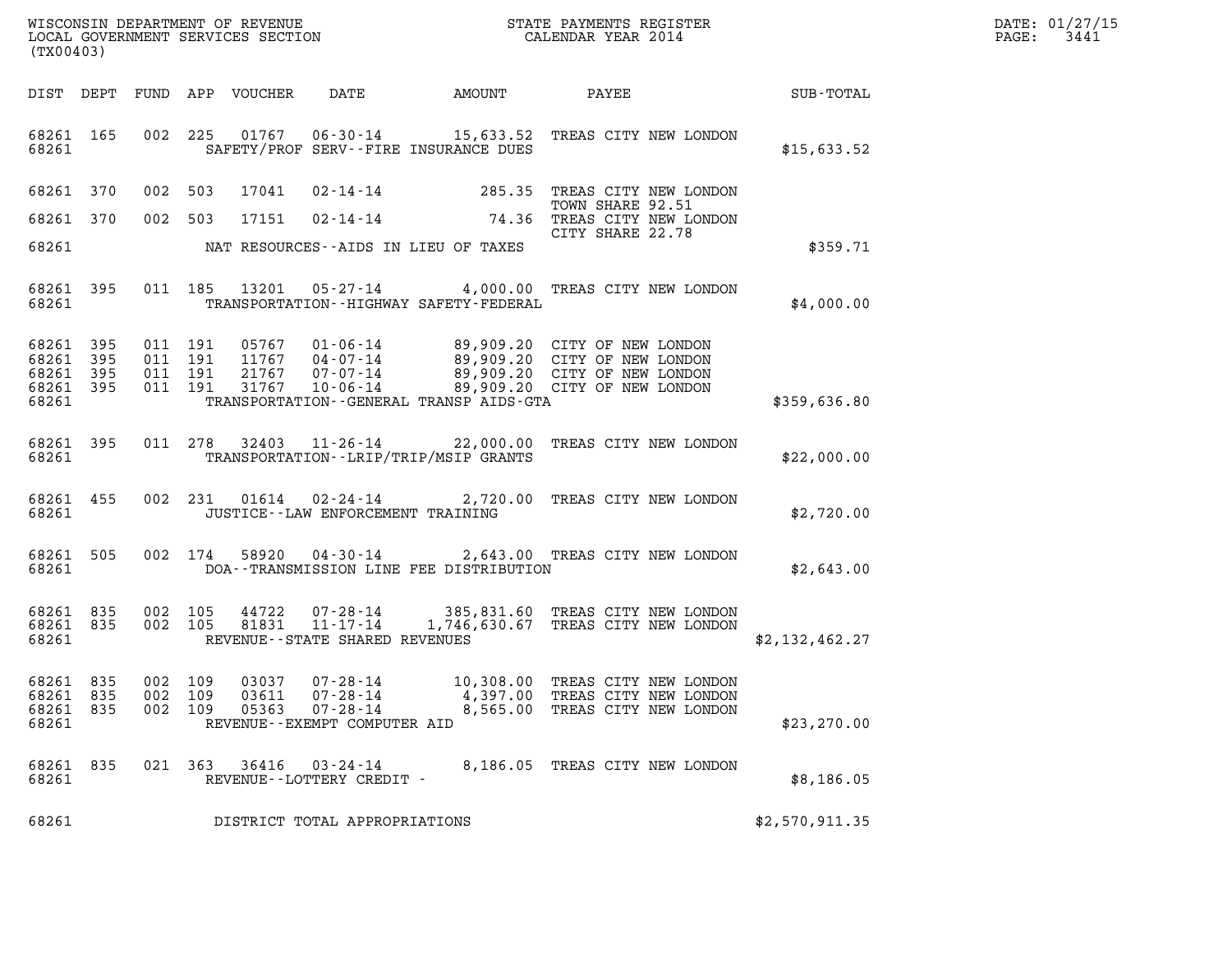|       | DATE: 01/27/15 |
|-------|----------------|
| PAGE: | 3441           |

| WISCONSIN DEPARTMENT OF REVENUE<br>LOCAL GOVERNMENT SERVICES SECTION<br>(TX00403) |                          |                                          |         |                            |                                  |                                              | STATE PAYMENTS REGISTER<br>CALENDAR YEAR 2014                                                                                                                             |              | DATE: 01/27/15<br>3441<br>$\mathtt{PAGE:}$ |
|-----------------------------------------------------------------------------------|--------------------------|------------------------------------------|---------|----------------------------|----------------------------------|----------------------------------------------|---------------------------------------------------------------------------------------------------------------------------------------------------------------------------|--------------|--------------------------------------------|
|                                                                                   |                          |                                          |         | DIST DEPT FUND APP VOUCHER | DATE                             | AMOUNT                                       | PAYEE                                                                                                                                                                     | SUB-TOTAL    |                                            |
| 68261 165<br>68261                                                                |                          |                                          |         |                            |                                  | SAFETY/PROF SERV--FIRE INSURANCE DUES        | 002 225 01767 06-30-14 15,633.52 TREAS CITY NEW LONDON                                                                                                                    | \$15,633.52  |                                            |
| 68261 370                                                                         |                          | 002 503                                  |         | 17041                      | $02 - 14 - 14$                   | 285.35                                       | TREAS CITY NEW LONDON                                                                                                                                                     |              |                                            |
| 68261                                                                             | 370                      | 002 503                                  |         | 17151                      | 02-14-14                         | 74.36                                        | TOWN SHARE 92.51<br>TREAS CITY NEW LONDON<br>CITY SHARE 22.78                                                                                                             |              |                                            |
| 68261                                                                             |                          |                                          |         |                            |                                  | NAT RESOURCES--AIDS IN LIEU OF TAXES         |                                                                                                                                                                           | \$359.71     |                                            |
| 68261 395<br>68261                                                                |                          |                                          | 011 185 |                            |                                  | TRANSPORTATION - - HIGHWAY SAFETY - FEDERAL  | 13201  05-27-14  4,000.00 TREAS CITY NEW LONDON                                                                                                                           | \$4,000.00   |                                            |
| 68261<br>68261<br>68261<br>68261<br>68261                                         | 395<br>395<br>395<br>395 | 011 191<br>011 191<br>011 191<br>011 191 |         | 21767<br>31767             | 10-06-14                         | TRANSPORTATION - - GENERAL TRANSP AIDS - GTA | 05767  01-06-14  89,909.20  CITY OF NEW LONDON<br>11767  04-07-14  89,909.20  CITY OF NEW LONDON<br>07-07-14 89,909.20 CITY OF NEW LONDON<br>89,909.20 CITY OF NEW LONDON | \$359,636.80 |                                            |
| 68261 395<br>68261                                                                |                          |                                          | 011 278 |                            |                                  | TRANSPORTATION - - LRIP/TRIP/MSIP GRANTS     | 32403 11-26-14 22,000.00 TREAS CITY NEW LONDON                                                                                                                            | \$22,000.00  |                                            |
|                                                                                   |                          |                                          |         |                            | 68261 455 002 231 01614 02-24-14 |                                              | 2.720.00 TREAS CITY NEW LONDON                                                                                                                                            |              |                                            |

| 68261 |  |  | 68261 455 002 231 01614 02-24-14<br>JUSTICE--LAW ENFORCEMENT TRAINING | 2,720.00 TREAS CITY NEW LONDON | \$2,720.00 |
|-------|--|--|-----------------------------------------------------------------------|--------------------------------|------------|

| 68261              |         |  | JUSTICE - LAW ENFORCEMENT TRAINING |                                                                           |  |  | \$2,720.00 |  |
|--------------------|---------|--|------------------------------------|---------------------------------------------------------------------------|--|--|------------|--|
| 68261 505<br>68261 | 002 174 |  | 58920 04-30-14                     | 2,643.00 TREAS CITY NEW LONDON<br>DOA--TRANSMISSION LINE FEE DISTRIBUTION |  |  | \$2,643.00 |  |

| 68261              | DOA--TRANSMISSION LINE FEE DISTRIBUTION |  |  |  |                                                                                              |  |                                                                        |  | \$2,643.00 |  |  |                |
|--------------------|-----------------------------------------|--|--|--|----------------------------------------------------------------------------------------------|--|------------------------------------------------------------------------|--|------------|--|--|----------------|
| 68261 835<br>68261 |                                         |  |  |  | 68261 835 002 105 44722 07-28-14<br>002 105 81831 11–17–14<br>REVENUE--STATE SHARED REVENUES |  | 385,831.60 TREAS CITY NEW LONDON<br>1,746,630.67 TREAS CITY NEW LONDON |  |            |  |  | \$2,132,462.27 |

| 68261                                        |                                                          | REVENUE--STATE SHARED REVENUES                                           |                                   |                                                                         | \$2,132,462.27 |
|----------------------------------------------|----------------------------------------------------------|--------------------------------------------------------------------------|-----------------------------------|-------------------------------------------------------------------------|----------------|
| 68261 835<br>68261 835<br>68261 835<br>68261 | 002 109<br>03037<br>03611<br>002 109<br>002 109<br>05363 | 07 - 28 - 14<br>07 - 28 - 14<br>07-28-14<br>REVENUE--EXEMPT COMPUTER AID | 10,308.00<br>4.397.00<br>8,565.00 | TREAS CITY NEW LONDON<br>TREAS CITY NEW LONDON<br>TREAS CITY NEW LONDON | \$23,270.00    |

| 68261              | REVENUE--EXEMPT COMPUTER AID |  |         |  |                                             |  | \$23,270.00                    |            |
|--------------------|------------------------------|--|---------|--|---------------------------------------------|--|--------------------------------|------------|
| 68261 835<br>68261 |                              |  | 021 363 |  | 36416 03-24-14<br>REVENUE--LOTTERY CREDIT - |  | 8,186.05 TREAS CITY NEW LONDON | \$8,186.05 |

68261 REVENUE - LOTTERY CREDIT -<br>68261 DISTRICT TOTAL APPROPRIATIONS \$2,570,911.35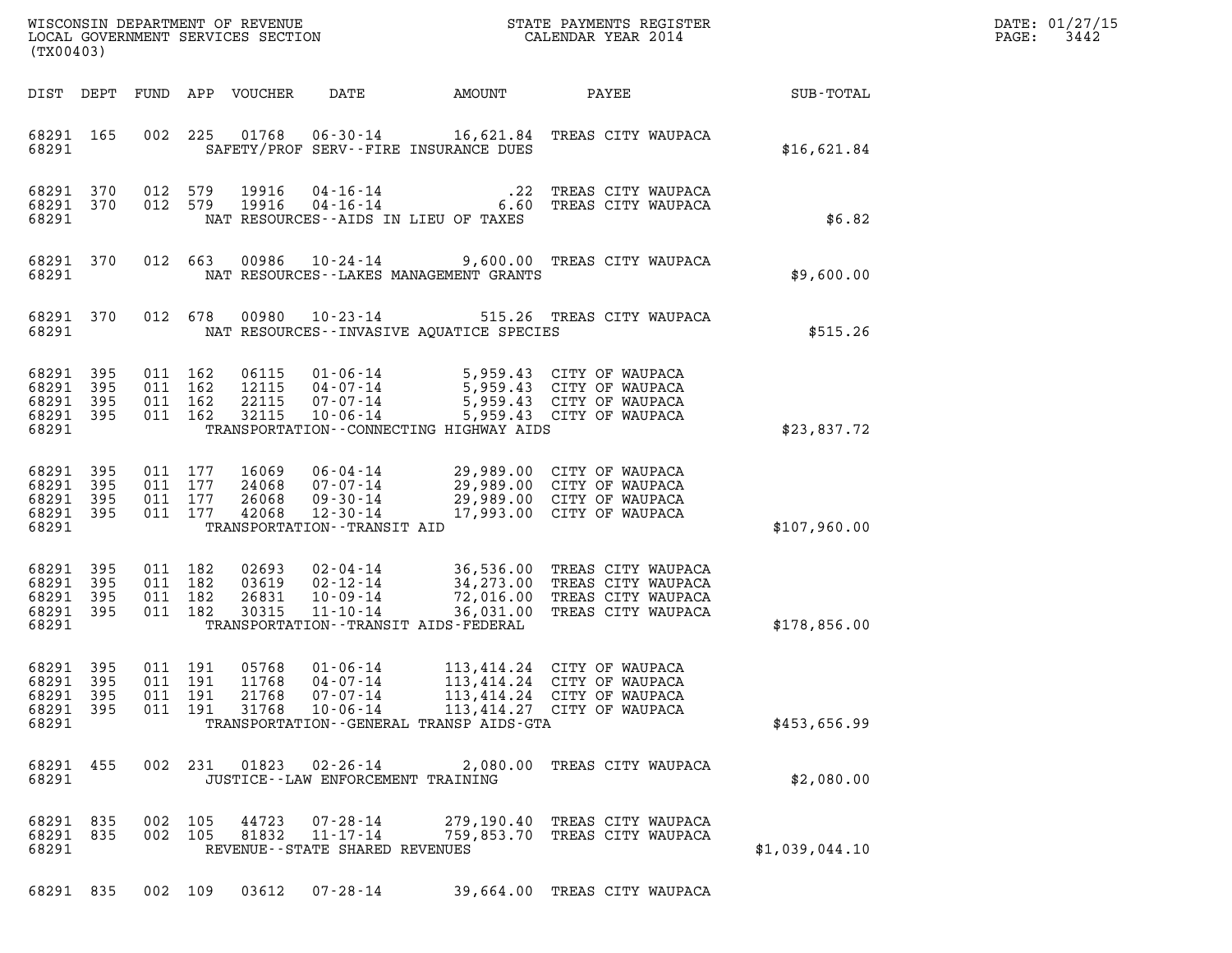| DATE: | 01/27/15 |
|-------|----------|
| PAGE: | 3442     |

| (TX00403)                                                 |           |                                          |                               |                                  |                                                                                | DATE: 01/27/15<br>3442<br>$\mathtt{PAGE}$ :                                                  |                                                                                                                              |                      |  |
|-----------------------------------------------------------|-----------|------------------------------------------|-------------------------------|----------------------------------|--------------------------------------------------------------------------------|----------------------------------------------------------------------------------------------|------------------------------------------------------------------------------------------------------------------------------|----------------------|--|
|                                                           |           |                                          |                               | DIST DEPT FUND APP VOUCHER       | DATE                                                                           | AMOUNT                                                                                       | PAYEE                                                                                                                        | $\texttt{SUB-TOTAL}$ |  |
| 68291 165<br>68291                                        |           |                                          |                               |                                  |                                                                                | SAFETY/PROF SERV--FIRE INSURANCE DUES                                                        | 002 225 01768 06-30-14 16,621.84 TREAS CITY WAUPACA                                                                          | \$16,621.84          |  |
| 68291 370<br>68291                                        | 68291 370 | 012 579<br>012 579                       |                               | 19916<br>19916                   |                                                                                | NAT RESOURCES--AIDS IN LIEU OF TAXES                                                         | 04-16-14 10-22 TREAS CITY WAUPACA<br>04-16-14 6.60 TREAS CITY WAUPACA                                                        | \$6.82               |  |
| 68291 370<br>68291                                        |           |                                          | 012 663                       |                                  |                                                                                | NAT RESOURCES - - LAKES MANAGEMENT GRANTS                                                    | 00986  10-24-14  9,600.00  TREAS CITY WAUPACA                                                                                | \$9,600.00           |  |
| 68291 370<br>68291                                        |           |                                          | 012 678                       |                                  |                                                                                | NAT RESOURCES -- INVASIVE AQUATICE SPECIES                                                   | 00980  10-23-14  515.26  TREAS CITY WAUPACA                                                                                  | \$515.26             |  |
| 68291<br>68291 395<br>68291 395<br>68291 395<br>68291     | 395       | 011 162                                  | 011 162<br>011 162<br>011 162 | 06115<br>12115<br>22115<br>32115 | 01 - 06 - 14<br>04 - 07 - 14<br>07 - 07 - 14<br>$10 - 06 - 14$                 | TRANSPORTATION--CONNECTING HIGHWAY AIDS                                                      | 5,959.43 CITY OF WAUPACA<br>5,959.43 CITY OF WAUPACA<br>5,959.43 CITY OF WAUPACA<br>5,959.43 CITY OF WAUPACA                 | \$23,837.72          |  |
| 68291 395<br>68291<br>68291 395<br>68291 395<br>68291     | 395       | 011 177<br>011 177<br>011 177<br>011 177 |                               | 16069<br>24068<br>26068<br>42068 | 07-07-14<br>$09 - 30 - 14$<br>$12 - 30 - 14$<br>TRANSPORTATION - - TRANSIT AID | 06-04-14 29,989.00 CITY OF WAUPACA<br>29,989.00 CITY OF WAUPACA<br>17,993.00 CITY OF WAUPACA | 29,989.00 CITY OF WAUPACA                                                                                                    | \$107,960.00         |  |
| 68291 395<br>68291 395<br>68291 395<br>68291 395<br>68291 |           | 011 182                                  | 011 182<br>011 182<br>011 182 | 02693<br>03619<br>26831<br>30315 | 02-04-14<br>02-12-14<br>$10 - 09 - 14$<br>$11 - 10 - 14$                       | TRANSPORTATION - - TRANSIT AIDS - FEDERAL                                                    | 36,536.00 TREAS CITY WAUPACA<br>34,273.00 TREAS CITY WAUPACA<br>72,016.00 TREAS CITY WAUPACA<br>36,031.00 TREAS CITY WAUPACA | \$178,856.00         |  |
| 68291 395<br>68291 395<br>68291 395<br>68291 395<br>68291 |           | 011 191                                  | 011 191<br>011 191<br>011 191 | 05768<br>11768<br>21768<br>31768 | 01-06-14<br>04-07-14<br>$07 - 07 - 14$<br>$10 - 06 - 14$                       | TRANSPORTATION--GENERAL TRANSP AIDS-GTA                                                      | 113,414.24 CITY OF WAUPACA<br>113,414.24 CITY OF WAUPACA<br>113,414.24 CITY OF WAUPACA<br>113,414.27 CITY OF WAUPACA         | \$453,656.99         |  |
| 68291 455<br>68291                                        |           |                                          | 002 231                       | 01823                            | $02 - 26 - 14$                                                                 | JUSTICE - - LAW ENFORCEMENT TRAINING                                                         | 2,080.00 TREAS CITY WAUPACA                                                                                                  | \$2,080.00           |  |
| 68291 835<br>68291 835<br>68291                           |           |                                          | 002 105<br>002 105            | 44723<br>81832                   | 07-28-14<br>$11 - 17 - 14$                                                     | REVENUE - - STATE SHARED REVENUES                                                            | 279,190.40 TREAS CITY WAUPACA<br>759,853.70 TREAS CITY WAUPACA                                                               | \$1,039,044.10       |  |
| 68291 835                                                 |           |                                          | 002 109                       | 03612                            | $07 - 28 - 14$                                                                 |                                                                                              | 39,664.00 TREAS CITY WAUPACA                                                                                                 |                      |  |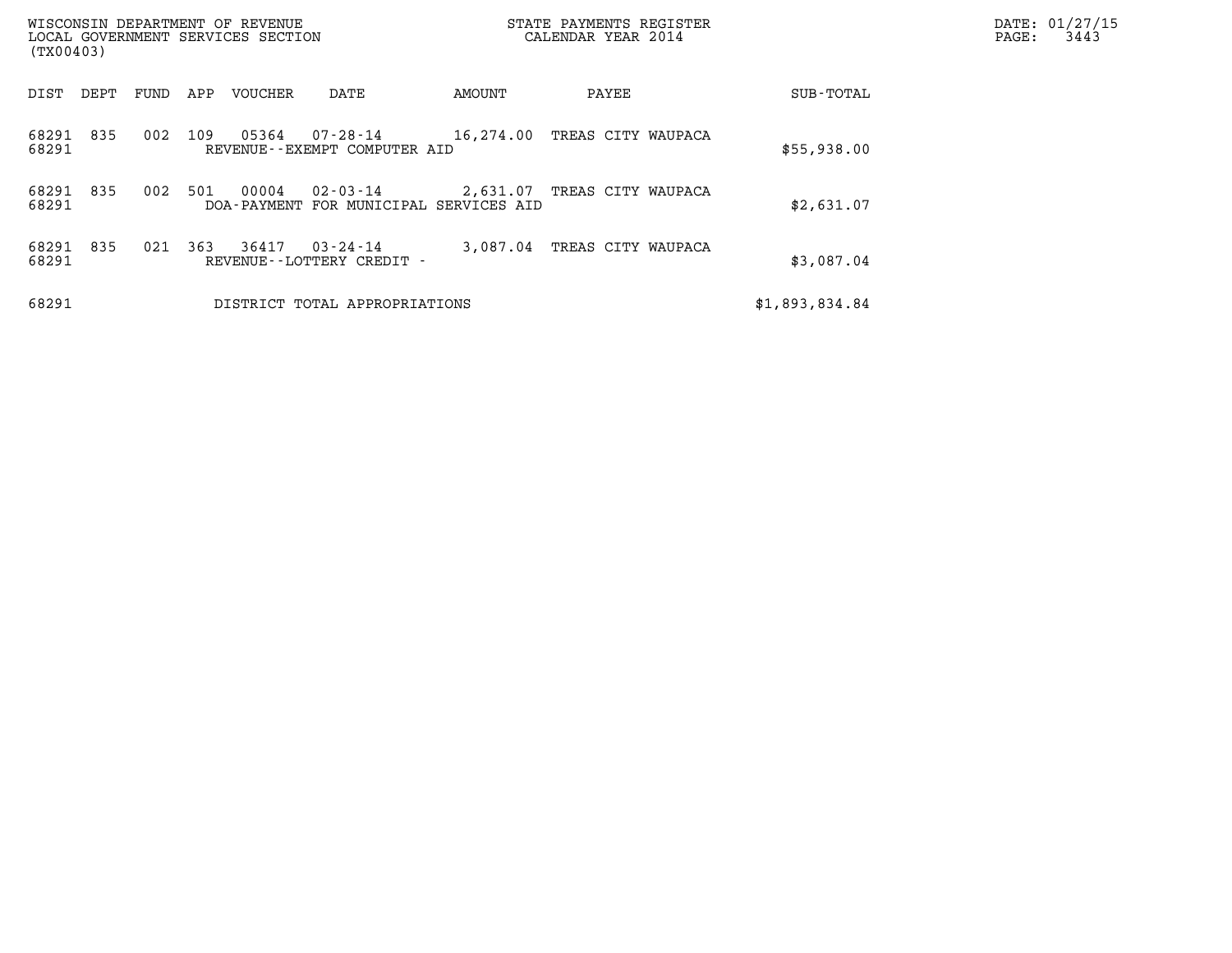| WISCONSIN DEPARTMENT OF REVENUE<br>LOCAL GOVERNMENT SERVICES SECTION<br>(TX00403) |                                                                          | STATE PAYMENTS REGISTER<br>CALENDAR YEAR 2014 |                | DATE: 01/27/15<br>3443<br>PAGE: |
|-----------------------------------------------------------------------------------|--------------------------------------------------------------------------|-----------------------------------------------|----------------|---------------------------------|
| DIST<br>DEPT<br>FUND                                                              | APP<br>VOUCHER<br>DATE                                                   | AMOUNT<br>PAYEE                               | SUB-TOTAL      |                                 |
| 835<br>68291<br>002<br>68291                                                      | 109<br>05364<br>07-28-14<br>REVENUE--EXEMPT COMPUTER AID                 | 16,274.00<br>TREAS CITY WAUPACA               | \$55,938.00    |                                 |
| 68291<br>835<br>002<br>68291                                                      | 501<br>00004<br>$02 - 03 - 14$<br>DOA-PAYMENT FOR MUNICIPAL SERVICES AID | 2,631.07 TREAS CITY WAUPACA                   | \$2,631.07     |                                 |
| 68291<br>835<br>021<br>68291                                                      | 363<br>36417<br>$03 - 24 - 14$<br>REVENUE - - LOTTERY CREDIT -           | 3,087.04<br>TREAS CITY WAUPACA                | \$3,087.04     |                                 |
| 68291                                                                             | DISTRICT TOTAL APPROPRIATIONS                                            |                                               | \$1,893,834.84 |                                 |